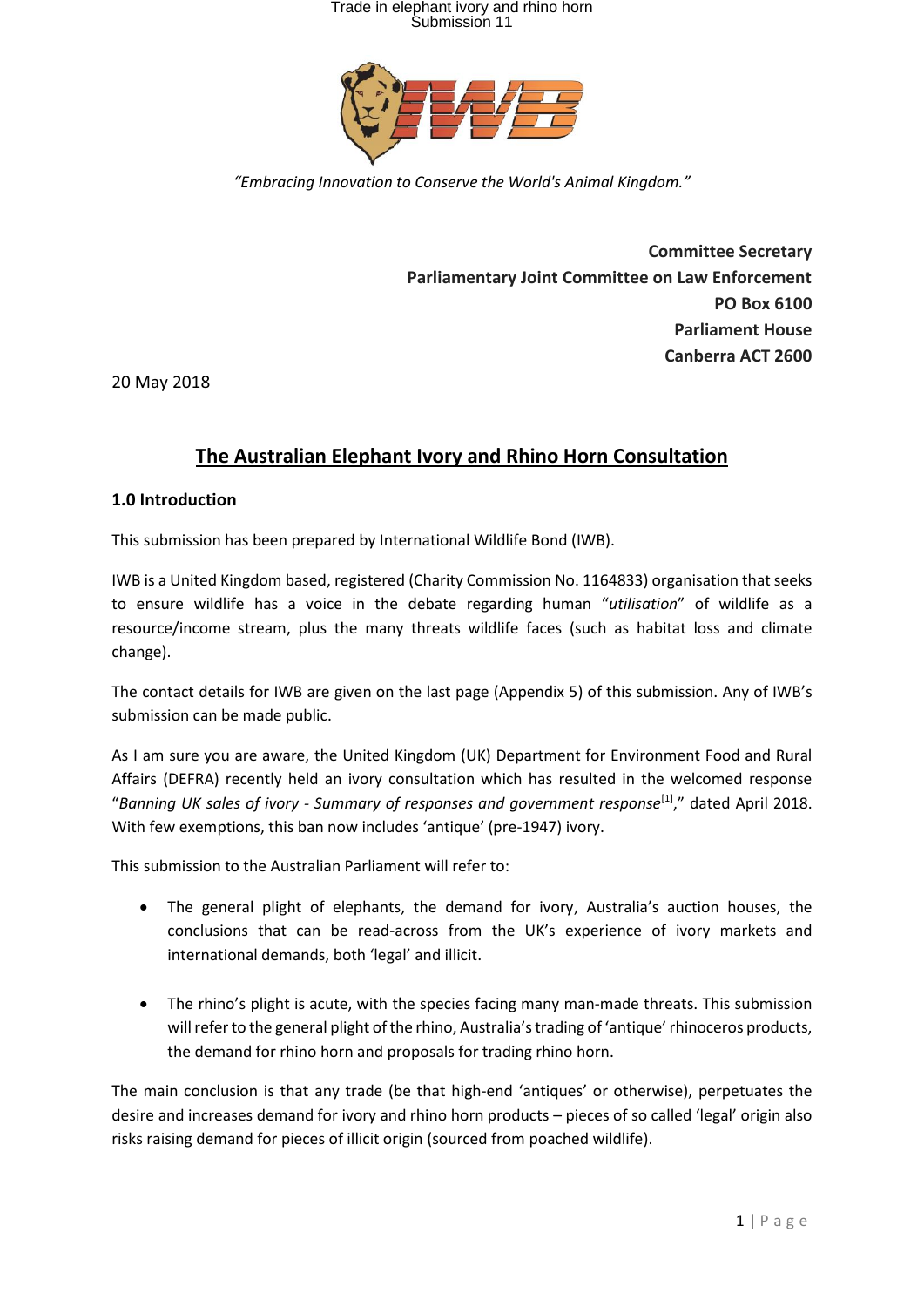

*"Embracing Innovation to Conserve the World's Animal Kingdom."*

**Committee Secretary Parliamentary Joint Committee on Law Enforcement PO Box 6100 Parliament House Canberra ACT 2600**

20 May 2018

### **The Australian Elephant Ivory and Rhino Horn Consultation**

#### **1.0 Introduction**

This submission has been prepared by International Wildlife Bond (IWB).

IWB is a United Kingdom based, registered (Charity Commission No. 1164833) organisation that seeks to ensure wildlife has a voice in the debate regarding human "*utilisation*" of wildlife as a resource/income stream, plus the many threats wildlife faces (such as habitat loss and climate change).

The contact details for IWB are given on the last page (Appendix 5) of this submission. Any of IWB's submission can be made public.

As I am sure you are aware, the United Kingdom (UK) Department for Environment Food and Rural Affairs (DEFRA) recently held an ivory consultation which has resulted in the welcomed response "*Banning UK sales of ivory - Summary of responses and government response*[1]," dated April 2018. With few exemptions, this ban now includes 'antique' (pre-1947) ivory.

This submission to the Australian Parliament will refer to:

- The general plight of elephants, the demand for ivory, Australia's auction houses, the conclusions that can be read-across from the UK's experience of ivory markets and international demands, both 'legal' and illicit.
- The rhino's plight is acute, with the species facing many man-made threats. This submission will refer to the general plight of the rhino, Australia's trading of 'antique' rhinoceros products, the demand for rhino horn and proposals for trading rhino horn.

The main conclusion is that any trade (be that high-end 'antiques' or otherwise), perpetuates the desire and increases demand for ivory and rhino horn products – pieces of so called 'legal' origin also risks raising demand for pieces of illicit origin (sourced from poached wildlife).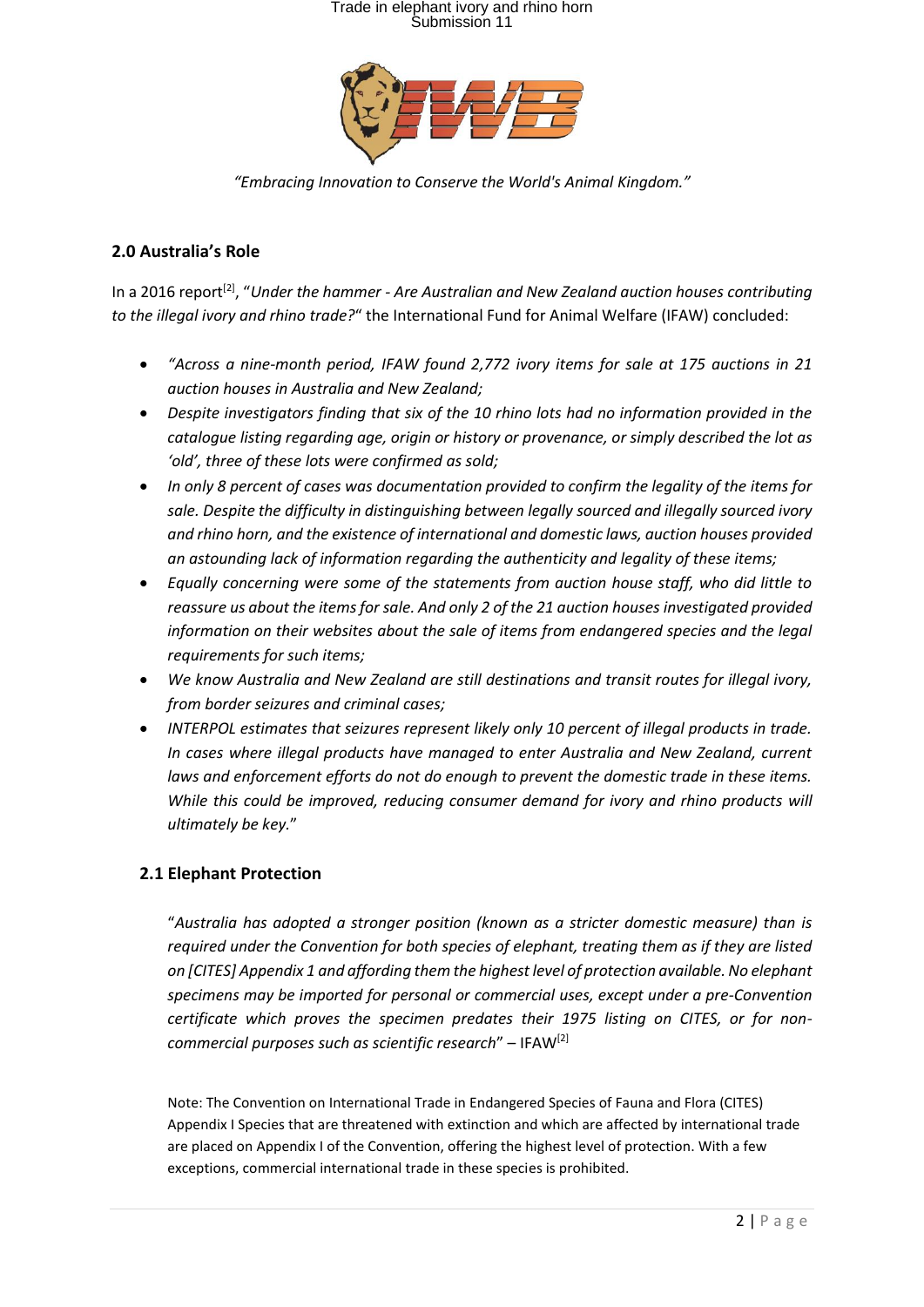

*"Embracing Innovation to Conserve the World's Animal Kingdom."*

#### **2.0 Australia's Role**

In a 2016 report<sup>[2]</sup>, "Under the hammer - Are Australian and New Zealand auction houses contributing *to the illegal ivory and rhino trade?*" the International Fund for Animal Welfare (IFAW) concluded:

- *"Across a nine-month period, IFAW found 2,772 ivory items for sale at 175 auctions in 21 auction houses in Australia and New Zealand;*
- *Despite investigators finding that six of the 10 rhino lots had no information provided in the catalogue listing regarding age, origin or history or provenance, or simply described the lot as 'old', three of these lots were confirmed as sold;*
- *In only 8 percent of cases was documentation provided to confirm the legality of the items for sale. Despite the difficulty in distinguishing between legally sourced and illegally sourced ivory and rhino horn, and the existence of international and domestic laws, auction houses provided an astounding lack of information regarding the authenticity and legality of these items;*
- *Equally concerning were some of the statements from auction house staff, who did little to reassure us about the items for sale. And only 2 of the 21 auction houses investigated provided information on their websites about the sale of items from endangered species and the legal requirements for such items;*
- *We know Australia and New Zealand are still destinations and transit routes for illegal ivory, from border seizures and criminal cases;*
- *INTERPOL estimates that seizures represent likely only 10 percent of illegal products in trade. In cases where illegal products have managed to enter Australia and New Zealand, current laws and enforcement efforts do not do enough to prevent the domestic trade in these items. While this could be improved, reducing consumer demand for ivory and rhino products will ultimately be key.*"

#### **2.1 Elephant Protection**

"*Australia has adopted a stronger position (known as a stricter domestic measure) than is required under the Convention for both species of elephant, treating them as if they are listed on [CITES] Appendix 1 and affording them the highest level of protection available. No elephant specimens may be imported for personal or commercial uses, except under a pre-Convention certificate which proves the specimen predates their 1975 listing on CITES, or for noncommercial purposes such as scientific research*" – IFAW[2]

Note: The Convention on International Trade in Endangered Species of Fauna and Flora (CITES) Appendix I Species that are threatened with extinction and which are affected by international trade are placed on Appendix I of the Convention, offering the highest level of protection. With a few exceptions, commercial international trade in these species is prohibited.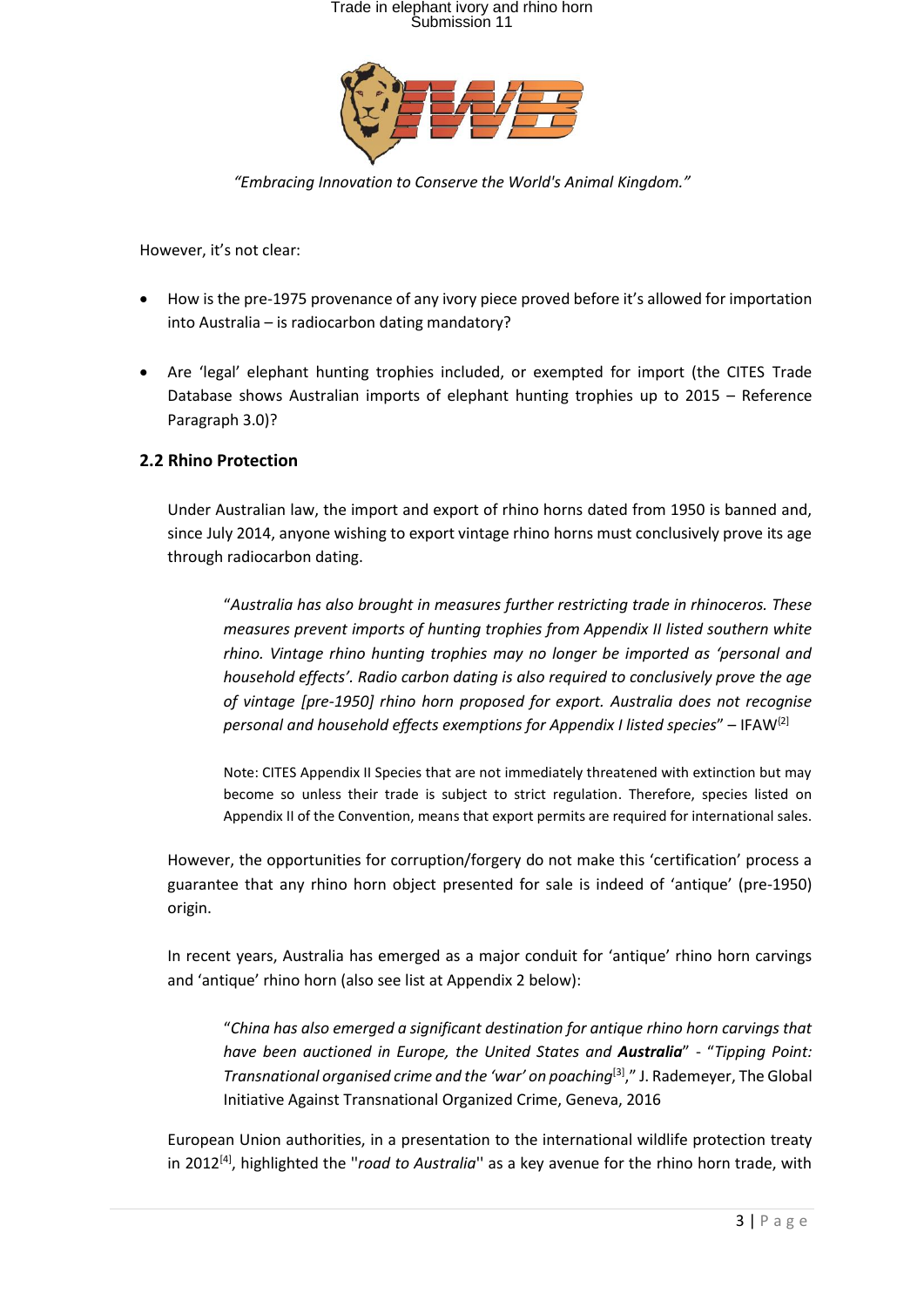

*"Embracing Innovation to Conserve the World's Animal Kingdom."*

However, it's not clear:

- How is the pre-1975 provenance of any ivory piece proved before it's allowed for importation into Australia – is radiocarbon dating mandatory?
- Are 'legal' elephant hunting trophies included, or exempted for import (the CITES Trade Database shows Australian imports of elephant hunting trophies up to 2015 – Reference Paragraph 3.0)?

#### **2.2 Rhino Protection**

Under Australian law, the import and export of rhino horns dated from 1950 is banned and, since July 2014, anyone wishing to export vintage rhino horns must conclusively prove its age through radiocarbon dating.

"*Australia has also brought in measures further restricting trade in rhinoceros. These measures prevent imports of hunting trophies from Appendix II listed southern white rhino. Vintage rhino hunting trophies may no longer be imported as 'personal and household effects'. Radio carbon dating is also required to conclusively prove the age of vintage [pre-1950] rhino horn proposed for export. Australia does not recognise personal and household effects exemptions for Appendix I listed species*" – IFAW{2]

Note: CITES Appendix II Species that are not immediately threatened with extinction but may become so unless their trade is subject to strict regulation. Therefore, species listed on Appendix II of the Convention, means that export permits are required for international sales.

However, the opportunities for corruption/forgery do not make this 'certification' process a guarantee that any rhino horn object presented for sale is indeed of 'antique' (pre-1950) origin.

In recent years, Australia has emerged as a major conduit for 'antique' rhino horn carvings and 'antique' rhino horn (also see list at Appendix 2 below):

"*China has also emerged a significant destination for antique rhino horn carvings that have been auctioned in Europe, the United States and Australia*" - "*Tipping Point: Transnational organised crime and the 'war' on poaching*[3]," J. Rademeyer, The Global Initiative Against Transnational Organized Crime, Geneva, 2016

European Union authorities, in a presentation to the international wildlife protection treaty in 2012[4] , highlighted the ''*road to Australia*'' as a key avenue for the rhino horn trade, with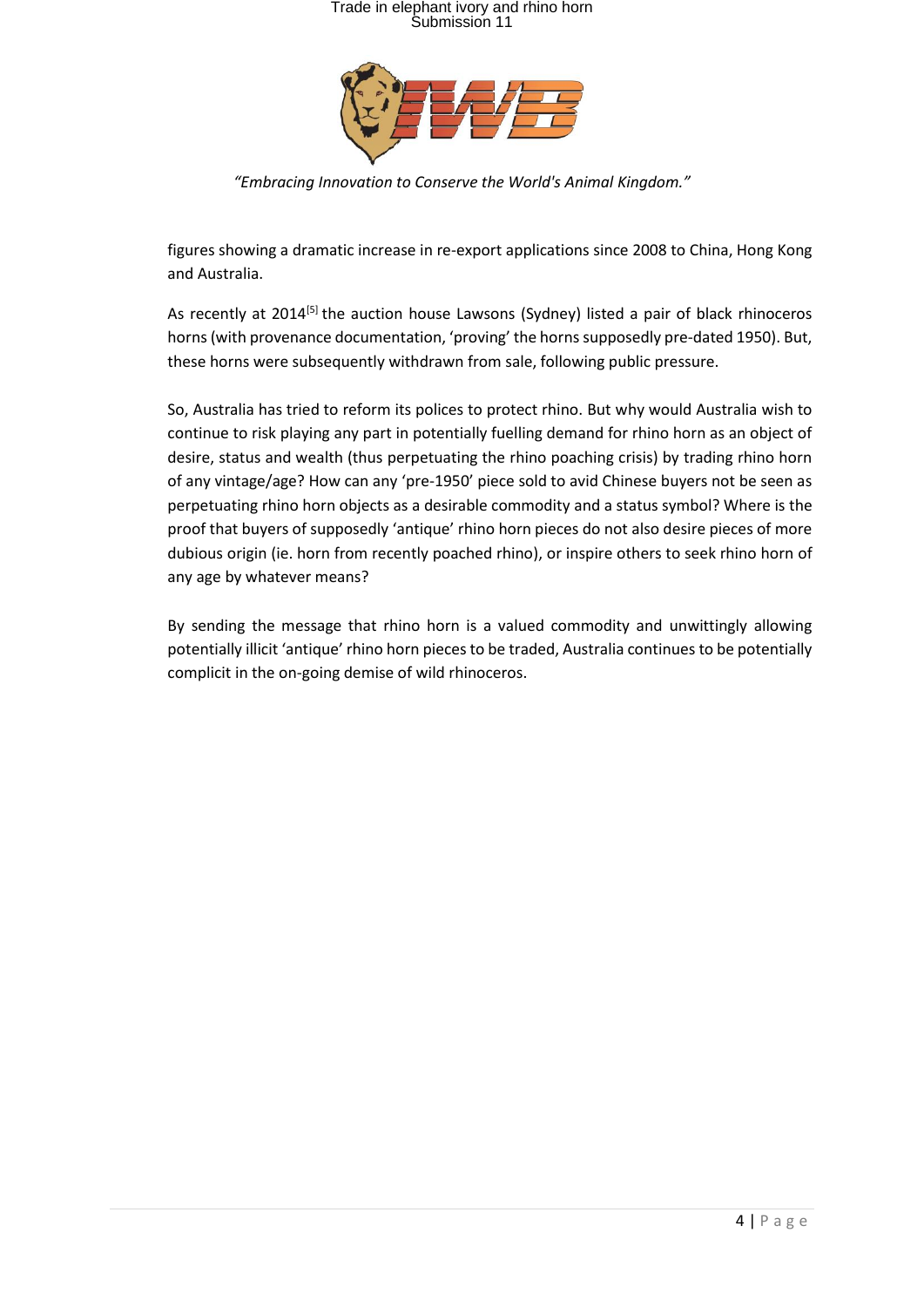

*"Embracing Innovation to Conserve the World's Animal Kingdom."*

figures showing a dramatic increase in re-export applications since 2008 to China, Hong Kong and Australia.

As recently at 2014<sup>[5]</sup> the auction house Lawsons (Sydney) listed a pair of black rhinoceros horns (with provenance documentation, 'proving' the horns supposedly pre-dated 1950). But, these horns were [subsequently](https://www.smh.com.au/nsw/lawsons-pulls-both-elephant-ivory-and-rhino-horns-off-the-auction-list-after-public-uproar-20141111-11kjiv) withdrawn from sale, following public pressure.

So, Australia has tried to reform its polices to protect rhino. But why would Australia wish to continue to risk playing any part in potentially fuelling demand for rhino horn as an object of desire, status and wealth (thus perpetuating the rhino poaching crisis) by trading rhino horn of any vintage/age? How can any 'pre-1950' piece sold to avid Chinese buyers not be seen as perpetuating rhino horn objects as a desirable commodity and a status symbol? Where is the proof that buyers of supposedly 'antique' rhino horn pieces do not also desire pieces of more dubious origin (ie. horn from recently poached rhino), or inspire others to seek rhino horn of any age by whatever means?

By sending the message that rhino horn is a valued commodity and unwittingly allowing potentially illicit 'antique' rhino horn pieces to be traded, Australia continues to be potentially complicit in the on-going demise of wild rhinoceros.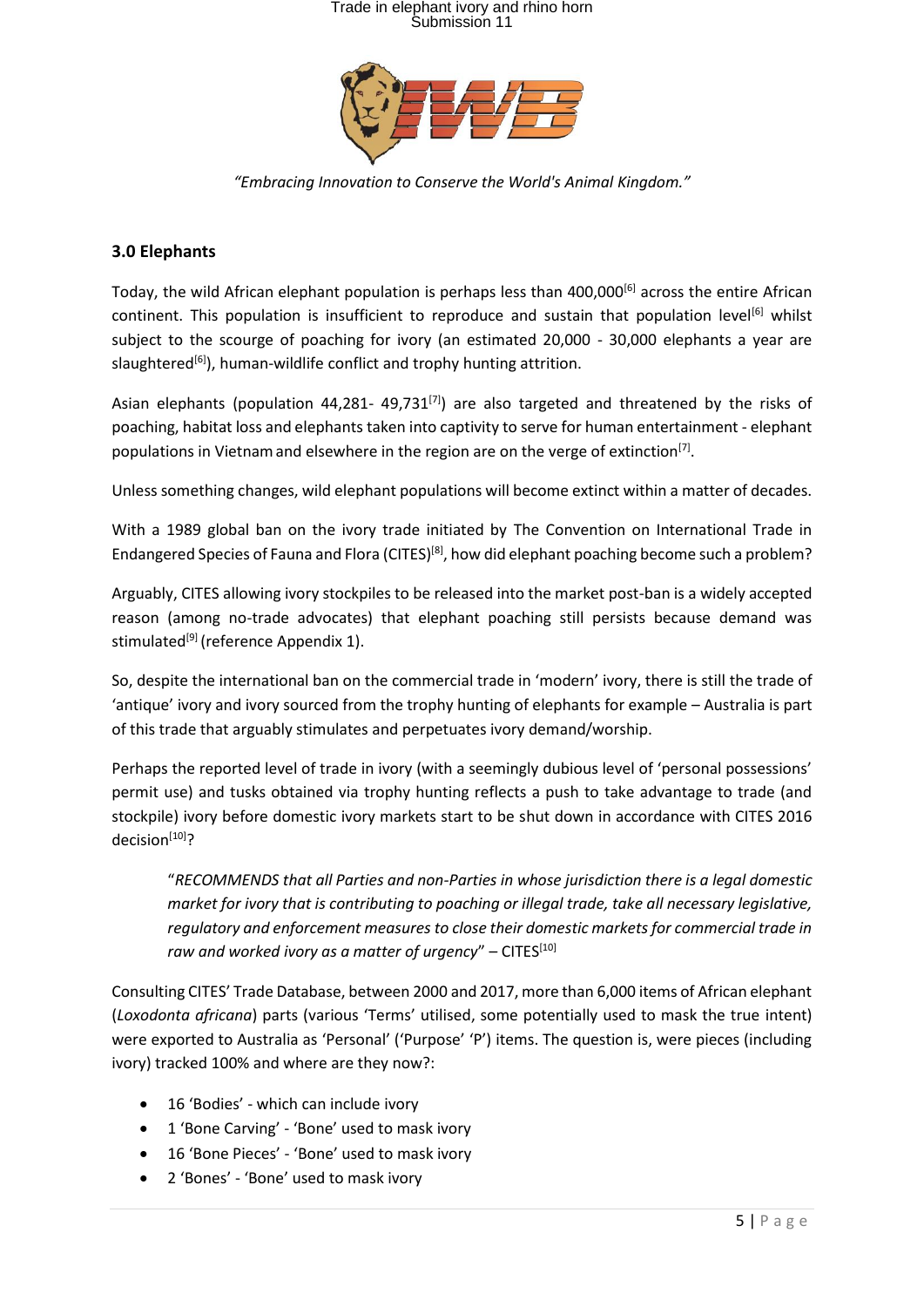

*"Embracing Innovation to Conserve the World's Animal Kingdom."*

#### **3.0 Elephants**

Today, the wild African elephant population is perhaps less than 400,000[6] across the entire African continent. This population is insufficient to reproduce and sustain that population level<sup>[6]</sup> whilst subject to the scourge of poaching for ivory (an estimated 20,000 - 30,000 elephants a year are slaughtered<sup>[6]</sup>), human-wildlife conflict and trophy hunting attrition.

Asian elephants (population 44,281- 49,731 $^{[7]}$ ) are also targeted and threatened by the risks of poaching, habitat loss and elephants taken into captivity to serve for human entertainment - elephant populations in Vietnam and elsewhere in the region are on the verge of extinction<sup>[7]</sup>.

Unless something changes, wild elephant populations will become extinct within a matter of decades.

With a 1989 global ban on the ivory trade initiated by The Convention on International Trade in Endangered Species of Fauna and Flora (CITES)<sup>[8]</sup>, how did elephant poaching become such a problem?

Arguably, CITES allowing ivory stockpiles to be released into the market post-ban is a widely accepted reason (among no-trade advocates) that elephant poaching still persists because demand was stimulated<sup>[9]</sup> (reference Appendix 1).

So, despite the international ban on the commercial trade in 'modern' ivory, there is still the trade of 'antique' ivory and ivory sourced from the trophy hunting of elephants for example – Australia is part of this trade that arguably stimulates and perpetuates ivory demand/worship.

Perhaps the reported level of trade in ivory (with a seemingly dubious level of 'personal possessions' permit use) and tusks obtained via trophy hunting reflects a push to take advantage to trade (and stockpile) ivory before domestic ivory markets start to be shut down in accordance with CITES 2016 decision<sup>[10]</sup>?

"*RECOMMENDS that all Parties and non-Parties in whose jurisdiction there is a legal domestic market for ivory that is contributing to poaching or illegal trade, take all necessary legislative, regulatory and enforcement measures to close their domestic markets for commercial trade in*  raw and worked ivory as a matter of urgency" – CITES<sup>[10]</sup>

Consulting CITES' Trade Database, between 2000 and 2017, more than 6,000 items of African elephant (*Loxodonta africana*) parts (various 'Terms' utilised, some potentially used to mask the true intent) were exported to Australia as 'Personal' ('Purpose' 'P') items. The question is, were pieces (including ivory) tracked 100% and where are they now?:

- 16 'Bodies' which can include ivory
- 1 'Bone Carving' 'Bone' used to mask ivory
- 16 'Bone Pieces' 'Bone' used to mask ivory
- 2 'Bones' 'Bone' used to mask ivory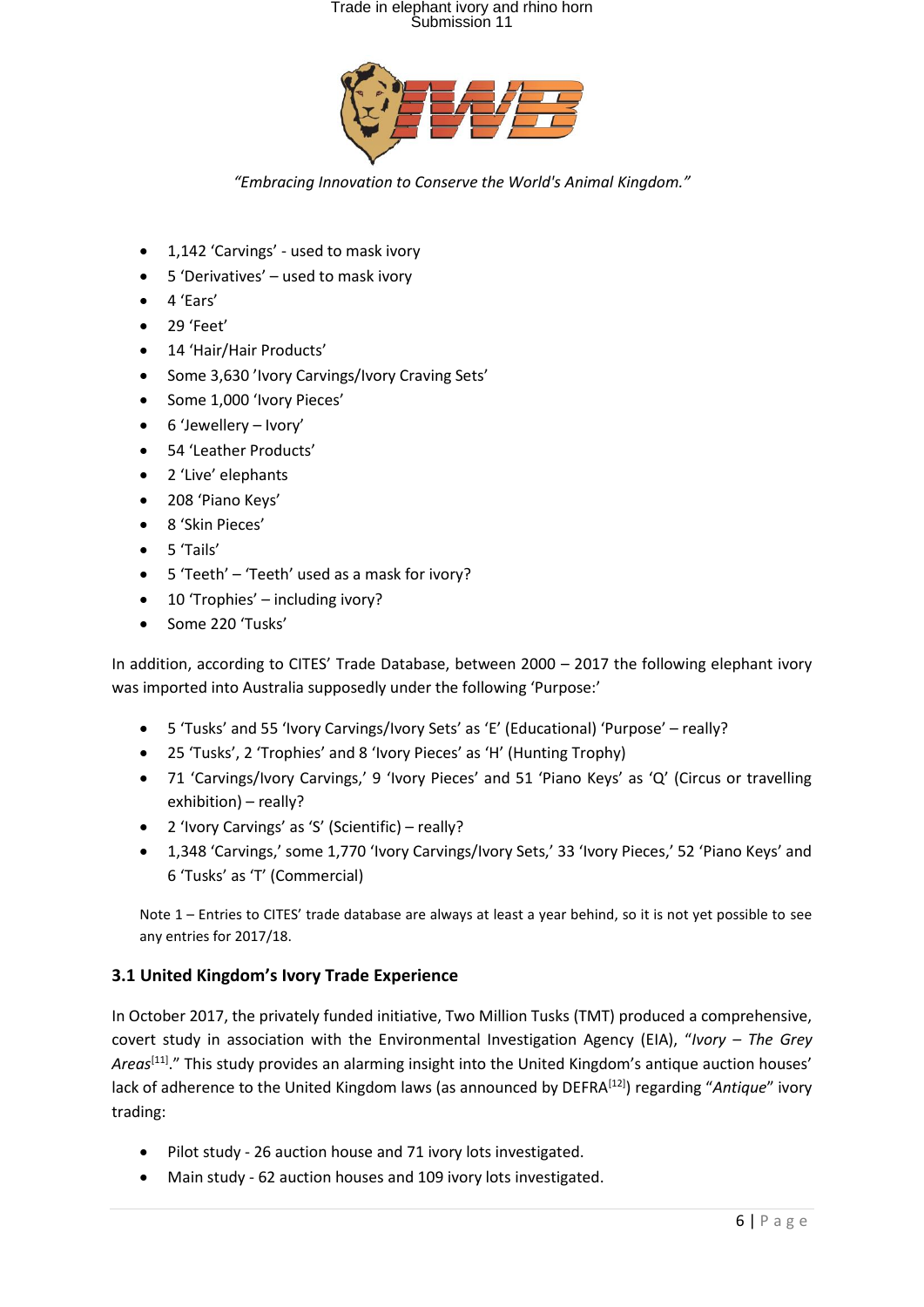

*"Embracing Innovation to Conserve the World's Animal Kingdom."*

- 1,142 'Carvings' used to mask ivory
- 5 'Derivatives' used to mask ivory
- 4 'Ears'
- 29 'Feet'
- 14 'Hair/Hair Products'
- Some 3,630 'Ivory Carvings/Ivory Craving Sets'
- Some 1,000 'Ivory Pieces'
- 6 'Jewellery Ivory'
- 54 'Leather Products'
- 2 'Live' elephants
- 208 'Piano Keys'
- 8 'Skin Pieces'
- 5 'Tails'
- 5 'Teeth' 'Teeth' used as a mask for ivory?
- 10 'Trophies' including ivory?
- Some 220 'Tusks'

In addition, according to CITES' Trade Database, between 2000 – 2017 the following elephant ivory was imported into Australia supposedly under the following 'Purpose:'

- 5 'Tusks' and 55 'Ivory Carvings/Ivory Sets' as 'E' (Educational) 'Purpose' really?
- 25 'Tusks', 2 'Trophies' and 8 'Ivory Pieces' as 'H' (Hunting Trophy)
- 71 'Carvings/Ivory Carvings,' 9 'Ivory Pieces' and 51 'Piano Keys' as 'Q' (Circus or travelling exhibition) – really?
- 2 'Ivory Carvings' as 'S' (Scientific) really?
- 1,348 'Carvings,' some 1,770 'Ivory Carvings/Ivory Sets,' 33 'Ivory Pieces,' 52 'Piano Keys' and 6 'Tusks' as 'T' (Commercial)

Note 1 – Entries to CITES' trade database are always at least a year behind, so it is not yet possible to see any entries for 2017/18.

#### **3.1 United Kingdom's Ivory Trade Experience**

In October 2017, the privately funded initiative, Two Million Tusks (TMT) produced a comprehensive, covert study in association with the Environmental Investigation Agency (EIA), "*Ivory – The Grey*  Areas<sup>[11]</sup>." This study provides an alarming insight into the United Kingdom's antique auction houses' lack of adherence to the United Kingdom laws (as announced by DEFRA<sup>[12]</sup>) regarding "Antique" ivory trading:

- Pilot study 26 auction house and 71 ivory lots investigated.
- Main study 62 auction houses and 109 ivory lots investigated.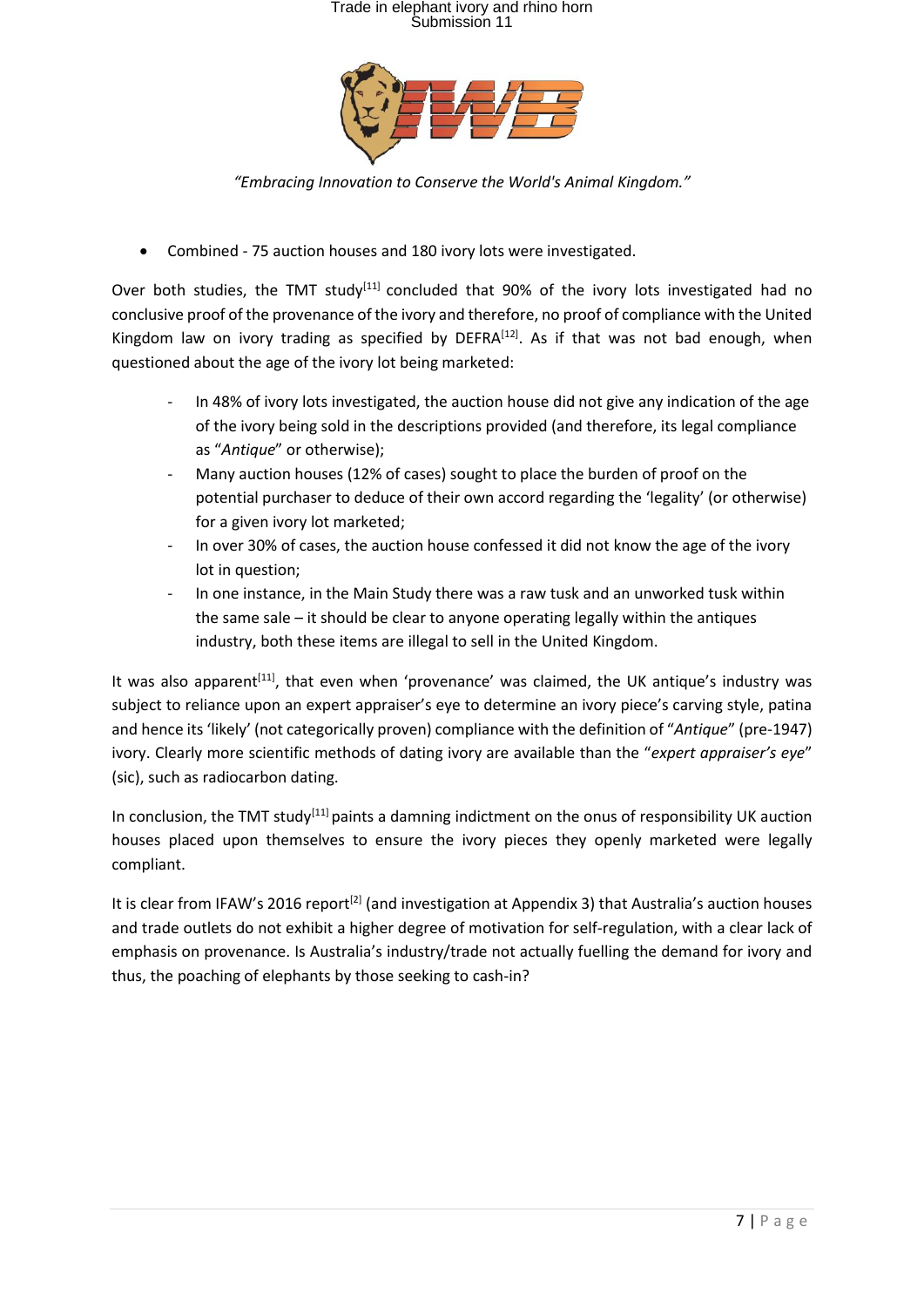

*"Embracing Innovation to Conserve the World's Animal Kingdom."*

• Combined - 75 auction houses and 180 ivory lots were investigated.

Over both studies, the TMT study<sup>[11]</sup> concluded that 90% of the ivory lots investigated had no conclusive proof of the provenance of the ivory and therefore, no proof of compliance with the United Kingdom law on ivory trading as specified by  $DEFRA^{[12]}$ . As if that was not bad enough, when questioned about the age of the ivory lot being marketed:

- In 48% of ivory lots investigated, the auction house did not give any indication of the age of the ivory being sold in the descriptions provided (and therefore, its legal compliance as "*Antique*" or otherwise);
- Many auction houses (12% of cases) sought to place the burden of proof on the potential purchaser to deduce of their own accord regarding the 'legality' (or otherwise) for a given ivory lot marketed;
- In over 30% of cases, the auction house confessed it did not know the age of the ivory lot in question:
- In one instance, in the Main Study there was a raw tusk and an unworked tusk within the same sale – it should be clear to anyone operating legally within the antiques industry, both these items are illegal to sell in the United Kingdom.

It was also apparent<sup>[11]</sup>, that even when 'provenance' was claimed, the UK antique's industry was subject to reliance upon an expert appraiser's eye to determine an ivory piece's carving style, patina and hence its 'likely' (not categorically proven) compliance with the definition of "*Antique*" (pre-1947) ivory. Clearly more scientific methods of dating ivory are available than the "*expert appraiser's eye*" (sic), such as radiocarbon dating.

In conclusion, the TMT study<sup>[11]</sup> paints a damning indictment on the onus of responsibility UK auction houses placed upon themselves to ensure the ivory pieces they openly marketed were legally compliant.

It is clear from IFAW's 2016 report<sup>[2]</sup> (and investigation at Appendix 3) that Australia's auction houses and trade outlets do not exhibit a higher degree of motivation for self-regulation, with a clear lack of emphasis on provenance. Is Australia's industry/trade not actually fuelling the demand for ivory and thus, the poaching of elephants by those seeking to cash-in?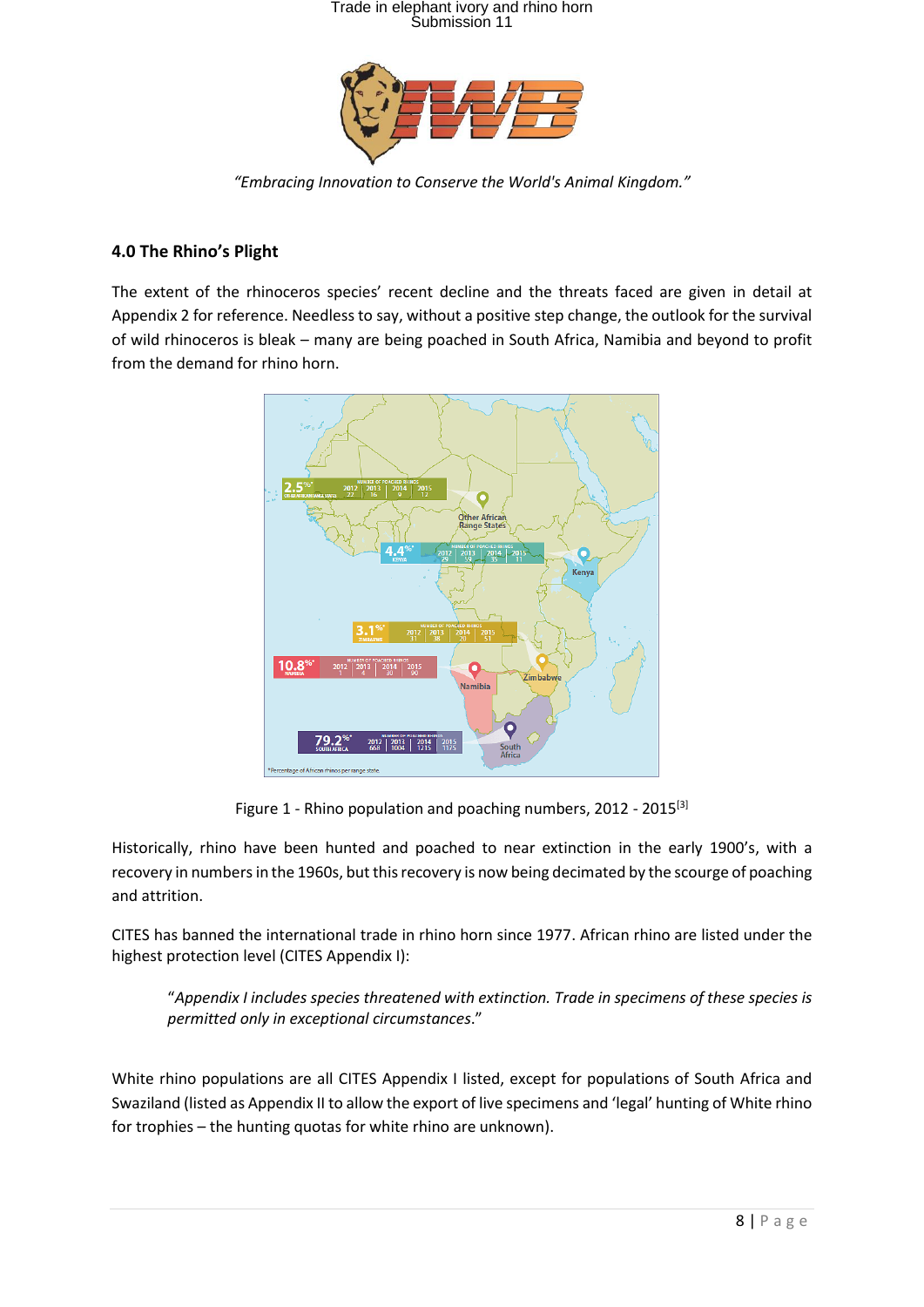

*"Embracing Innovation to Conserve the World's Animal Kingdom."*

#### **4.0 The Rhino's Plight**

The extent of the rhinoceros species' recent decline and the threats faced are given in detail at Appendix 2 for reference. Needless to say, without a positive step change, the outlook for the survival of wild rhinoceros is bleak – many are being poached in South Africa, Namibia and beyond to profit from the demand for rhino horn.



Figure 1 - Rhino population and poaching numbers, 2012 - 2015<sup>[3]</sup>

Historically, rhino have been hunted and poached to near extinction in the early 1900's, with a recovery in numbers in the 1960s, but this recovery is now being decimated by the scourge of poaching and attrition.

CITES has banned the international trade in rhino horn since 1977. African rhino are listed under the highest protection level (CITES Appendix I):

"*Appendix I includes species threatened with extinction. Trade in specimens of these species is permitted only in exceptional circumstances*."

White rhino populations are all CITES Appendix I listed, except for populations of South Africa and Swaziland (listed as Appendix II to allow the export of live specimens and 'legal' hunting of White rhino for trophies – the hunting quotas for white rhino are unknown).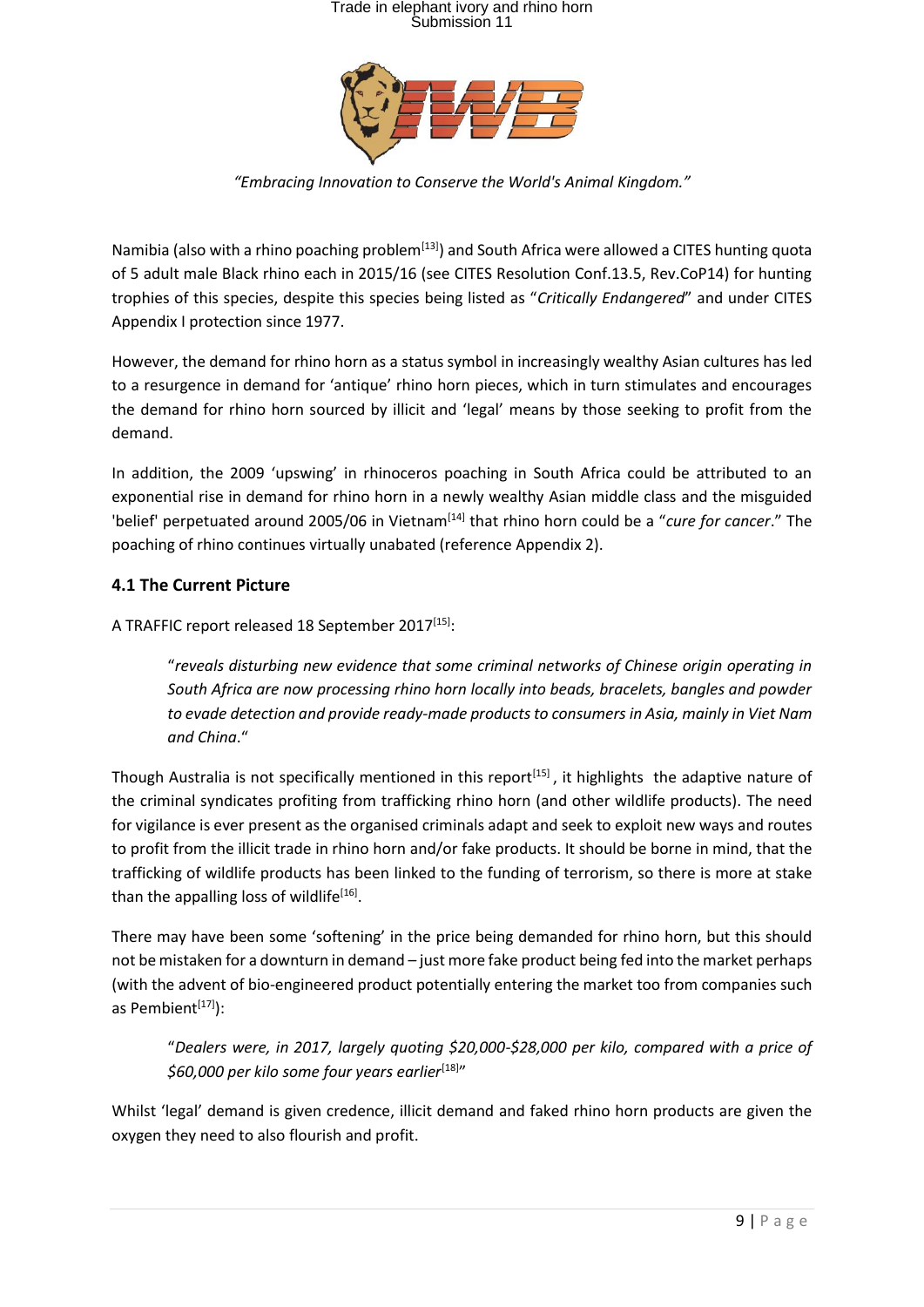

*"Embracing Innovation to Conserve the World's Animal Kingdom."*

Namibia (also with a rhino poaching problem<sup>[13]</sup>) and South Africa were allowed a CITES hunting quota of 5 adult male Black rhino each in 2015/16 (see CITES Resolution Conf.13.5, Rev.CoP14) for hunting trophies of this species, despite this species being listed as "*Critically Endangered*" and under CITES Appendix I protection since 1977.

However, the demand for rhino horn as a status symbol in increasingly wealthy Asian cultures has led to a resurgence in demand for 'antique' rhino horn pieces, which in turn stimulates and encourages the demand for rhino horn sourced by illicit and 'legal' means by those seeking to profit from the demand.

In addition, the 2009 'upswing' in rhinoceros poaching in South Africa could be attributed to an exponential rise in demand for rhino horn in a newly wealthy Asian middle class and the misguided 'belief' perpetuated around 2005/06 in Vietnam[14] that rhino horn could be a "*cure for cancer*." The poaching of rhino continues virtually unabated (reference Appendix 2).

#### **4.1 The Current Picture**

A TRAFFIC report released 18 September 2017<sup>[15]</sup>:

"*reveals disturbing new evidence that some criminal networks of Chinese origin operating in South Africa are now processing rhino horn locally into beads, bracelets, bangles and powder to evade detection and provide ready-made products to consumers in Asia, mainly in Viet Nam and China*."

Though Australia is not specifically mentioned in this report<sup>[15]</sup>, it highlights the adaptive nature of the criminal syndicates profiting from trafficking rhino horn (and other wildlife products). The need for vigilance is ever present as the organised criminals adapt and seek to exploit new ways and routes to profit from the illicit trade in rhino horn and/or fake products. It should be borne in mind, that the trafficking of wildlife products has been linked to the funding of terrorism, so there is more at stake than the appalling loss of wildlife<sup>[16]</sup>.

There may have been some 'softening' in the price being demanded for rhino horn, but this should not be mistaken for a downturn in demand – just more fake product being fed into the market perhaps (with the advent of bio-engineered product potentially entering the market too from companies such as Pembient $[17]$ :

"*Dealers were, in 2017, largely quoting \$20,000-\$28,000 per kilo, compared with a price of \$60,000 per kilo some four years earlier*[18] "

Whilst 'legal' demand is given credence, illicit demand and faked rhino horn products are given the oxygen they need to also flourish and profit.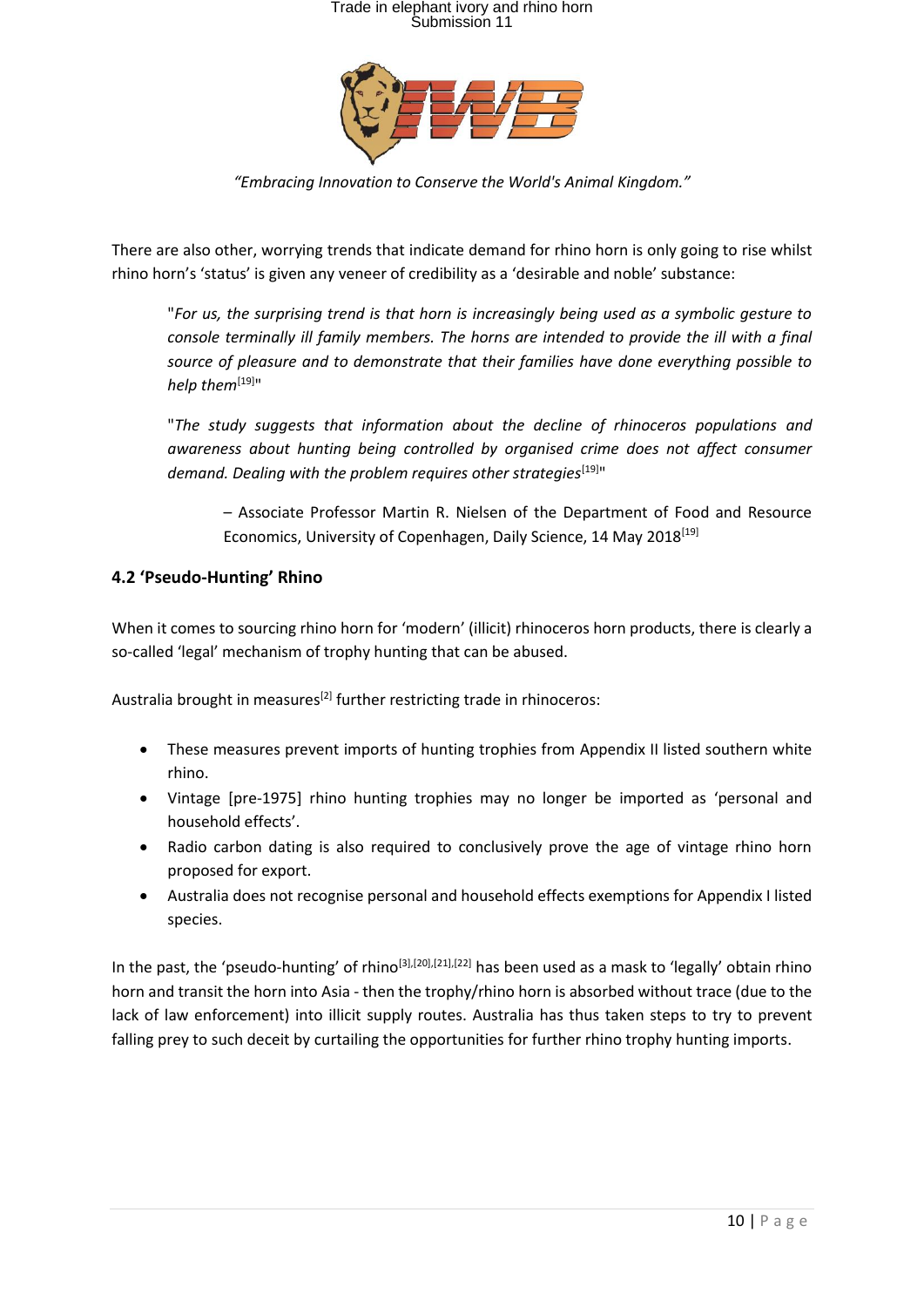

*"Embracing Innovation to Conserve the World's Animal Kingdom."*

There are also other, worrying trends that indicate demand for rhino horn is only going to rise whilst rhino horn's 'status' is given any veneer of credibility as a 'desirable and noble' substance:

"*For us, the surprising trend is that horn is increasingly being used as a symbolic gesture to console terminally ill family members. The horns are intended to provide the ill with a final source of pleasure and to demonstrate that their families have done everything possible to help them*[19]"

"*The study suggests that information about the decline of rhinoceros populations and awareness about hunting being controlled by organised crime does not affect consumer demand. Dealing with the problem requires other strategies*[19]"

– Associate Professor Martin R. Nielsen of the Department of Food and Resource Economics, University of Copenhagen, Daily Science, 14 May 2018<sup>[19]</sup>

#### **4.2 'Pseudo-Hunting' Rhino**

When it comes to sourcing rhino horn for 'modern' (illicit) rhinoceros horn products, there is clearly a so-called 'legal' mechanism of trophy hunting that can be abused.

Australia brought in measures<sup>[2]</sup> further restricting trade in rhinoceros:

- These measures prevent imports of hunting trophies from Appendix II listed southern white rhino.
- Vintage [pre-1975] rhino hunting trophies may no longer be imported as 'personal and household effects'.
- Radio carbon dating is also required to conclusively prove the age of vintage rhino horn proposed for export.
- Australia does not recognise personal and household effects exemptions for Appendix I listed species.

In the past, the 'pseudo-hunting' of rhino[3],[20],[21],[22] has been used as a mask to 'legally' obtain rhino horn and transit the horn into Asia - then the trophy/rhino horn is absorbed without trace (due to the lack of law enforcement) into illicit supply routes. Australia has thus taken steps to try to prevent falling prey to such deceit by curtailing the opportunities for further rhino trophy hunting imports.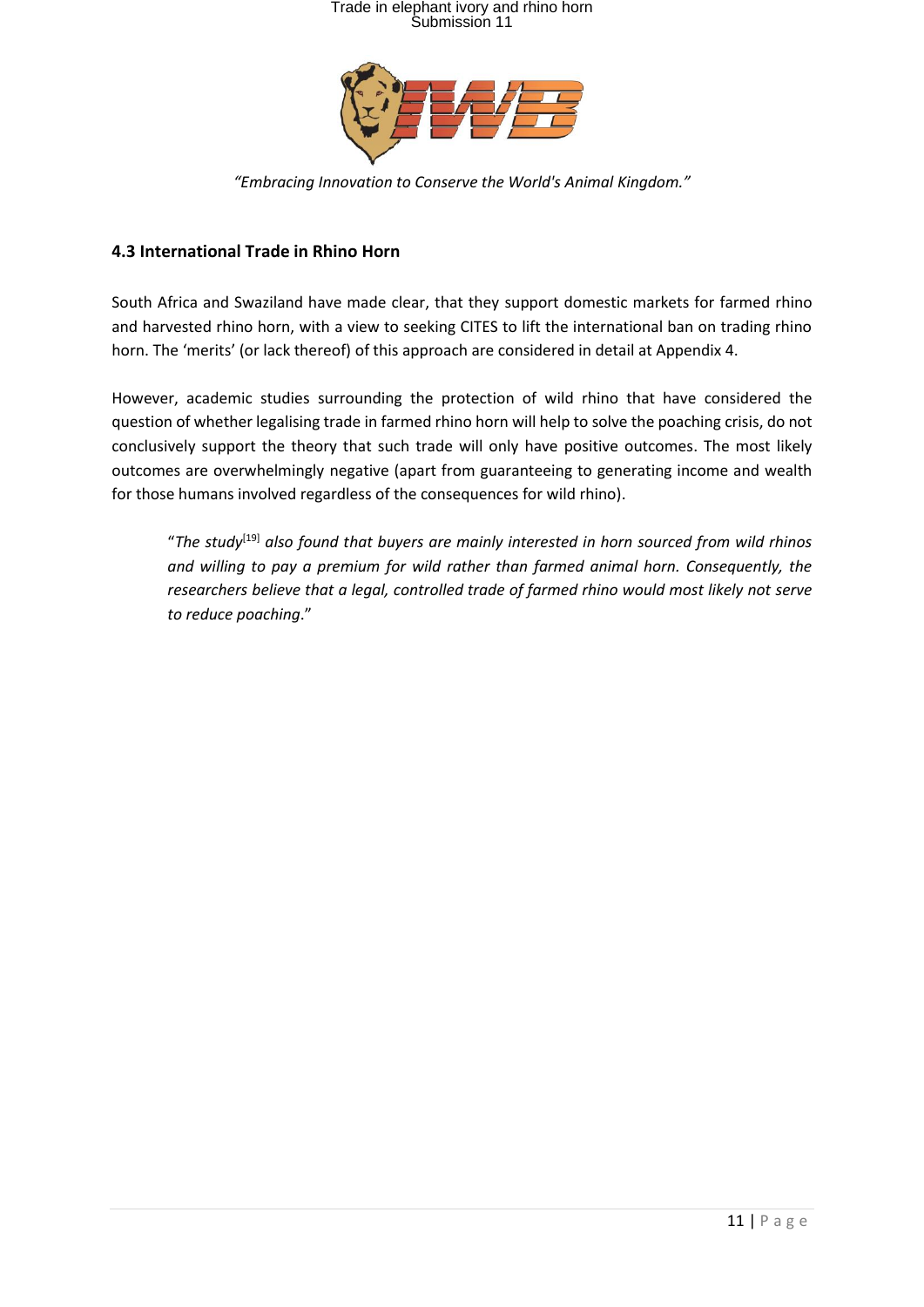

*"Embracing Innovation to Conserve the World's Animal Kingdom."*

#### **4.3 International Trade in Rhino Horn**

South Africa and Swaziland have made clear, that they support domestic markets for farmed rhino and harvested rhino horn, with a view to seeking CITES to lift the international ban on trading rhino horn. The 'merits' (or lack thereof) of this approach are considered in detail at Appendix 4.

However, academic studies surrounding the protection of wild rhino that have considered the question of whether legalising trade in farmed rhino horn will help to solve the poaching crisis, do not conclusively support the theory that such trade will only have positive outcomes. The most likely outcomes are overwhelmingly negative (apart from guaranteeing to generating income and wealth for those humans involved regardless of the consequences for wild rhino).

"*The study*[19] *also found that buyers are mainly interested in horn sourced from wild rhinos and willing to pay a premium for wild rather than farmed animal horn. Consequently, the researchers believe that a legal, controlled trade of farmed rhino would most likely not serve to reduce poaching*."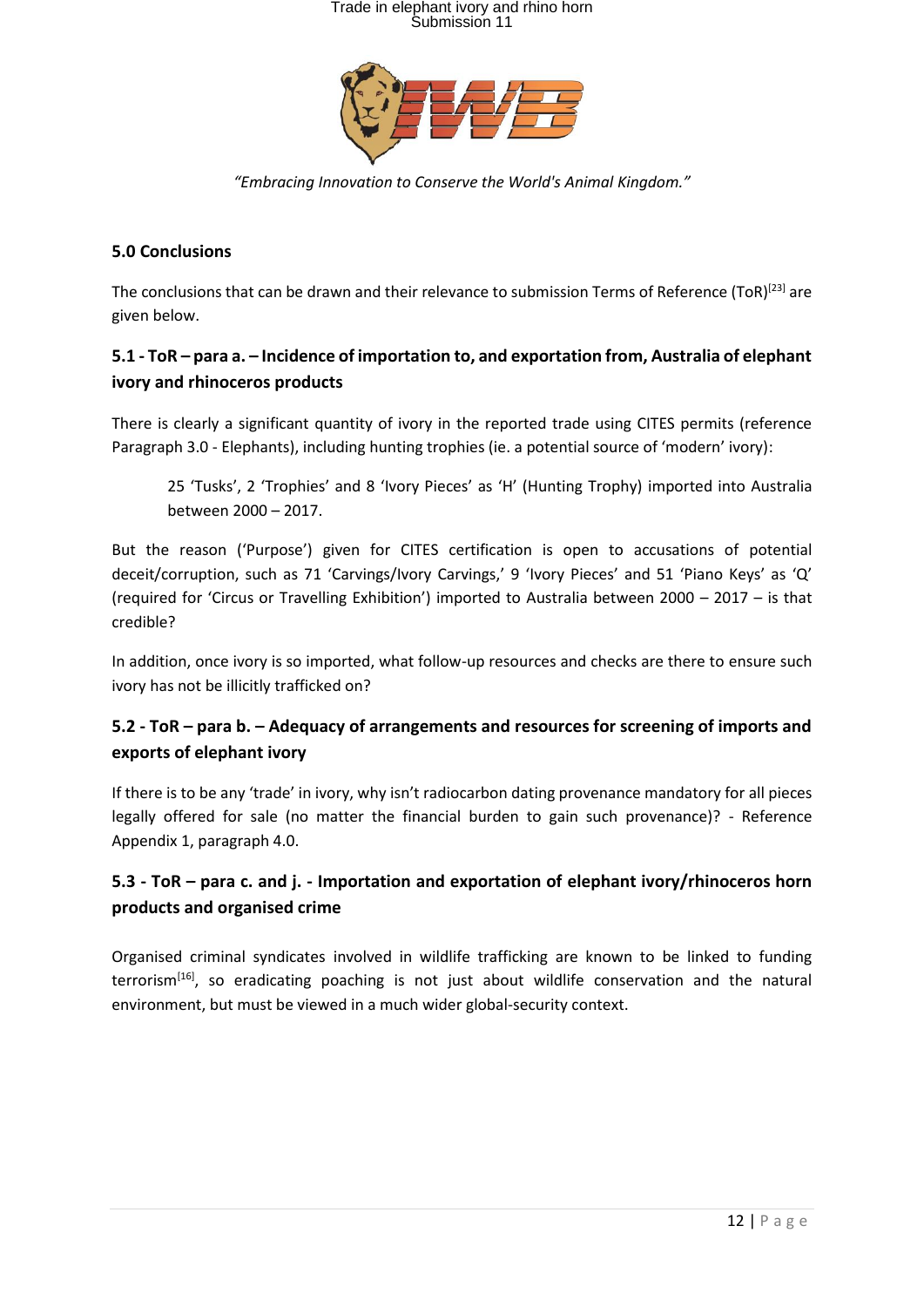

*"Embracing Innovation to Conserve the World's Animal Kingdom."*

#### **5.0 Conclusions**

The conclusions that can be drawn and their relevance to submission Terms of Reference (ToR)<sup>[23]</sup> are given below.

### **5.1 - ToR – para a. – Incidence of importation to, and exportation from, Australia of elephant ivory and rhinoceros products**

There is clearly a significant quantity of ivory in the reported trade using CITES permits (reference Paragraph 3.0 - Elephants), including hunting trophies (ie. a potential source of 'modern' ivory):

25 'Tusks', 2 'Trophies' and 8 'Ivory Pieces' as 'H' (Hunting Trophy) imported into Australia between 2000 – 2017.

But the reason ('Purpose') given for CITES certification is open to accusations of potential deceit/corruption, such as 71 'Carvings/Ivory Carvings,' 9 'Ivory Pieces' and 51 'Piano Keys' as 'Q' (required for 'Circus or Travelling Exhibition') imported to Australia between 2000 – 2017 – is that credible?

In addition, once ivory is so imported, what follow-up resources and checks are there to ensure such ivory has not be illicitly trafficked on?

### **5.2 - ToR – para b. – Adequacy of arrangements and resources for screening of imports and exports of elephant ivory**

If there is to be any 'trade' in ivory, why isn't radiocarbon dating provenance mandatory for all pieces legally offered for sale (no matter the financial burden to gain such provenance)? - Reference Appendix 1, paragraph 4.0.

### **5.3 - ToR – para c. and j. - Importation and exportation of elephant ivory/rhinoceros horn products and organised crime**

Organised criminal syndicates involved in wildlife trafficking are known to be linked to funding terrorism<sup>[16]</sup>, so eradicating poaching is not just about wildlife conservation and the natural environment, but must be viewed in a much wider global-security context.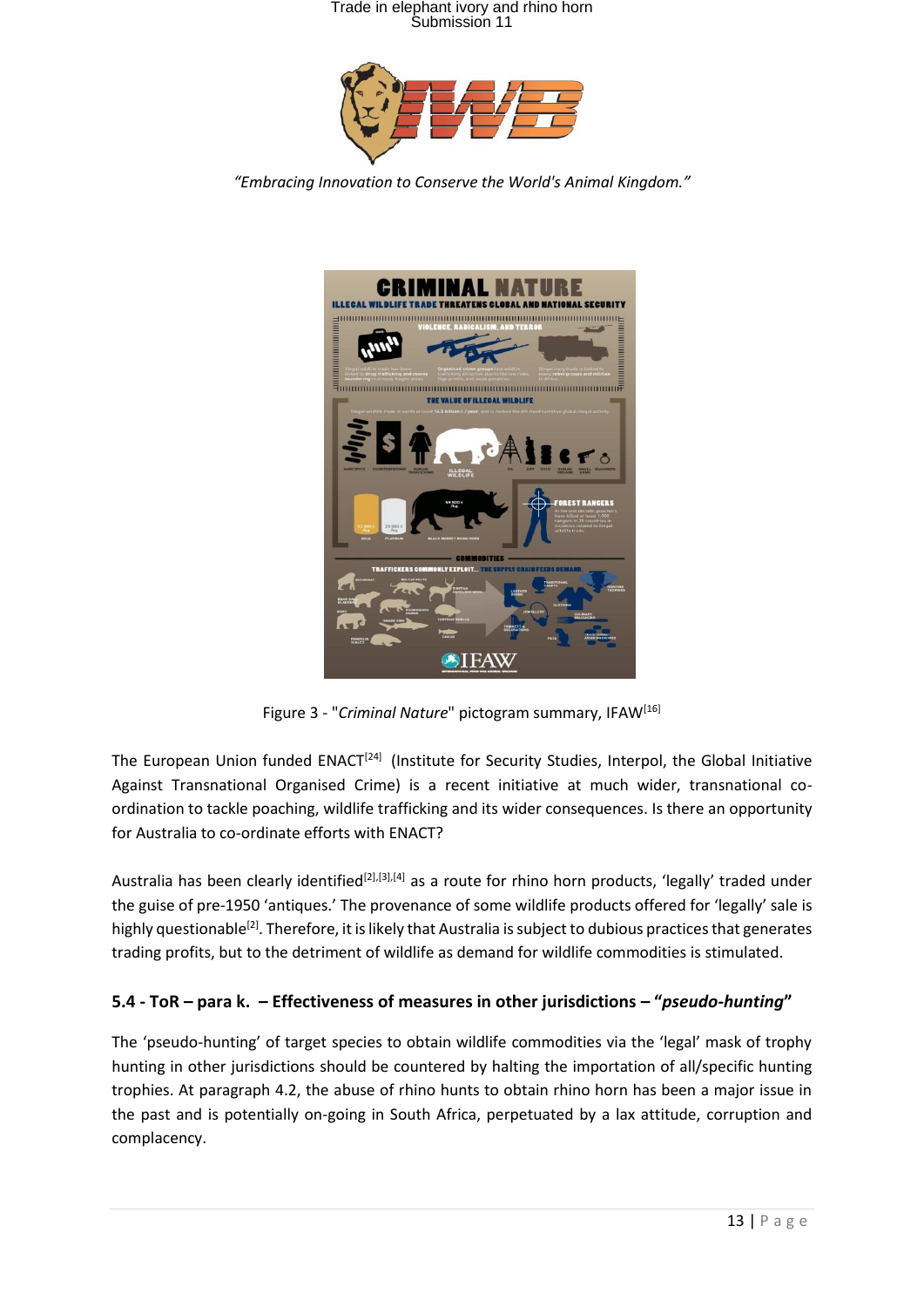

*"Embracing Innovation to Conserve the World's Animal Kingdom."*



Figure 3 - "*Criminal Nature*" pictogram summary, IFAW<sup>[16]</sup>

The European Union funded ENACT<sup>[24]</sup> (Institute for Security Studies, Interpol, the Global Initiative Against Transnational Organised Crime) is a recent initiative at much wider, transnational coordination to tackle poaching, wildlife trafficking and its wider consequences. Is there an opportunity for Australia to co-ordinate efforts with ENACT?

Australia has been clearly identified<sup>[2],[3],[4]</sup> as a route for rhino horn products, 'legally' traded under the guise of pre-1950 'antiques.' The provenance of some wildlife products offered for 'legally' sale is highly questionable<sup>[2]</sup>. Therefore, it is likely that Australia is subject to dubious practices that generates trading profits, but to the detriment of wildlife as demand for wildlife commodities is stimulated.

#### **5.4 - ToR – para k. – Effectiveness of measures in other jurisdictions – "***pseudo-hunting***"**

The 'pseudo-hunting' of target species to obtain wildlife commodities via the 'legal' mask of trophy hunting in other jurisdictions should be countered by halting the importation of all/specific hunting trophies. At paragraph 4.2, the abuse of rhino hunts to obtain rhino horn has been a major issue in the past and is potentially on-going in South Africa, perpetuated by a lax attitude, corruption and complacency.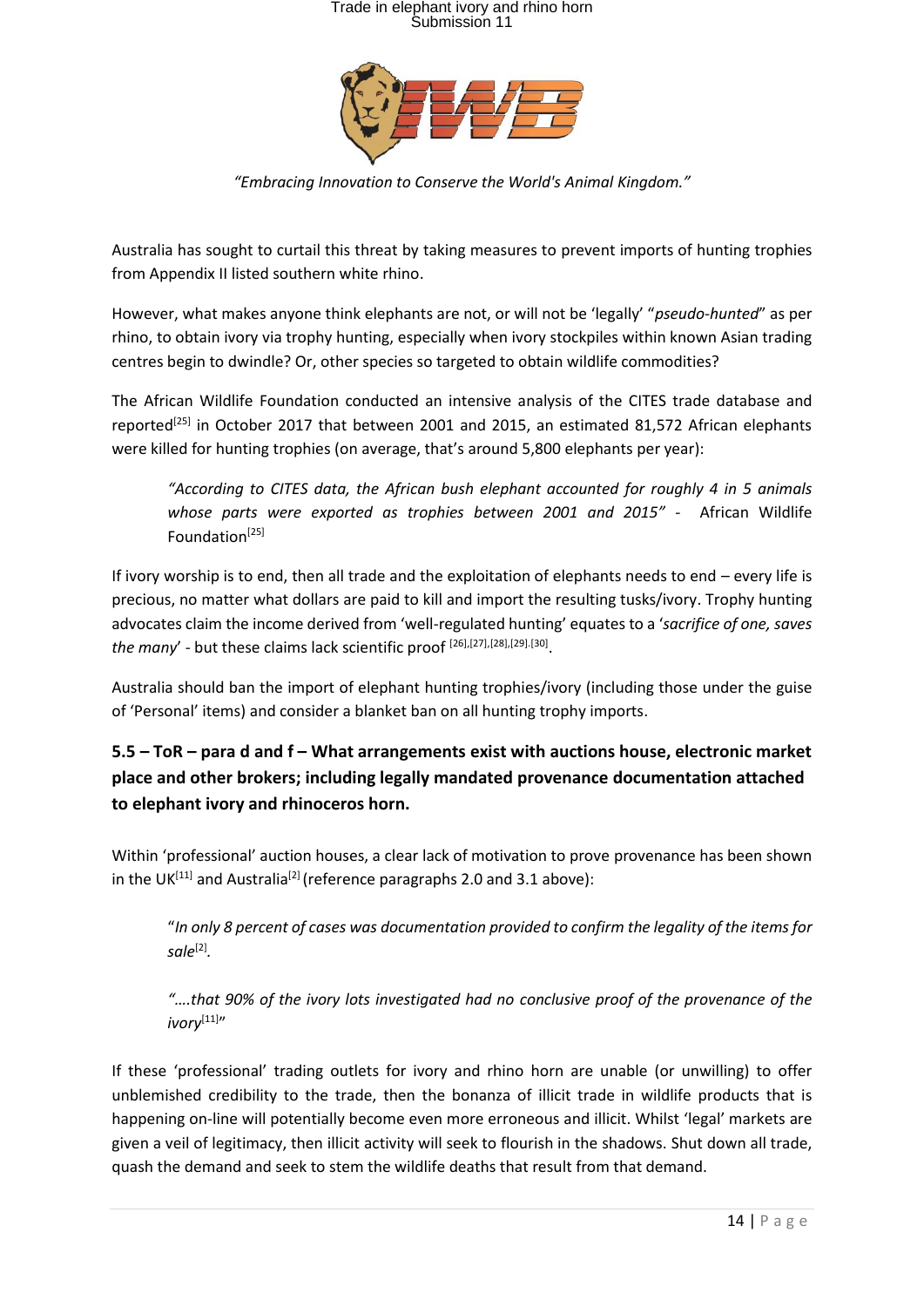

*"Embracing Innovation to Conserve the World's Animal Kingdom."*

Australia has sought to curtail this threat by taking measures to prevent imports of hunting trophies from Appendix II listed southern white rhino.

However, what makes anyone think elephants are not, or will not be 'legally' "*pseudo-hunted*" as per rhino, to obtain ivory via trophy hunting, especially when ivory stockpiles within known Asian trading centres begin to dwindle? Or, other species so targeted to obtain wildlife commodities?

The African Wildlife Foundation conducted an intensive analysis of the CITES trade database and reported<sup>[25]</sup> in October 2017 that between 2001 and 2015, an estimated 81,572 African elephants were killed for hunting trophies (on average, that's around 5,800 elephants per year):

*"According to CITES data, the African bush elephant accounted for roughly 4 in 5 animals whose parts were exported as trophies between 2001 and 2015" -* African Wildlife Foundation<sup>[25]</sup>

If ivory worship is to end, then all trade and the exploitation of elephants needs to end – every life is precious, no matter what dollars are paid to kill and import the resulting tusks/ivory. Trophy hunting advocates claim the income derived from 'well-regulated hunting' equates to a '*sacrifice of one, saves*  the many' - but these claims lack scientific proof <sup>[26],[27],[28],[29].[30]</sup>.

Australia should ban the import of elephant hunting trophies/ivory (including those under the guise of 'Personal' items) and consider a blanket ban on all hunting trophy imports.

### **5.5 – ToR – para d and f – What arrangements exist with auctions house, electronic market place and other brokers; including legally mandated provenance documentation attached to elephant ivory and rhinoceros horn.**

Within 'professional' auction houses, a clear lack of motivation to prove provenance has been shown in the UK<sup>[11]</sup> and Australia<sup>[2]</sup> (reference paragraphs 2.0 and 3.1 above):

"*In only 8 percent of cases was documentation provided to confirm the legality of the items for sale*[2] *.*

*"….that 90% of the ivory lots investigated had no conclusive proof of the provenance of the*  ivory<sup>[11]</sup>"

If these 'professional' trading outlets for ivory and rhino horn are unable (or unwilling) to offer unblemished credibility to the trade, then the bonanza of illicit trade in wildlife products that is happening on-line will potentially become even more erroneous and illicit. Whilst 'legal' markets are given a veil of legitimacy, then illicit activity will seek to flourish in the shadows. Shut down all trade, quash the demand and seek to stem the wildlife deaths that result from that demand.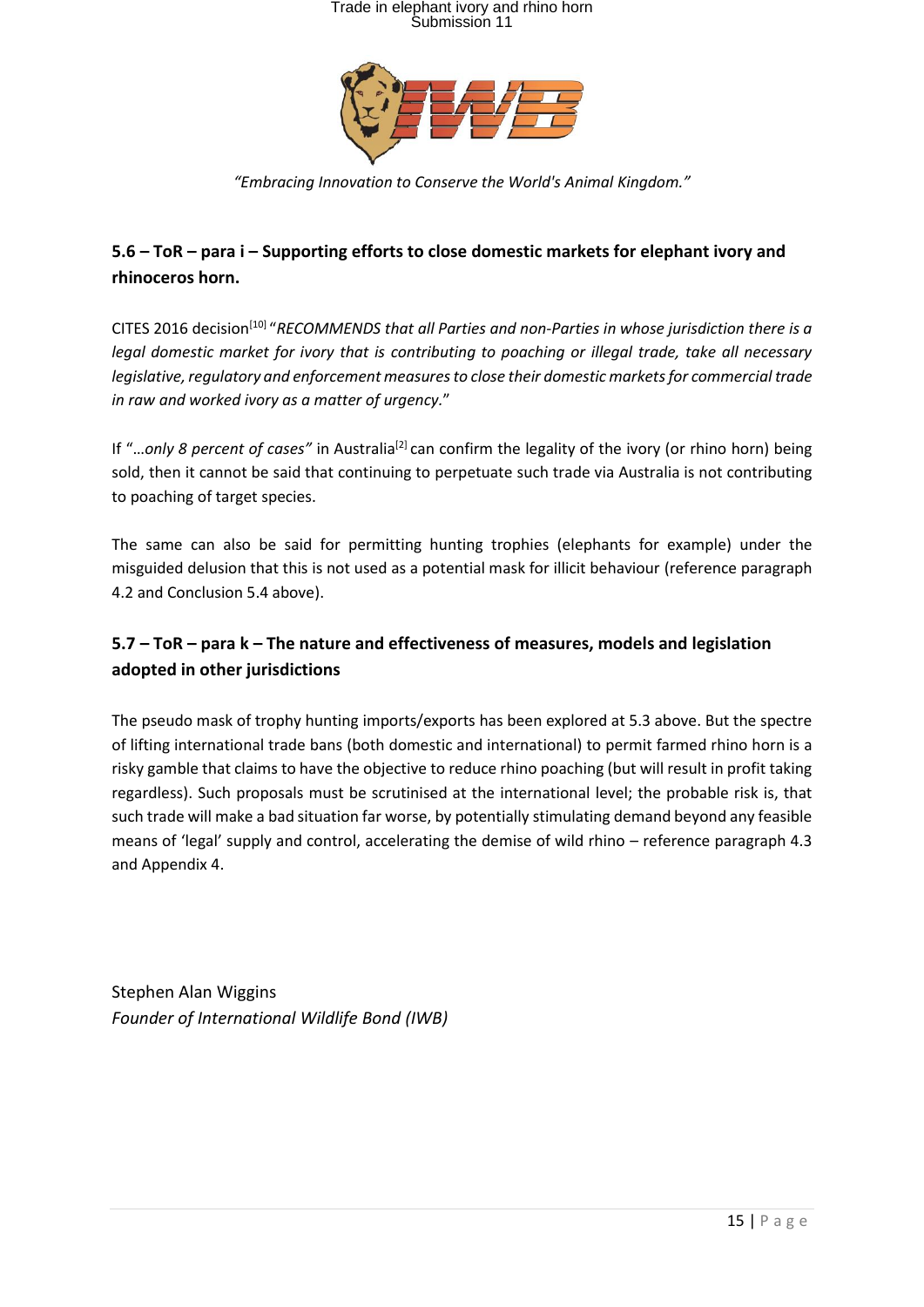

*"Embracing Innovation to Conserve the World's Animal Kingdom."*

### **5.6 – ToR – para i – Supporting efforts to close domestic markets for elephant ivory and rhinoceros horn.**

CITES 2016 decision<sup>[10]</sup> "RECOMMENDS that all Parties and non-Parties in whose jurisdiction there is a *legal domestic market for ivory that is contributing to poaching or illegal trade, take all necessary legislative, regulatory and enforcement measures to close their domestic markets for commercial trade in raw and worked ivory as a matter of urgency.*"

If "...only 8 percent of cases" in Australia<sup>[2]</sup> can confirm the legality of the ivory (or rhino horn) being sold, then it cannot be said that continuing to perpetuate such trade via Australia is not contributing to poaching of target species.

The same can also be said for permitting hunting trophies (elephants for example) under the misguided delusion that this is not used as a potential mask for illicit behaviour (reference paragraph 4.2 and Conclusion 5.4 above).

### **5.7 – ToR – para k – The nature and effectiveness of measures, models and legislation adopted in other jurisdictions**

The pseudo mask of trophy hunting imports/exports has been explored at 5.3 above. But the spectre of lifting international trade bans (both domestic and international) to permit farmed rhino horn is a risky gamble that claims to have the objective to reduce rhino poaching (but will result in profit taking regardless). Such proposals must be scrutinised at the international level; the probable risk is, that such trade will make a bad situation far worse, by potentially stimulating demand beyond any feasible means of 'legal' supply and control, accelerating the demise of wild rhino – reference paragraph 4.3 and Appendix 4.

Stephen Alan Wiggins *Founder of International Wildlife Bond (IWB)*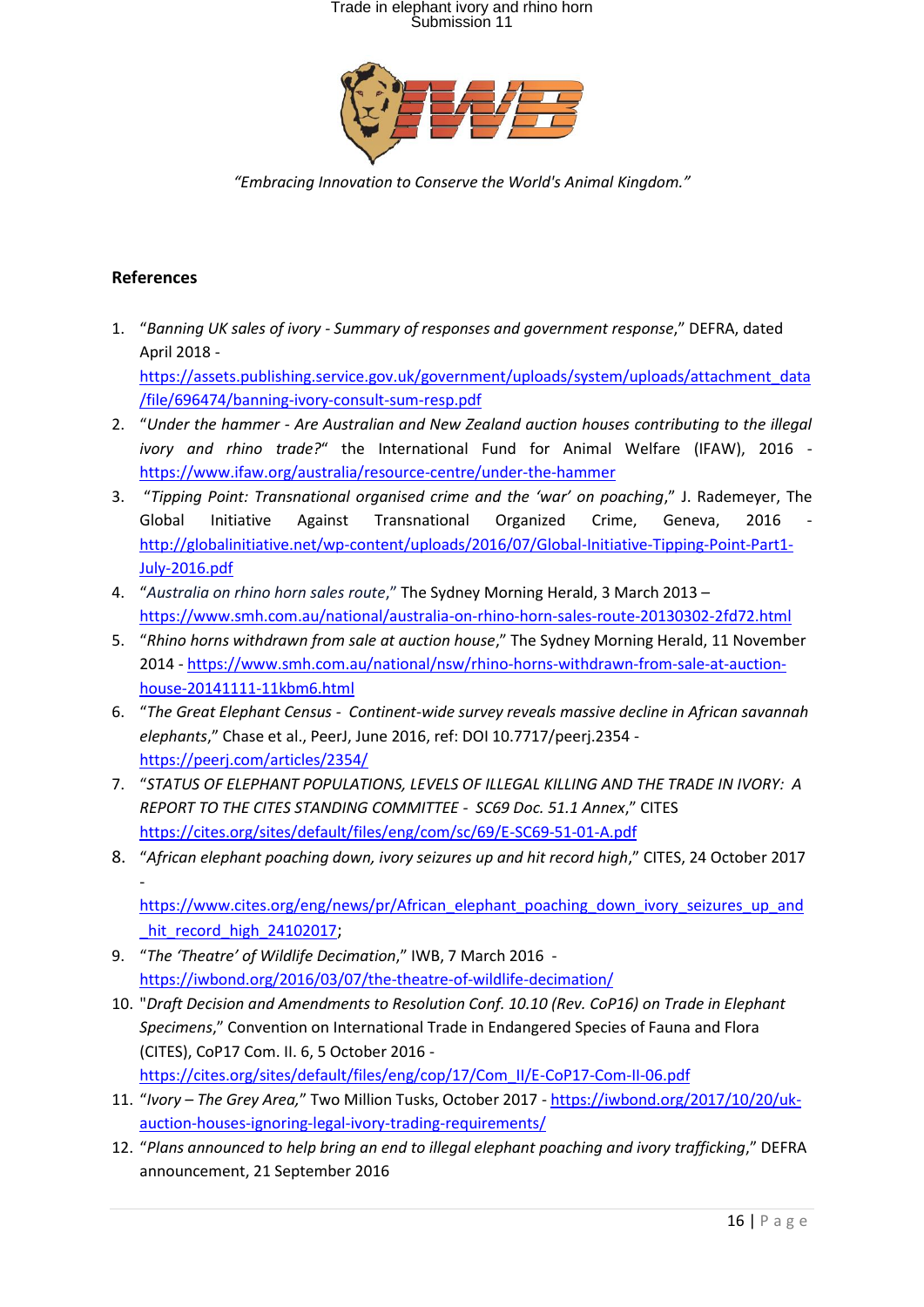

*"Embracing Innovation to Conserve the World's Animal Kingdom."*

#### **References**

- 1. "*Banning UK sales of ivory - Summary of responses and government response*," DEFRA, dated April 2018 [https://assets.publishing.service.gov.uk/government/uploads/system/uploads/attachment\\_data](https://assets.publishing.service.gov.uk/government/uploads/system/uploads/attachment_data/file/696474/banning-ivory-consult-sum-resp.pdf) [/file/696474/banning-ivory-consult-sum-resp.pdf](https://assets.publishing.service.gov.uk/government/uploads/system/uploads/attachment_data/file/696474/banning-ivory-consult-sum-resp.pdf)
- 2. "*Under the hammer - Are Australian and New Zealand auction houses contributing to the illegal ivory and rhino trade?*" the International Fund for Animal Welfare (IFAW), 2016 <https://www.ifaw.org/australia/resource-centre/under-the-hammer>
- 3. "*Tipping Point: Transnational organised crime and the 'war' on poaching*," J. Rademeyer, The Global Initiative Against Transnational Organized Crime, Geneva, 2016 [http://globalinitiative.net/wp-content/uploads/2016/07/Global-Initiative-Tipping-Point-Part1-](http://globalinitiative.net/wp-content/uploads/2016/07/Global-Initiative-Tipping-Point-Part1-July-2016.pdf) [July-2016.pdf](http://globalinitiative.net/wp-content/uploads/2016/07/Global-Initiative-Tipping-Point-Part1-July-2016.pdf)
- 4. "*Australia on rhino horn sales route*," The Sydney Morning Herald, 3 March 2013 <https://www.smh.com.au/national/australia-on-rhino-horn-sales-route-20130302-2fd72.html>
- 5. "*Rhino horns withdrawn from sale at auction house*," The Sydney Morning Herald, 11 November 2014 - [https://www.smh.com.au/national/nsw/rhino-horns-withdrawn-from-sale-at-auction](https://www.smh.com.au/national/nsw/rhino-horns-withdrawn-from-sale-at-auction-house-20141111-11kbm6.html)[house-20141111-11kbm6.html](https://www.smh.com.au/national/nsw/rhino-horns-withdrawn-from-sale-at-auction-house-20141111-11kbm6.html)
- 6. "*The Great Elephant Census Continent-wide survey reveals massive decline in African savannah elephants*," Chase et al., PeerJ, June 2016, ref: DOI 10.7717/peerj.2354 <https://peerj.com/articles/2354/>
- 7. "*STATUS OF ELEPHANT POPULATIONS, LEVELS OF ILLEGAL KILLING AND THE TRADE IN IVORY: A REPORT TO THE CITES STANDING COMMITTEE - SC69 Doc. 51.1 Annex*," CITES <https://cites.org/sites/default/files/eng/com/sc/69/E-SC69-51-01-A.pdf>
- 8. "*African elephant poaching down, ivory seizures up and hit record high*," CITES, 24 October 2017 -

[https://www.cites.org/eng/news/pr/African\\_elephant\\_poaching\\_down\\_ivory\\_seizures\\_up\\_and](https://www.cites.org/eng/news/pr/African_elephant_poaching_down_ivory_seizures_up_and_hit_record_high_24102017) hit\_record\_high\_24102017;

- 9. "*The 'Theatre' of Wildlife Decimation*," IWB, 7 March 2016 <https://iwbond.org/2016/03/07/the-theatre-of-wildlife-decimation/>
- 10. "*Draft Decision and Amendments to Resolution Conf. 10.10 (Rev. CoP16) on Trade in Elephant Specimens*," Convention on International Trade in Endangered Species of Fauna and Flora (CITES), CoP17 Com. II. 6, 5 October 2016 [https://cites.org/sites/default/files/eng/cop/17/Com\\_II/E-CoP17-Com-II-06.pdf](https://cites.org/sites/default/files/eng/cop/17/Com_II/E-CoP17-Com-II-06.pdf)

11. "*Ivory – The Grey Area,*" Two Million Tusks, October 2017 - [https://iwbond.org/2017/10/20/uk](https://iwbond.org/2017/10/20/uk-auction-houses-ignoring-legal-ivory-trading-requirements/)[auction-houses-ignoring-legal-ivory-trading-requirements/](https://iwbond.org/2017/10/20/uk-auction-houses-ignoring-legal-ivory-trading-requirements/)

12. "*Plans announced to help bring an end to illegal elephant poaching and ivory trafficking*," DEFRA announcement, 21 September 2016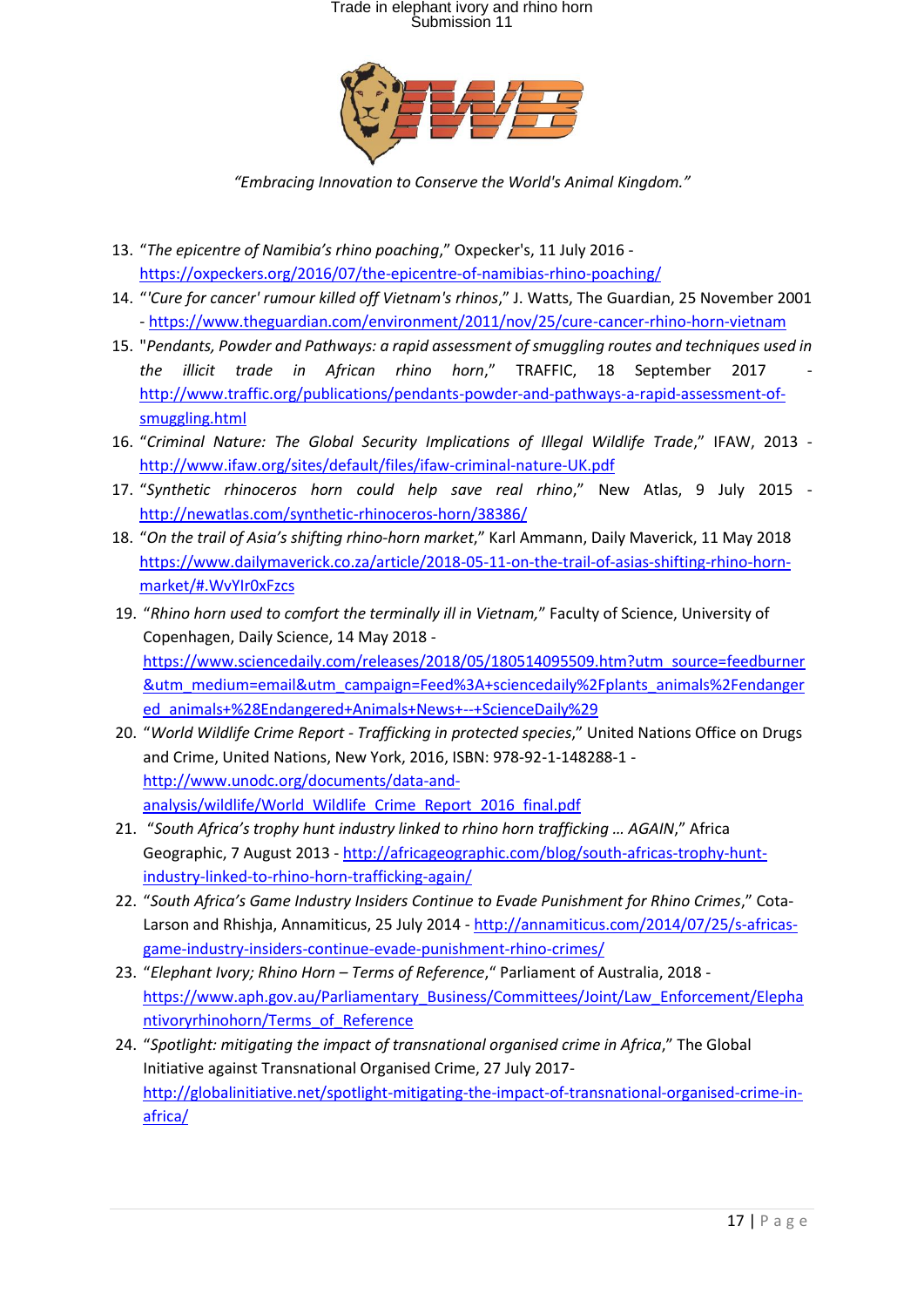

*"Embracing Innovation to Conserve the World's Animal Kingdom."*

- 13. "*The epicentre of Namibia's rhino poaching*," Oxpecker's, 11 July 2016 <https://oxpeckers.org/2016/07/the-epicentre-of-namibias-rhino-poaching/>
- 14. "*'Cure for cancer' rumour killed off Vietnam's rhinos*," J. Watts, The Guardian, 25 November 2001 - <https://www.theguardian.com/environment/2011/nov/25/cure-cancer-rhino-horn-vietnam>
- 15. "*Pendants, Powder and Pathways: a rapid assessment of smuggling routes and techniques used in the illicit trade in African rhino horn*," TRAFFIC, 18 September 2017 [http://www.traffic.org/publications/pendants-powder-and-pathways-a-rapid-assessment-of](http://www.traffic.org/publications/pendants-powder-and-pathways-a-rapid-assessment-of-smuggling.html)[smuggling.html](http://www.traffic.org/publications/pendants-powder-and-pathways-a-rapid-assessment-of-smuggling.html)
- 16. "*Criminal Nature: The Global Security Implications of Illegal Wildlife Trade*," IFAW, 2013 <http://www.ifaw.org/sites/default/files/ifaw-criminal-nature-UK.pdf>
- 17. "*Synthetic rhinoceros horn could help save real rhino*," New Atlas, 9 July 2015 <http://newatlas.com/synthetic-rhinoceros-horn/38386/>
- 18. "*On the trail of Asia's shifting rhino-horn market*," Karl Ammann, Daily Maverick, 11 May 2018 [https://www.dailymaverick.co.za/article/2018-05-11-on-the-trail-of-asias-shifting-rhino-horn](https://www.dailymaverick.co.za/article/2018-05-11-on-the-trail-of-asias-shifting-rhino-horn-market/#.WvYIr0xFzcs)[market/#.WvYIr0xFzcs](https://www.dailymaverick.co.za/article/2018-05-11-on-the-trail-of-asias-shifting-rhino-horn-market/#.WvYIr0xFzcs)
- 19. "*Rhino horn used to comfort the terminally ill in Vietnam,*" Faculty of Science, University of Copenhagen, Daily Science, 14 May 2018 [https://www.sciencedaily.com/releases/2018/05/180514095509.htm?utm\\_source=feedburner](https://www.sciencedaily.com/releases/2018/05/180514095509.htm?utm_source=feedburner&utm_medium=email&utm_campaign=Feed%3A+sciencedaily%2Fplants_animals%2Fendangered_animals+%28Endangered+Animals+News+--+ScienceDaily%29) [&utm\\_medium=email&utm\\_campaign=Feed%3A+sciencedaily%2Fplants\\_animals%2Fendanger](https://www.sciencedaily.com/releases/2018/05/180514095509.htm?utm_source=feedburner&utm_medium=email&utm_campaign=Feed%3A+sciencedaily%2Fplants_animals%2Fendangered_animals+%28Endangered+Animals+News+--+ScienceDaily%29) [ed\\_animals+%28Endangered+Animals+News+--+ScienceDaily%29](https://www.sciencedaily.com/releases/2018/05/180514095509.htm?utm_source=feedburner&utm_medium=email&utm_campaign=Feed%3A+sciencedaily%2Fplants_animals%2Fendangered_animals+%28Endangered+Animals+News+--+ScienceDaily%29)
- 20. "*World Wildlife Crime Report - Trafficking in protected species*," United Nations Office on Drugs and Crime, United Nations, New York, 2016, ISBN: 978-92-1-148288-1 [http://www.unodc.org/documents/data-and](http://www.unodc.org/documents/data-and-analysis/wildlife/World_Wildlife_Crime_Report_2016_final.pdf)[analysis/wildlife/World\\_Wildlife\\_Crime\\_Report\\_2016\\_final.pdf](http://www.unodc.org/documents/data-and-analysis/wildlife/World_Wildlife_Crime_Report_2016_final.pdf)
- 21. "*South Africa's trophy hunt industry linked to rhino horn trafficking … AGAIN*," Africa Geographic, 7 August 2013 - [http://africageographic.com/blog/south-africas-trophy-hunt](http://africageographic.com/blog/south-africas-trophy-hunt-industry-linked-to-rhino-horn-trafficking-again/)[industry-linked-to-rhino-horn-trafficking-again/](http://africageographic.com/blog/south-africas-trophy-hunt-industry-linked-to-rhino-horn-trafficking-again/)
- 22. "*South Africa's Game Industry Insiders Continue to Evade Punishment for Rhino Crimes*," CotaLarson and Rhishja, Annamiticus, 25 July 2014 - [http://annamiticus.com/2014/07/25/s-africas](http://annamiticus.com/2014/07/25/s-africas-game-industry-insiders-continue-evade-punishment-rhino-crimes/)[game-industry-insiders-continue-evade-punishment-rhino-crimes/](http://annamiticus.com/2014/07/25/s-africas-game-industry-insiders-continue-evade-punishment-rhino-crimes/)
- 23. "*Elephant Ivory; Rhino Horn – Terms of Reference*," Parliament of Australia, 2018 [https://www.aph.gov.au/Parliamentary\\_Business/Committees/Joint/Law\\_Enforcement/Elepha](https://www.aph.gov.au/Parliamentary_Business/Committees/Joint/Law_Enforcement/Elephantivoryrhinohorn/Terms_of_Reference) [ntivoryrhinohorn/Terms\\_of\\_Reference](https://www.aph.gov.au/Parliamentary_Business/Committees/Joint/Law_Enforcement/Elephantivoryrhinohorn/Terms_of_Reference)
- 24. "*Spotlight: mitigating the impact of transnational organised crime in Africa*," The Global Initiative against Transnational Organised Crime, 27 July 2017 [http://globalinitiative.net/spotlight-mitigating-the-impact-of-transnational-organised-crime-in](http://globalinitiative.net/spotlight-mitigating-the-impact-of-transnational-organised-crime-in-africa/)[africa/](http://globalinitiative.net/spotlight-mitigating-the-impact-of-transnational-organised-crime-in-africa/)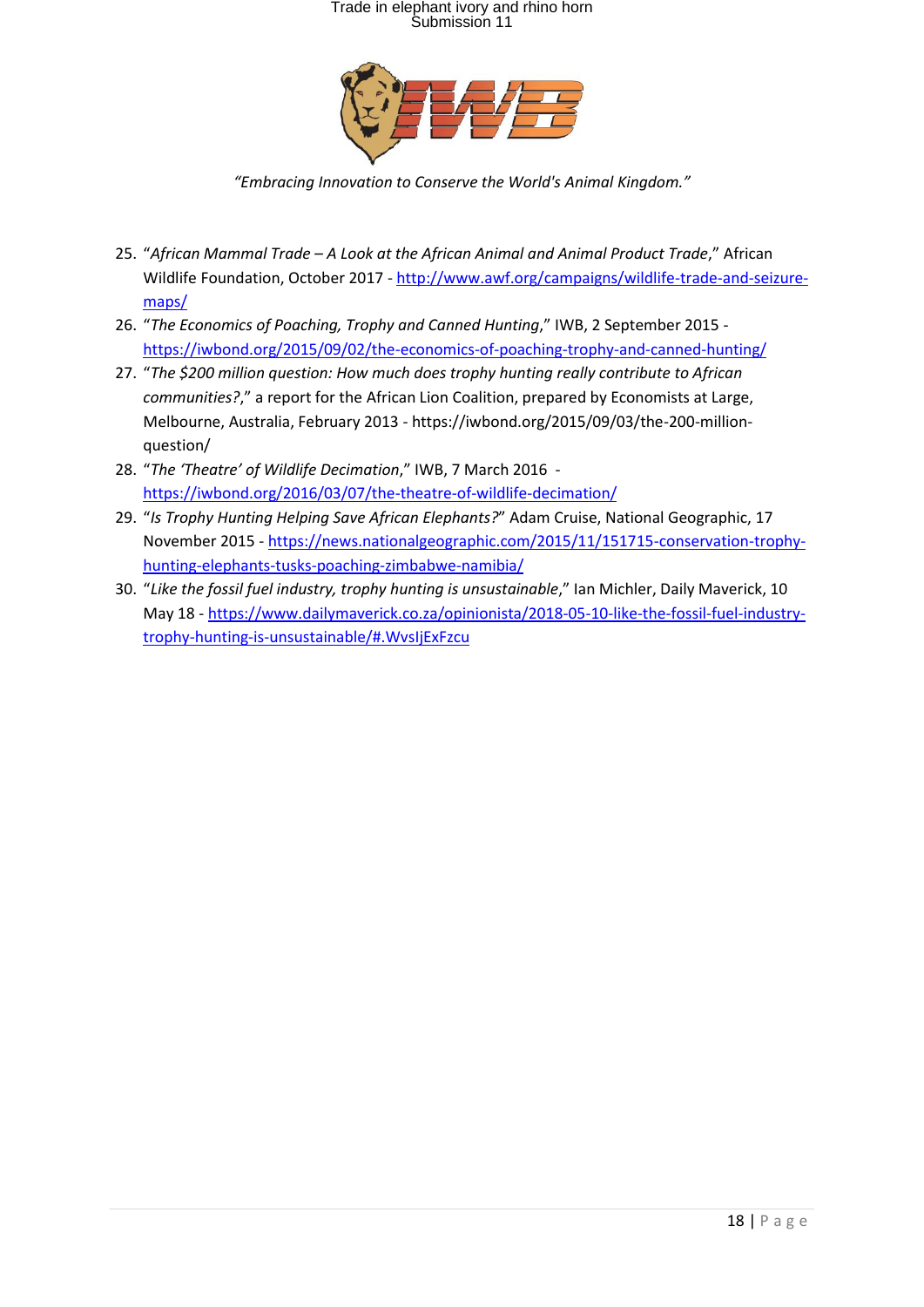

*"Embracing Innovation to Conserve the World's Animal Kingdom."*

- 25. "*African Mammal Trade – A Look at the African Animal and Animal Product Trade*," African Wildlife Foundation, October 2017 - [http://www.awf.org/campaigns/wildlife-trade-and-seizure](http://www.awf.org/campaigns/wildlife-trade-and-seizure-maps/)[maps/](http://www.awf.org/campaigns/wildlife-trade-and-seizure-maps/)
- 26. "*The Economics of Poaching, Trophy and Canned Hunting*," IWB, 2 September 2015 <https://iwbond.org/2015/09/02/the-economics-of-poaching-trophy-and-canned-hunting/>
- 27. "*The \$200 million question: How much does trophy hunting really contribute to African communities?*," a report for the African Lion Coalition, prepared by Economists at Large, Melbourne, Australia, February 2013 - https://iwbond.org/2015/09/03/the-200-millionquestion/
- 28. "*The 'Theatre' of Wildlife Decimation*," IWB, 7 March 2016 <https://iwbond.org/2016/03/07/the-theatre-of-wildlife-decimation/>
- 29. "*Is Trophy Hunting Helping Save African Elephants?*" Adam Cruise, National Geographic, 17 November 2015 - [https://news.nationalgeographic.com/2015/11/151715-conservation-trophy](https://news.nationalgeographic.com/2015/11/151715-conservation-trophy-hunting-elephants-tusks-poaching-zimbabwe-namibia/)[hunting-elephants-tusks-poaching-zimbabwe-namibia/](https://news.nationalgeographic.com/2015/11/151715-conservation-trophy-hunting-elephants-tusks-poaching-zimbabwe-namibia/)
- 30. "*Like the fossil fuel industry, trophy hunting is unsustainable*," Ian Michler, Daily Maverick, 10 May 18 - [https://www.dailymaverick.co.za/opinionista/2018-05-10-like-the-fossil-fuel-industry](https://www.dailymaverick.co.za/opinionista/2018-05-10-like-the-fossil-fuel-industry-trophy-hunting-is-unsustainable/#.WvsIjExFzcu)[trophy-hunting-is-unsustainable/#.WvsIjExFzcu](https://www.dailymaverick.co.za/opinionista/2018-05-10-like-the-fossil-fuel-industry-trophy-hunting-is-unsustainable/#.WvsIjExFzcu)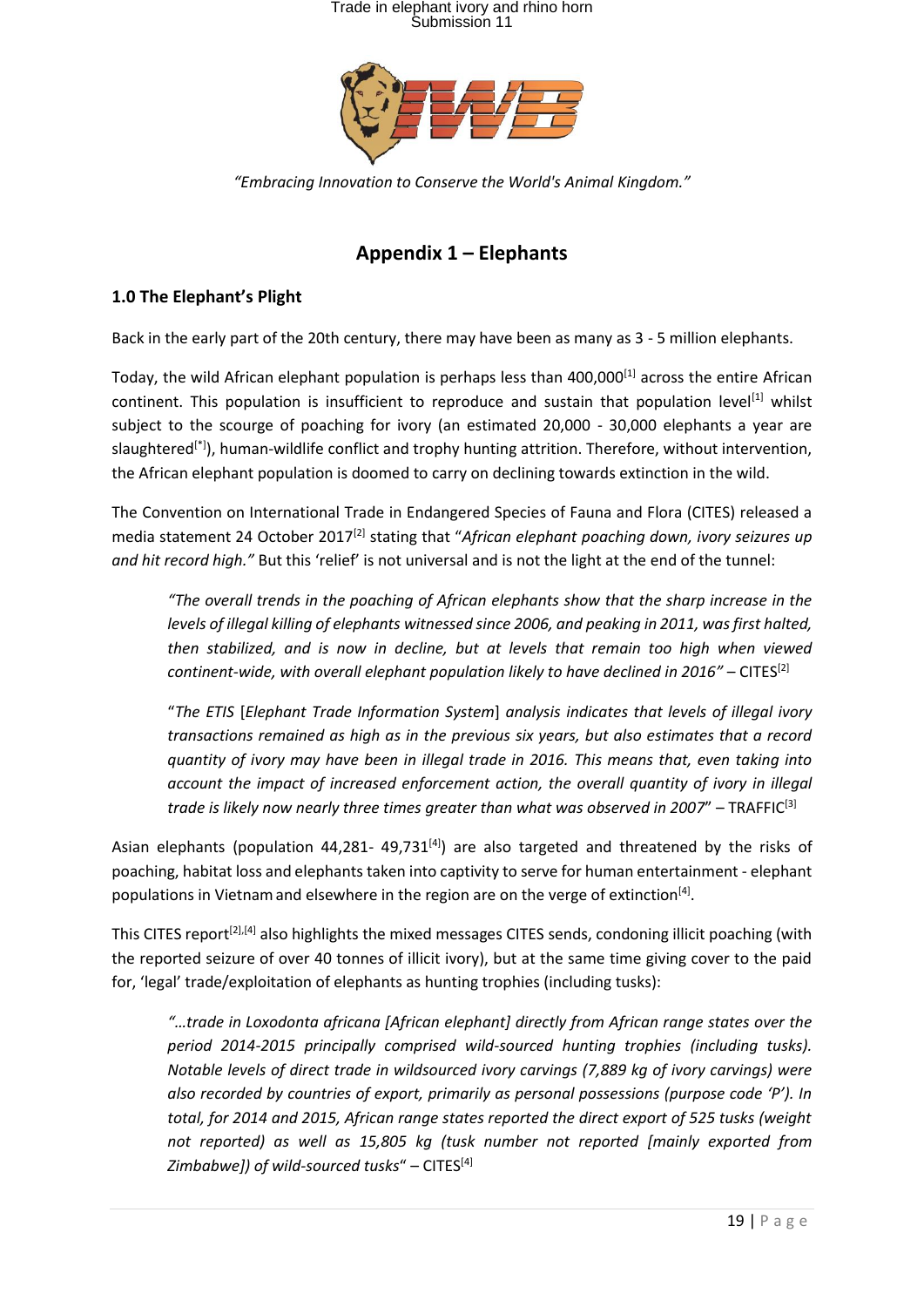

*"Embracing Innovation to Conserve the World's Animal Kingdom."*

### **Appendix 1 – Elephants**

#### **1.0 The Elephant's Plight**

Back in the early part of the 20th century, there may have been as many as 3 - 5 million elephants.

Today, the wild African elephant population is perhaps less than 400,000<sup>[1]</sup> across the entire African continent. This population is insufficient to reproduce and sustain that population level<sup>[1]</sup> whilst subject to the scourge of poaching for ivory (an estimated 20,000 - 30,000 elephants a year are slaughtered<sup>[\*]</sup>), human-wildlife conflict and trophy hunting attrition. Therefore, without intervention, the African elephant population is doomed to carry on declining towards extinction in the wild.

The Convention on International Trade in Endangered Species of Fauna and Flora (CITES) released a media statement 24 October 2017<sup>[2]</sup> stating that "African elephant poaching down, ivory seizures up *and hit record high."* But this 'relief' is not universal and is not the light at the end of the tunnel:

*"The overall trends in the poaching of African elephants show that the sharp increase in the levels of illegal killing of elephants witnessed since 2006, and peaking in 2011, was first halted, then stabilized, and is now in decline, but at levels that remain too high when viewed continent-wide, with overall elephant population likely to have declined in 2016" – CITES<sup>[2]</sup>* 

"*The ETIS* [*Elephant Trade Information System*] *analysis indicates that levels of illegal ivory transactions remained as high as in the previous six years, but also estimates that a record quantity of ivory may have been in illegal trade in 2016. This means that, even taking into account the impact of increased enforcement action, the overall quantity of ivory in illegal trade is likely now nearly three times greater than what was observed in 2007*" – TRAFFIC<sup>[3]</sup>

Asian elephants (population 44,281- 49,731 $^{[4]}$ ) are also targeted and threatened by the risks of poaching, habitat loss and elephants taken into captivity to serve for human entertainment - elephant populations in Vietnam and elsewhere in the region are on the verge of extinction<sup>[4]</sup>.

This CITES report<sup>[2],[4]</sup> also highlights the mixed messages CITES sends, condoning illicit poaching (with the reported seizure of over 40 tonnes of illicit ivory), but at the same time giving cover to the paid for, 'legal' trade/exploitation of elephants as hunting trophies (including tusks):

*"…trade in Loxodonta africana [African elephant] directly from African range states over the period 2014-2015 principally comprised wild-sourced hunting trophies (including tusks). Notable levels of direct trade in wildsourced ivory carvings (7,889 kg of ivory carvings) were also recorded by countries of export, primarily as personal possessions (purpose code 'P'). In total, for 2014 and 2015, African range states reported the direct export of 525 tusks (weight not reported) as well as 15,805 kg (tusk number not reported [mainly exported from Zimbabwe]) of wild-sourced tusks*" – CITES[4]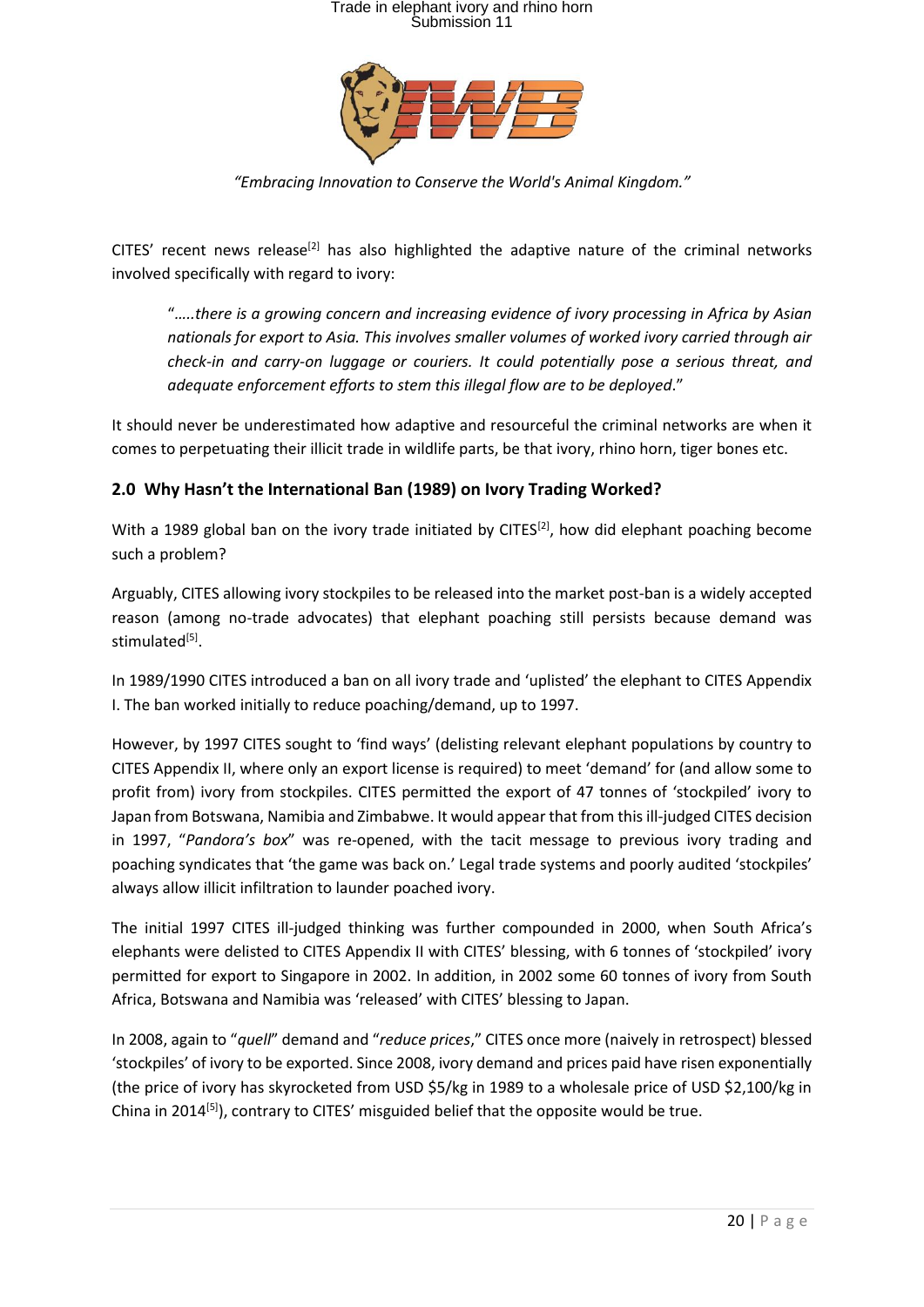

*"Embracing Innovation to Conserve the World's Animal Kingdom."*

CITES' recent news release<sup>[2]</sup> has also highlighted the adaptive nature of the criminal networks involved specifically with regard to ivory:

"*…..there is a growing concern and increasing evidence of ivory processing in Africa by Asian nationals for export to Asia. This involves smaller volumes of worked ivory carried through air check-in and carry-on luggage or couriers. It could potentially pose a serious threat, and adequate enforcement efforts to stem this illegal flow are to be deployed*."

It should never be underestimated how adaptive and resourceful the criminal networks are when it comes to perpetuating their illicit trade in wildlife parts, be that ivory, rhino horn, tiger bones etc.

#### **2.0 Why Hasn't the International Ban (1989) on Ivory Trading Worked?**

With a 1989 global ban on the ivory trade initiated by CITES $^{[2]}$ , how did elephant poaching become such a problem?

Arguably, CITES allowing ivory stockpiles to be released into the market post-ban is a widely accepted reason (among no-trade advocates) that elephant poaching still persists because demand was stimulated<sup>[5]</sup>.

In 1989/1990 CITES introduced a ban on all ivory trade and 'uplisted' the elephant to CITES Appendix I. The ban worked initially to reduce poaching/demand, up to 1997.

However, by 1997 CITES sought to 'find ways' (delisting relevant elephant populations by country to CITES Appendix II, where only an export license is required) to meet 'demand' for (and allow some to profit from) ivory from stockpiles. CITES permitted the export of 47 tonnes of 'stockpiled' ivory to Japan from Botswana, Namibia and Zimbabwe. It would appear that from this ill-judged CITES decision in 1997, "*Pandora's box*" was re-opened, with the tacit message to previous ivory trading and poaching syndicates that 'the game was back on.' Legal trade systems and poorly audited 'stockpiles' always allow illicit infiltration to launder poached ivory.

The initial 1997 CITES ill-judged thinking was further compounded in 2000, when South Africa's elephants were delisted to CITES Appendix II with CITES' blessing, with 6 tonnes of 'stockpiled' ivory permitted for export to Singapore in 2002. In addition, in 2002 some 60 tonnes of ivory from South Africa, Botswana and Namibia was 'released' with CITES' blessing to Japan.

In 2008, again to "*quell*" demand and "*reduce prices*," CITES once more (naively in retrospect) blessed 'stockpiles' of ivory to be exported. Since 2008, ivory demand and prices paid have risen exponentially (the price of ivory has skyrocketed from USD \$5/kg in 1989 to a wholesale price of USD \$2,100/kg in China in 2014<sup>[5]</sup>), contrary to CITES' misguided belief that the opposite would be true.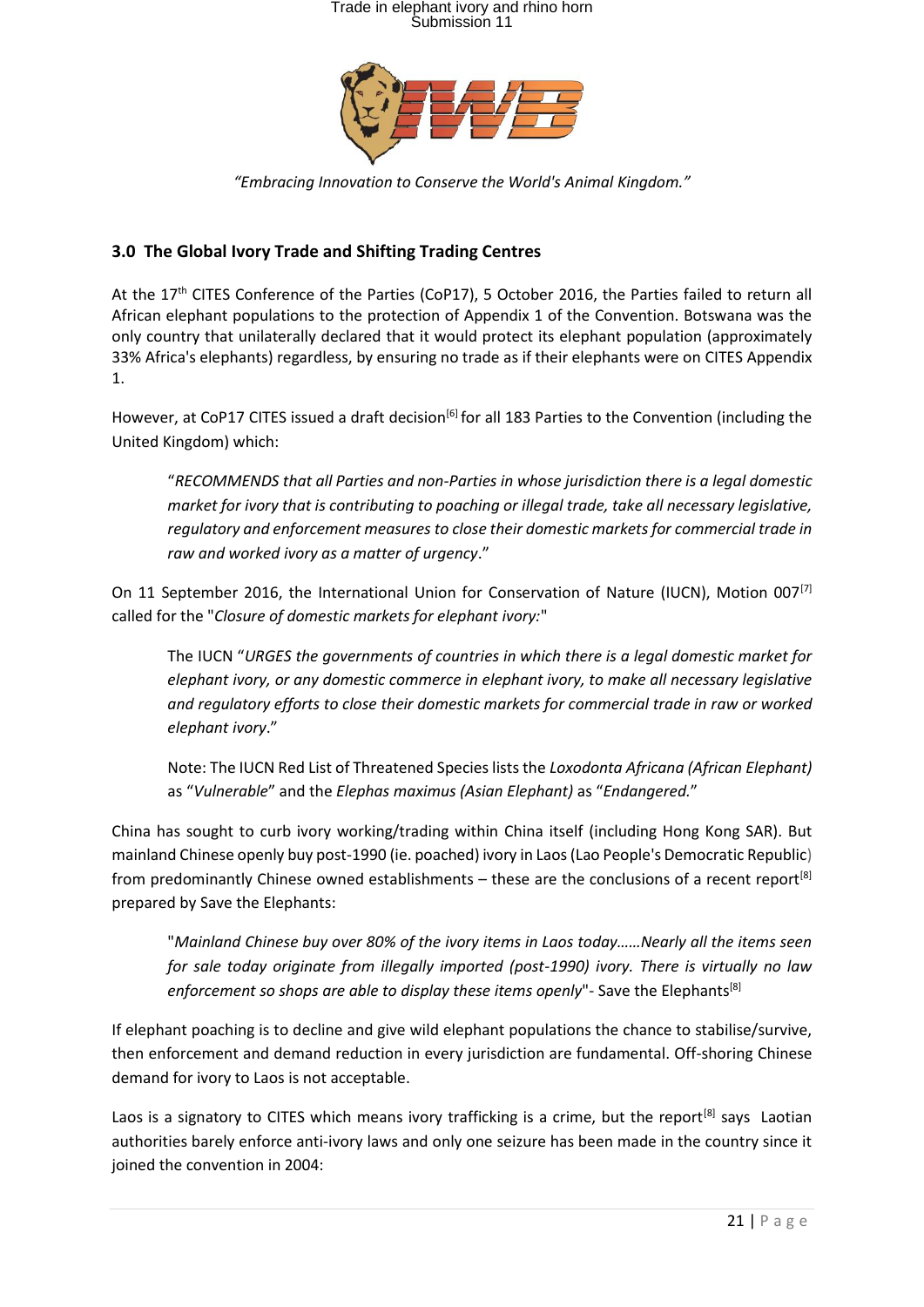

*"Embracing Innovation to Conserve the World's Animal Kingdom."*

#### **3.0 The Global Ivory Trade and Shifting Trading Centres**

At the 17<sup>th</sup> CITES Conference of the Parties (CoP17), 5 October 2016, the Parties failed to return all African elephant populations to the protection of Appendix 1 of the Convention. Botswana was the only country that unilaterally declared that it would protect its elephant population (approximately 33% Africa's elephants) regardless, by ensuring no trade as if their elephants were on CITES Appendix 1.

However, at CoP17 CITES issued a draft decision<sup>[6]</sup> for all 183 Parties to the Convention (including the United Kingdom) which:

"*RECOMMENDS that all Parties and non-Parties in whose jurisdiction there is a legal domestic market for ivory that is contributing to poaching or illegal trade, take all necessary legislative, regulatory and enforcement measures to close their domestic markets for commercial trade in raw and worked ivory as a matter of urgency*."

On 11 September 2016, the International Union for Conservation of Nature (IUCN), Motion 007<sup>[7]</sup> called for the "*Closure of domestic markets for elephant ivory:*"

The IUCN "*URGES the governments of countries in which there is a legal domestic market for elephant ivory, or any domestic commerce in elephant ivory, to make all necessary legislative and regulatory efforts to close their domestic markets for commercial trade in raw or worked elephant ivory*."

Note: The IUCN Red List of Threatened Species lists the *Loxodonta Africana (African Elephant)*  as "*Vulnerable*" and the *Elephas maximus (Asian Elephant)* as "*Endangered.*"

China has sought to curb ivory working/trading within China itself (including Hong Kong SAR). But mainland Chinese openly buy post-1990 (ie. poached) ivory in Laos (Lao People's Democratic Republic) from predominantly Chinese owned establishments – these are the conclusions of a recent report<sup>[8]</sup> prepared by Save the Elephants:

"*Mainland Chinese buy over 80% of the ivory items in Laos today……Nearly all the items seen for sale today originate from illegally imported (post-1990) ivory. There is virtually no law*  enforcement so shops are able to display these items openly"- Save the Elephants<sup>[8]</sup>

If elephant poaching is to decline and give wild elephant populations the chance to stabilise/survive, then enforcement and demand reduction in every jurisdiction are fundamental. Off-shoring Chinese demand for ivory to Laos is not acceptable.

Laos is a signatory to CITES which means ivory trafficking is a crime, but the report<sup>[8]</sup> says Laotian authorities barely enforce anti-ivory laws and only one seizure has been made in the country since it joined the convention in 2004: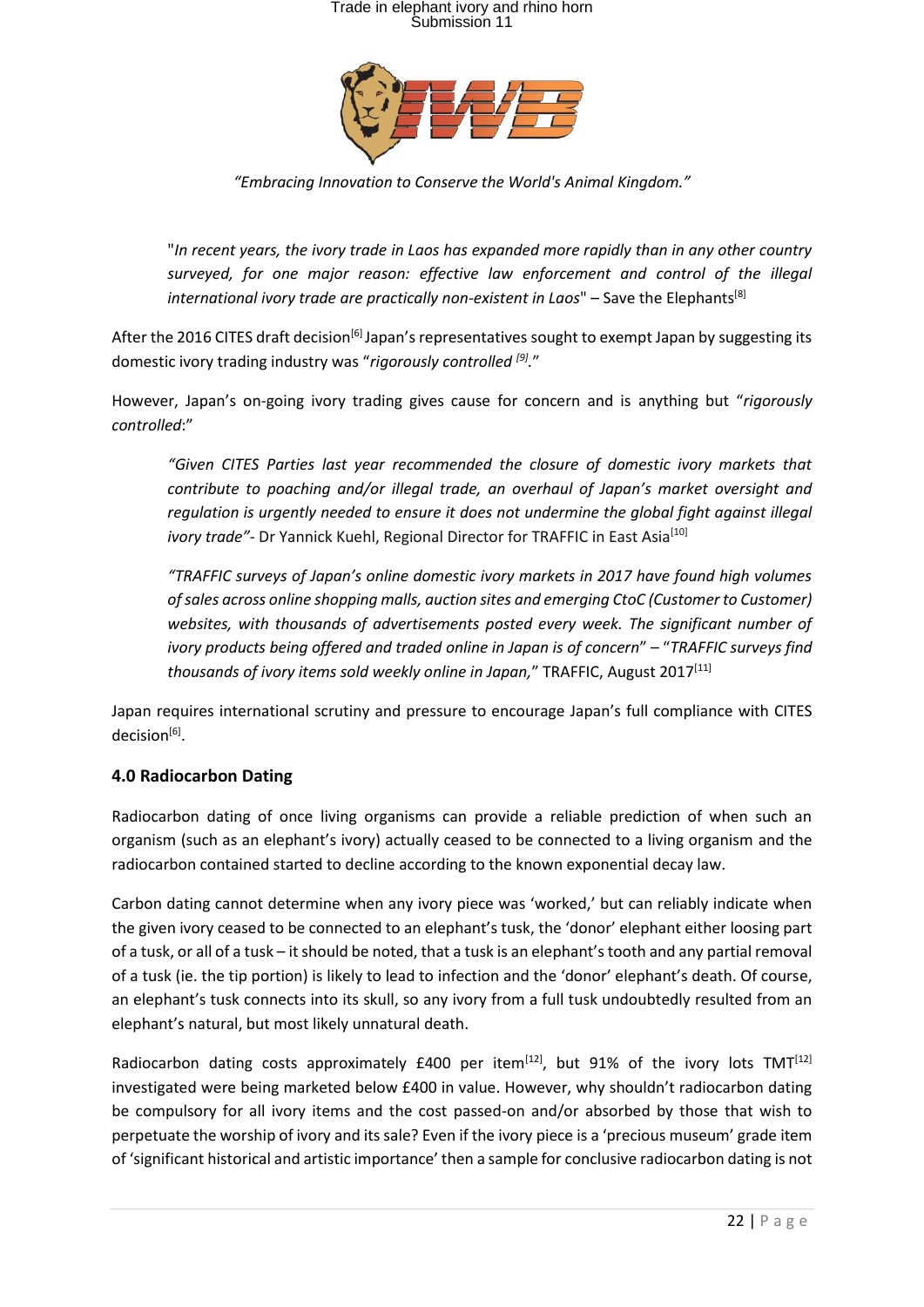

*"Embracing Innovation to Conserve the World's Animal Kingdom."*

"*In recent years, the ivory trade in Laos has expanded more rapidly than in any other country surveyed, for one major reason: effective law enforcement and control of the illegal international ivory trade are practically non-existent in Laos*" – Save the Elephants<sup>[8]</sup>

After the 2016 CITES draft decision<sup>[6]</sup> Japan's representatives sought to exempt Japan by suggesting its domestic ivory trading industry was "*rigorously controlled [9] .*"

However, Japan's on-going ivory trading gives cause for concern and is anything but "*rigorously controlled*:"

*"Given CITES Parties last year recommended the closure of domestic ivory markets that contribute to poaching and/or illegal trade, an overhaul of Japan's market oversight and regulation is urgently needed to ensure it does not undermine the global fight against illegal ivory trade"*- Dr Yannick Kuehl, Regional Director for TRAFFIC in East Asia<sup>[10]</sup>

*"TRAFFIC surveys of Japan's online domestic ivory markets in 2017 have found high volumes of sales across online shopping malls, auction sites and emerging CtoC (Customer to Customer) websites, with thousands of advertisements posted every week. The significant number of ivory products being offered and traded online in Japan is of concern*" – "*[TRAFFIC surveys find](http://www.traffic.org/home/2017/8/8/traffic-surveys-find-thousands-of-ivory-items-sold-weekly-on.html)  [thousands of ivory items sold weekly online in](http://www.traffic.org/home/2017/8/8/traffic-surveys-find-thousands-of-ivory-items-sold-weekly-on.html) Japan,*" TRAFFIC, August 2017[11]

Japan requires international scrutiny and pressure to encourage Japan's full compliance with CITES decision<sup>[6]</sup>.

#### **4.0 Radiocarbon Dating**

Radiocarbon dating of once living organisms can provide a reliable prediction of when such an organism (such as an elephant's ivory) actually ceased to be connected to a living organism and the radiocarbon contained started to decline according to the known exponential decay law.

Carbon dating cannot determine when any ivory piece was 'worked,' but can reliably indicate when the given ivory ceased to be connected to an elephant's tusk, the 'donor' elephant either loosing part of a tusk, or all of a tusk – it should be noted, that a tusk is an elephant's tooth and any partial removal of a tusk (ie. the tip portion) is likely to lead to infection and the 'donor' elephant's death. Of course, an elephant's tusk connects into its skull, so any ivory from a full tusk undoubtedly resulted from an elephant's natural, but most likely unnatural death.

Radiocarbon dating costs approximately  $E$ 400 per item<sup>[12]</sup>, but 91% of the ivory lots TMT<sup>[12]</sup> investigated were being marketed below £400 in value. However, why shouldn't radiocarbon dating be compulsory for all ivory items and the cost passed-on and/or absorbed by those that wish to perpetuate the worship of ivory and its sale? Even if the ivory piece is a 'precious museum' grade item of 'significant historical and artistic importance' then a sample for conclusive radiocarbon dating is not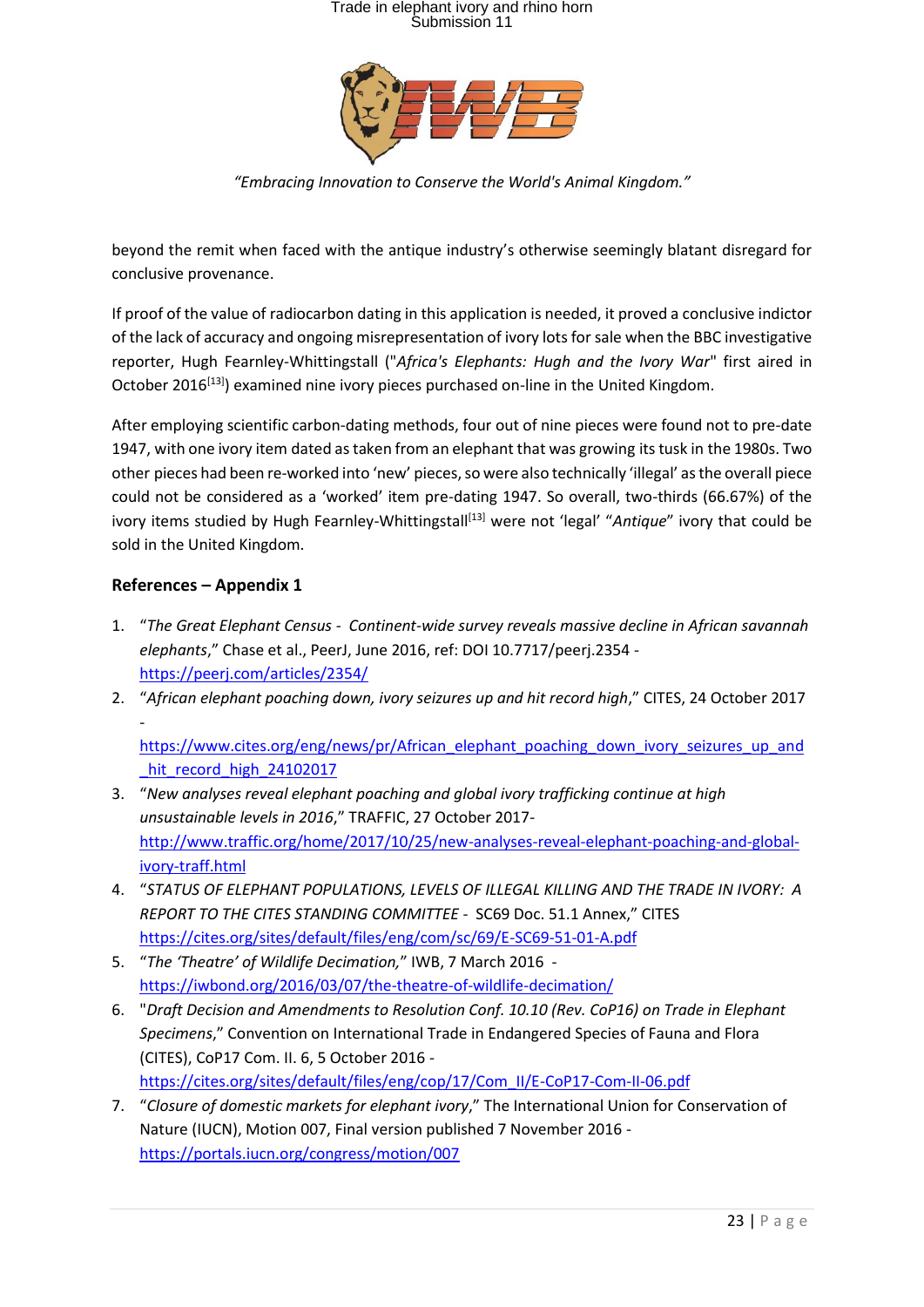

*"Embracing Innovation to Conserve the World's Animal Kingdom."*

beyond the remit when faced with the antique industry's otherwise seemingly blatant disregard for conclusive provenance.

If proof of the value of radiocarbon dating in this application is needed, it proved a conclusive indictor of the lack of accuracy and ongoing misrepresentation of ivory lots for sale when the BBC investigative reporter, Hugh Fearnley-Whittingstall ("*Africa's Elephants: Hugh and the Ivory War*" first aired in October 2016<sup>[13]</sup>) examined nine ivory pieces purchased on-line in the United Kingdom.

After employing scientific carbon-dating methods, four out of nine pieces were found not to pre-date 1947, with one ivory item dated as taken from an elephant that was growing its tusk in the 1980s. Two other pieces had been re-worked into 'new' pieces, so were also technically 'illegal' as the overall piece could not be considered as a 'worked' item pre-dating 1947. So overall, two-thirds (66.67%) of the ivory items studied by Hugh Fearnley-Whittingstall<sup>[13]</sup> were not 'legal' "Antique" ivory that could be sold in the United Kingdom.

#### **References – Appendix 1**

-

- 1. "*The Great Elephant Census Continent-wide survey reveals massive decline in African savannah elephants*," Chase et al., PeerJ, June 2016, ref: DOI 10.7717/peerj.2354 <https://peerj.com/articles/2354/>
- 2. "*African elephant poaching down, ivory seizures up and hit record high*," CITES, 24 October 2017

[https://www.cites.org/eng/news/pr/African\\_elephant\\_poaching\\_down\\_ivory\\_seizures\\_up\\_and](https://www.cites.org/eng/news/pr/African_elephant_poaching_down_ivory_seizures_up_and_hit_record_high_24102017) hit\_record\_high\_24102017

- 3. "*New analyses reveal elephant poaching and global ivory trafficking continue at high unsustainable levels in 2016*," TRAFFIC, 27 October 2017 [http://www.traffic.org/home/2017/10/25/new-analyses-reveal-elephant-poaching-and-global](http://www.traffic.org/home/2017/10/25/new-analyses-reveal-elephant-poaching-and-global-ivory-traff.html)[ivory-traff.html](http://www.traffic.org/home/2017/10/25/new-analyses-reveal-elephant-poaching-and-global-ivory-traff.html)
- 4. "*STATUS OF ELEPHANT POPULATIONS, LEVELS OF ILLEGAL KILLING AND THE TRADE IN IVORY: A REPORT TO THE CITES STANDING COMMITTEE* - SC69 Doc. 51.1 Annex," CITES <https://cites.org/sites/default/files/eng/com/sc/69/E-SC69-51-01-A.pdf>
- 5. "*The 'Theatre' of Wildlife Decimation,*" IWB, 7 March 2016 <https://iwbond.org/2016/03/07/the-theatre-of-wildlife-decimation/>
- 6. "*Draft Decision and Amendments to Resolution Conf. 10.10 (Rev. CoP16) on Trade in Elephant Specimens*," Convention on International Trade in Endangered Species of Fauna and Flora (CITES), CoP17 Com. II. 6, 5 October 2016 [https://cites.org/sites/default/files/eng/cop/17/Com\\_II/E-CoP17-Com-II-06.pdf](https://cites.org/sites/default/files/eng/cop/17/Com_II/E-CoP17-Com-II-06.pdf)
- 7. "*Closure of domestic markets for elephant ivory*," The International Union for Conservation of Nature (IUCN), Motion 007, Final version published 7 November 2016 <https://portals.iucn.org/congress/motion/007>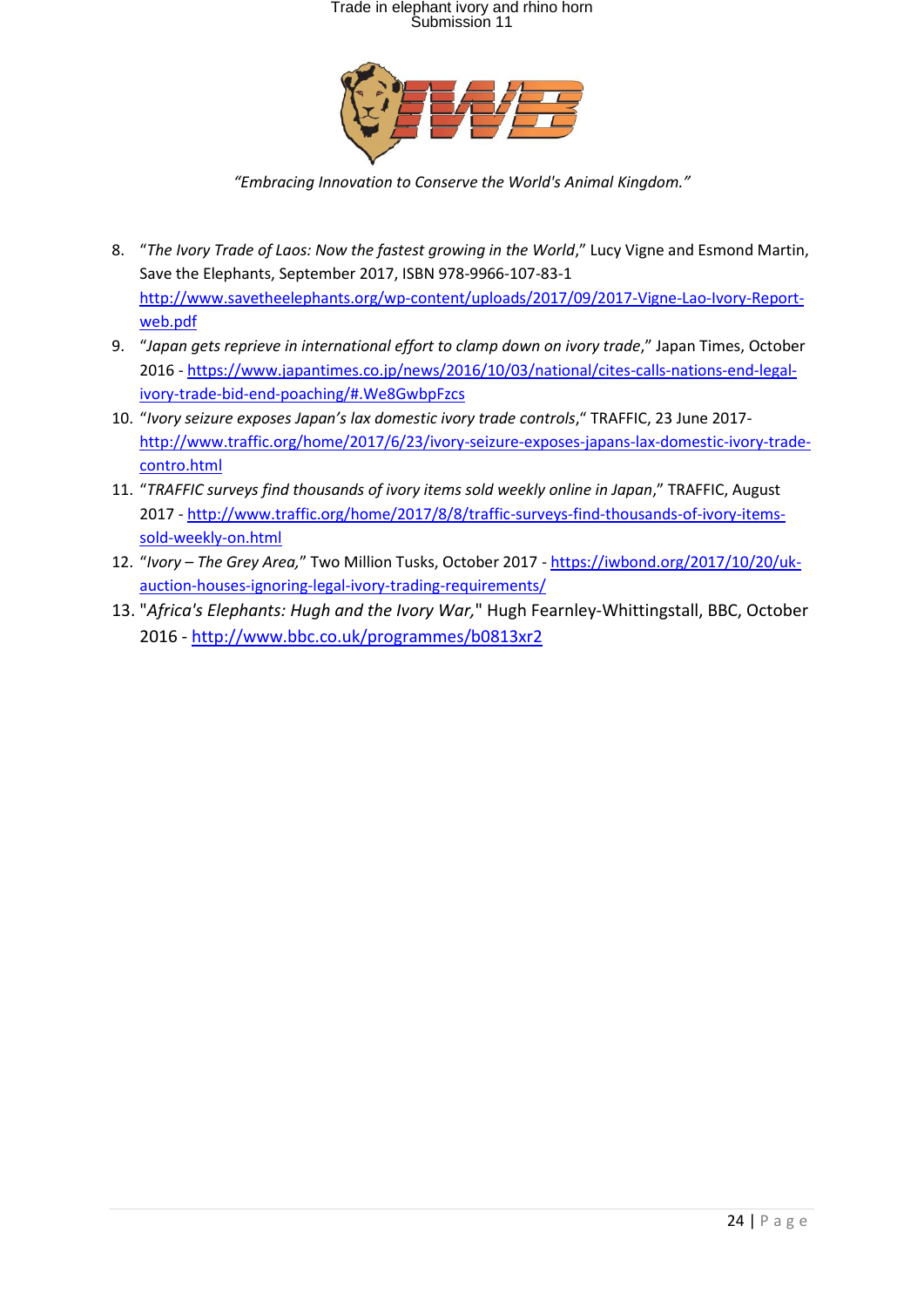

*"Embracing Innovation to Conserve the World's Animal Kingdom."*

- 8. "The Ivory Trade of Laos: Now the fastest growing in the World," Lucy Vigne and Esmond Martin, Save the Elephants, September 2017, ISBN 978-9966-107-83-1 [http://www.savetheelephants.org/wp-content/uploads/2017/09/2017-Vigne-Lao-Ivory-Report](http://www.savetheelephants.org/wp-content/uploads/2017/09/2017-Vigne-Lao-Ivory-Report-web.pdf)[web.pdf](http://www.savetheelephants.org/wp-content/uploads/2017/09/2017-Vigne-Lao-Ivory-Report-web.pdf)
- 9. "*Japan gets reprieve in international effort to clamp down on ivory trade*," Japan Times, October 2016 - [https://www.japantimes.co.jp/news/2016/10/03/national/cites-calls-nations-end-legal](https://www.japantimes.co.jp/news/2016/10/03/national/cites-calls-nations-end-legal-ivory-trade-bid-end-poaching/#.We8GwbpFzcs)[ivory-trade-bid-end-poaching/#.We8GwbpFzcs](https://www.japantimes.co.jp/news/2016/10/03/national/cites-calls-nations-end-legal-ivory-trade-bid-end-poaching/#.We8GwbpFzcs)
- 10. "*Ivory seizure exposes Japan's lax domestic ivory trade controls*," TRAFFIC, 23 June 2017 [http://www.traffic.org/home/2017/6/23/ivory-seizure-exposes-japans-lax-domestic-ivory-trade](http://www.traffic.org/home/2017/6/23/ivory-seizure-exposes-japans-lax-domestic-ivory-trade-contro.html)[contro.html](http://www.traffic.org/home/2017/6/23/ivory-seizure-exposes-japans-lax-domestic-ivory-trade-contro.html)
- 11. "*TRAFFIC surveys find thousands of ivory items sold weekly online in Japan*," TRAFFIC, August 2017 - [http://www.traffic.org/home/2017/8/8/traffic-surveys-find-thousands-of-ivory-items](http://www.traffic.org/home/2017/8/8/traffic-surveys-find-thousands-of-ivory-items-sold-weekly-on.html)[sold-weekly-on.html](http://www.traffic.org/home/2017/8/8/traffic-surveys-find-thousands-of-ivory-items-sold-weekly-on.html)
- 12. "*Ivory – The Grey Area,*" Two Million Tusks, October 2017 [https://iwbond.org/2017/10/20/uk](https://iwbond.org/2017/10/20/uk-auction-houses-ignoring-legal-ivory-trading-requirements/)[auction-houses-ignoring-legal-ivory-trading-requirements/](https://iwbond.org/2017/10/20/uk-auction-houses-ignoring-legal-ivory-trading-requirements/)
- 13. "*Africa's Elephants: Hugh and the Ivory War,*" Hugh Fearnley-Whittingstall, BBC, October 2016 - <http://www.bbc.co.uk/programmes/b0813xr2>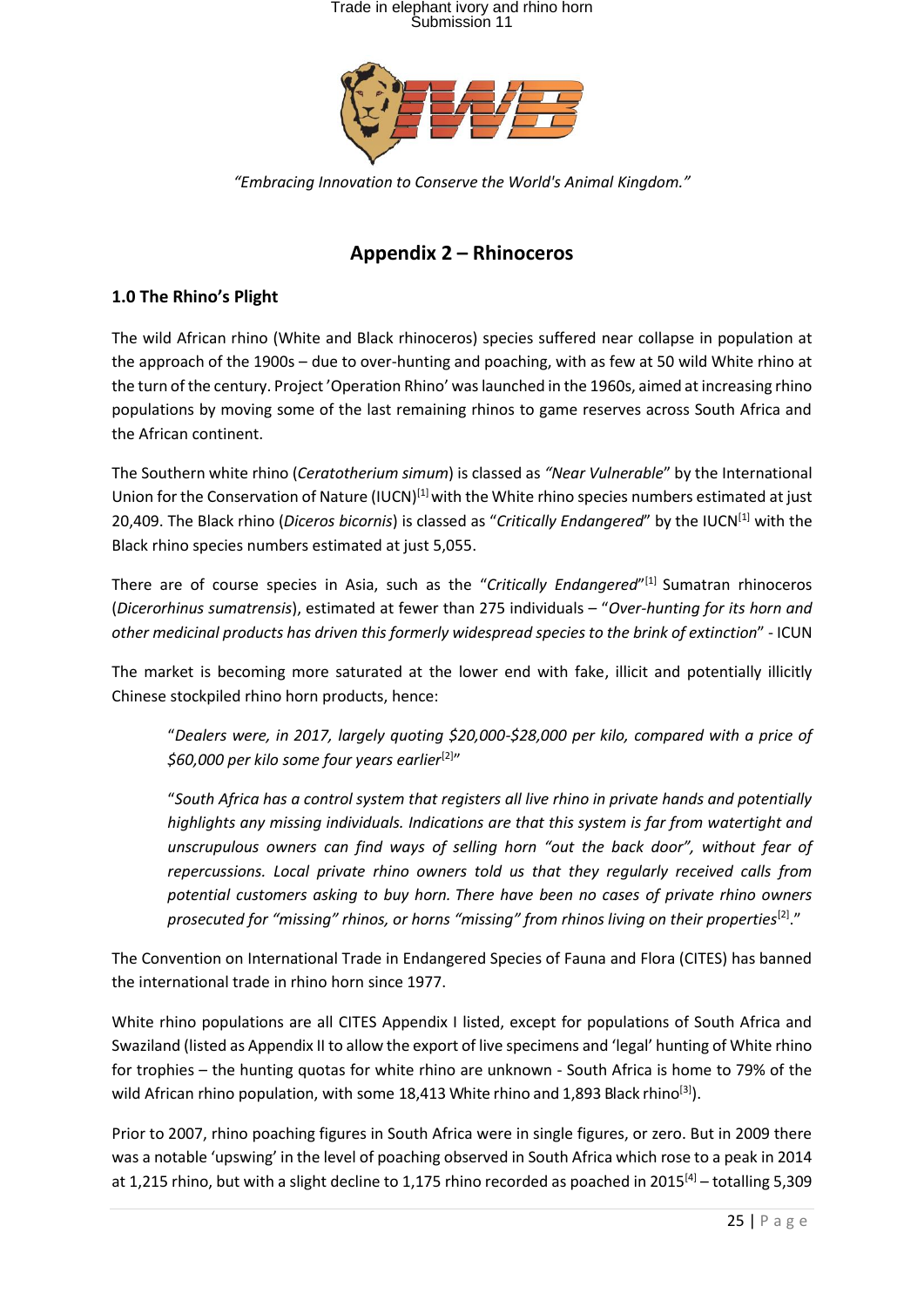

*"Embracing Innovation to Conserve the World's Animal Kingdom."*

### **Appendix 2 – Rhinoceros**

#### **1.0 The Rhino's Plight**

The wild African rhino (White and Black rhinoceros) species suffered near collapse in population at the approach of the 1900s – due to over-hunting and poaching, with as few at 50 wild White rhino at the turn of the century. Project 'Operation Rhino' was launched in the 1960s, aimed at increasing rhino populations by moving some of the last remaining rhinos to game reserves across South Africa and the African continent.

The Southern white rhino (*Ceratotherium simum*) is classed as *"Near Vulnerable*" by the International Union for the Conservation of Nature (IUCN)<sup>[1]</sup> with the White rhino species numbers estimated at just 20,409. The Black rhino (*Diceros bicornis*) is classed as "*Critically Endangered*" by the IUCN[1] with the Black rhino species numbers estimated at just 5,055.

There are of course species in Asia, such as the "*Critically Endangered*" [1] Sumatran rhinoceros (*Dicerorhinus sumatrensis*), estimated at fewer than 275 individuals – "*Over-hunting for its horn and other medicinal products has driven this formerly widespread species to the brink of extinction*" - ICUN

The market is becoming more saturated at the lower end with fake, illicit and potentially illicitly Chinese stockpiled rhino horn products, hence:

"*Dealers were, in 2017, largely quoting \$20,000-\$28,000 per kilo, compared with a price of \$60,000 per kilo some four years earlier*[2] "

"*South Africa has a control system that registers all live rhino in private hands and potentially highlights any missing individuals. Indications are that this system is far from watertight and unscrupulous owners can find ways of selling horn "out the back door", without fear of repercussions. Local private rhino owners told us that they regularly received calls from potential customers asking to buy horn. There have been no cases of private rhino owners*  prosecuted for "missing" rhinos, or horns "missing" from rhinos living on their properties<sup>[2]</sup>."

The Convention on International Trade in Endangered Species of Fauna and Flora (CITES) has banned the international trade in rhino horn since 1977.

White rhino populations are all CITES Appendix I listed, except for populations of South Africa and Swaziland (listed as Appendix II to allow the export of live specimens and 'legal' hunting of White rhino for trophies – the hunting quotas for white rhino are unknown - South Africa is home to 79% of the wild African rhino population, with some 18,413 White rhino and 1,893 Black rhino<sup>[3]</sup>).

Prior to 2007, rhino poaching figures in South Africa were in single figures, or zero. But in 2009 there was a notable 'upswing' in the level of poaching observed in South Africa which rose to a peak in 2014 at 1,215 rhino, but with a slight decline to 1,175 rhino recorded as poached in 2015<sup>[4]</sup> – totalling 5,309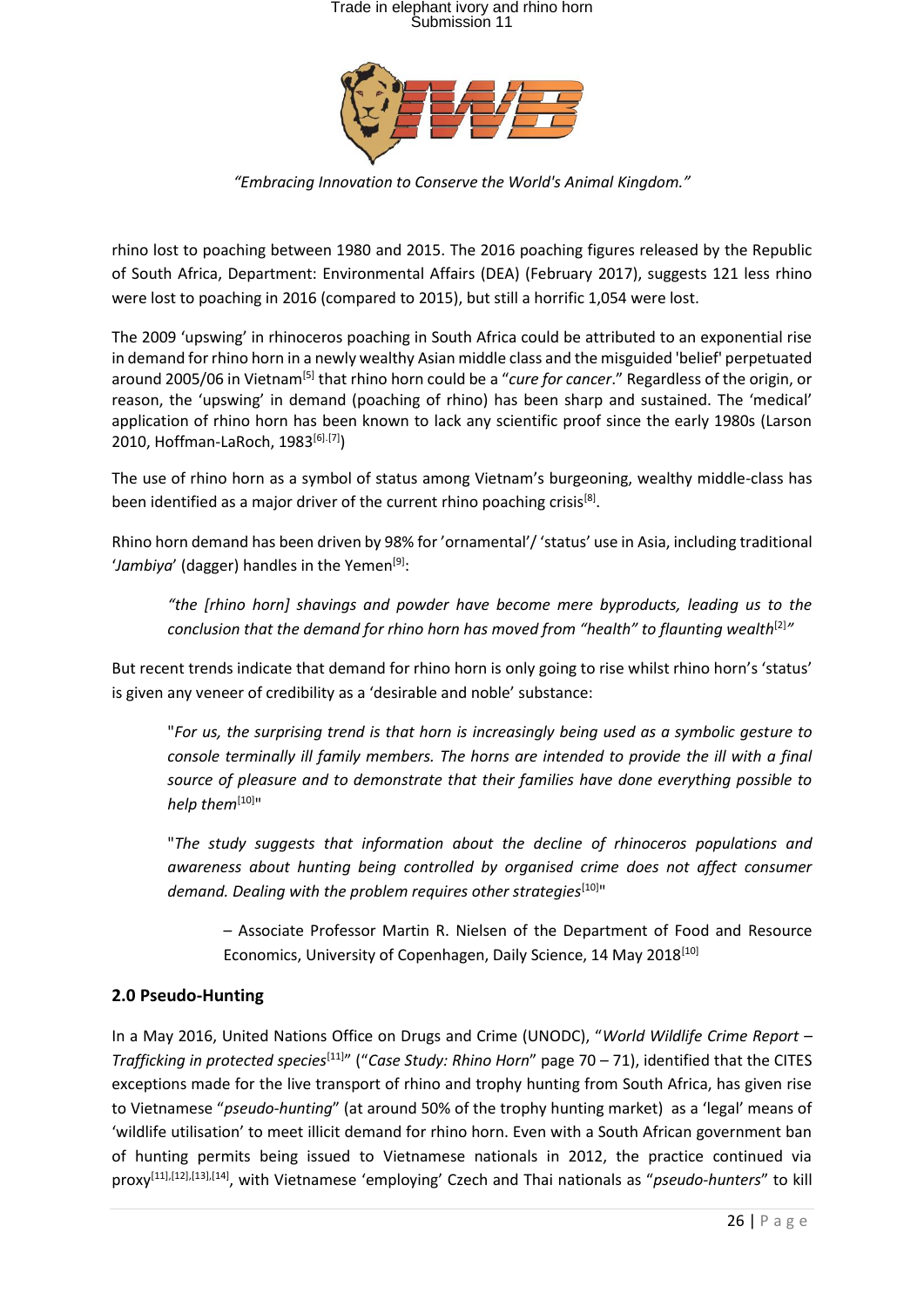

*"Embracing Innovation to Conserve the World's Animal Kingdom."*

rhino lost to poaching between 1980 and 2015. The 2016 poaching figures released by the Republic of South Africa, Department: Environmental Affairs (DEA) (February 2017), suggests 121 less rhino were lost to poaching in 2016 (compared to 2015), but still a horrific 1,054 were lost.

The 2009 'upswing' in rhinoceros poaching in South Africa could be attributed to an exponential rise in demand for rhino horn in a newly wealthy Asian middle class and the misguided 'belief' perpetuated around 2005/06 in Vietnam<sup>[5]</sup> that rhino horn could be a "cure for cancer." Regardless of the origin, or reason, the 'upswing' in demand (poaching of rhino) has been sharp and sustained. The 'medical' application of rhino horn has been known to lack any scientific proof since the early 1980s (Larson 2010, Hoffman-LaRoch, 1983<sup>[6].[7]</sup>)

The use of rhino horn as a symbol of status among Vietnam's burgeoning, wealthy middle-class has been identified as a major driver of the current rhino poaching crisis<sup>[8]</sup>.

Rhino horn demand has been driven by 98% for 'ornamental'/ 'status' use in Asia, including traditional 'Jambiya' (dagger) handles in the Yemen<sup>[9]</sup>:

*"the [rhino horn] shavings and powder have become mere byproducts, leading us to the conclusion that the demand for rhino horn has moved from "health" to flaunting wealth*[2] *"*

But recent trends indicate that demand for rhino horn is only going to rise whilst rhino horn's 'status' is given any veneer of credibility as a 'desirable and noble' substance:

"*For us, the surprising trend is that horn is increasingly being used as a symbolic gesture to console terminally ill family members. The horns are intended to provide the ill with a final source of pleasure and to demonstrate that their families have done everything possible to help them*[10]"

"*The study suggests that information about the decline of rhinoceros populations and awareness about hunting being controlled by organised crime does not affect consumer demand. Dealing with the problem requires other strategies*[10]"

– Associate Professor Martin R. Nielsen of the Department of Food and Resource Economics, University of Copenhagen, Daily Science, 14 May 2018<sup>[10]</sup>

#### **2.0 Pseudo-Hunting**

In a May 2016, United Nations Office on Drugs and Crime (UNODC), "*World Wildlife Crime Report – Trafficking in protected species*[11] " ("*Case Study: Rhino Horn*" page 70 – 71), identified that the CITES exceptions made for the live transport of rhino and trophy hunting from South Africa, has given rise to Vietnamese "*pseudo-hunting*" (at around 50% of the trophy hunting market) as a 'legal' means of 'wildlife utilisation' to meet illicit demand for rhino horn. Even with a South African government ban of hunting permits being issued to Vietnamese nationals in 2012, the practice continued via proxy<sup>[11],[12],[13],[14]</sup>, with Vietnamese 'employing' Czech and Thai nationals as "*pseudo-hunters*" to kill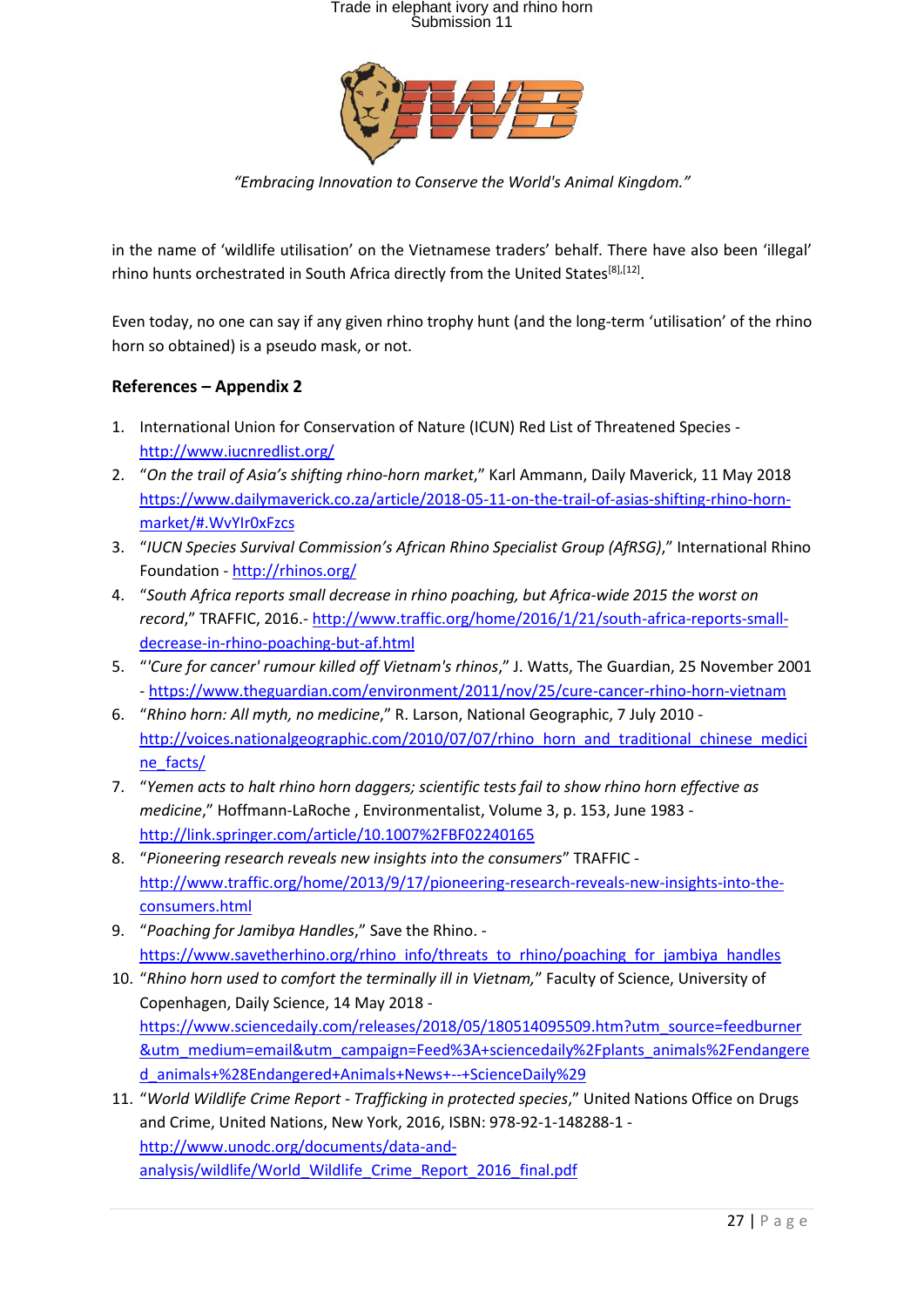

*"Embracing Innovation to Conserve the World's Animal Kingdom."*

in the name of 'wildlife utilisation' on the Vietnamese traders' behalf. There have also been 'illegal' rhino hunts orchestrated in South Africa directly from the United States<sup>[8],[12]</sup>.

Even today, no one can say if any given rhino trophy hunt (and the long-term 'utilisation' of the rhino horn so obtained) is a pseudo mask, or not.

#### **References – Appendix 2**

- 1. International Union for Conservation of Nature (ICUN) Red List of Threatened Species <http://www.iucnredlist.org/>
- 2. "*On the trail of Asia's shifting rhino-horn market*," Karl Ammann, Daily Maverick, 11 May 2018 [https://www.dailymaverick.co.za/article/2018-05-11-on-the-trail-of-asias-shifting-rhino-horn](https://www.dailymaverick.co.za/article/2018-05-11-on-the-trail-of-asias-shifting-rhino-horn-market/#.WvYIr0xFzcs)[market/#.WvYIr0xFzcs](https://www.dailymaverick.co.za/article/2018-05-11-on-the-trail-of-asias-shifting-rhino-horn-market/#.WvYIr0xFzcs)
- 3. "*IUCN Species Survival Commission's African Rhino Specialist Group (AfRSG)*," International Rhino Foundation - <http://rhinos.org/>
- 4. "*South Africa reports small decrease in rhino poaching, but Africa-wide 2015 the worst on record*," TRAFFIC, 2016.- [http://www.traffic.org/home/2016/1/21/south-africa-reports-small](http://www.traffic.org/home/2016/1/21/south-africa-reports-small-decrease-in-rhino-poaching-but-af.html)[decrease-in-rhino-poaching-but-af.html](http://www.traffic.org/home/2016/1/21/south-africa-reports-small-decrease-in-rhino-poaching-but-af.html)
- 5. "*'Cure for cancer' rumour killed off Vietnam's rhinos*," J. Watts, The Guardian, 25 November 2001 - <https://www.theguardian.com/environment/2011/nov/25/cure-cancer-rhino-horn-vietnam>
- 6. "*Rhino horn: All myth, no medicine*," R. Larson, National Geographic, 7 July 2010 [http://voices.nationalgeographic.com/2010/07/07/rhino\\_horn\\_and\\_traditional\\_chinese\\_medici](http://voices.nationalgeographic.com/2010/07/07/rhino_horn_and_traditional_chinese_medicine_facts/) [ne\\_facts/](http://voices.nationalgeographic.com/2010/07/07/rhino_horn_and_traditional_chinese_medicine_facts/)
- 7. "*Yemen acts to halt rhino horn daggers; scientific tests fail to show rhino horn effective as medicine*," Hoffmann-LaRoche , Environmentalist, Volume 3, p. 153, June 1983 <http://link.springer.com/article/10.1007%2FBF02240165>
- 8. "*Pioneering research reveals new insights into the consumers*" TRAFFIC [http://www.traffic.org/home/2013/9/17/pioneering-research-reveals-new-insights-into-the](http://www.traffic.org/home/2013/9/17/pioneering-research-reveals-new-insights-into-the-consumers.html)[consumers.html](http://www.traffic.org/home/2013/9/17/pioneering-research-reveals-new-insights-into-the-consumers.html)
- 9. "*Poaching for Jamibya Handles*," Save the Rhino. [https://www.savetherhino.org/rhino\\_info/threats\\_to\\_rhino/poaching\\_for\\_jambiya\\_handles](https://www.savetherhino.org/rhino_info/threats_to_rhino/poaching_for_jambiya_handles)
- 10. "*Rhino horn used to comfort the terminally ill in Vietnam,*" Faculty of Science, University of Copenhagen, Daily Science, 14 May 2018 [https://www.sciencedaily.com/releases/2018/05/180514095509.htm?utm\\_source=feedburner](https://www.sciencedaily.com/releases/2018/05/180514095509.htm?utm_source=feedburner&utm_medium=email&utm_campaign=Feed%3A+sciencedaily%2Fplants_animals%2Fendangered_animals+%28Endangered+Animals+News+--+ScienceDaily%29) [&utm\\_medium=email&utm\\_campaign=Feed%3A+sciencedaily%2Fplants\\_animals%2Fendangere](https://www.sciencedaily.com/releases/2018/05/180514095509.htm?utm_source=feedburner&utm_medium=email&utm_campaign=Feed%3A+sciencedaily%2Fplants_animals%2Fendangered_animals+%28Endangered+Animals+News+--+ScienceDaily%29) [d\\_animals+%28Endangered+Animals+News+--+ScienceDaily%29](https://www.sciencedaily.com/releases/2018/05/180514095509.htm?utm_source=feedburner&utm_medium=email&utm_campaign=Feed%3A+sciencedaily%2Fplants_animals%2Fendangered_animals+%28Endangered+Animals+News+--+ScienceDaily%29)
- 11. "*World Wildlife Crime Report - Trafficking in protected species*," United Nations Office on Drugs and Crime, United Nations, New York, 2016, ISBN: 978-92-1-148288-1 [http://www.unodc.org/documents/data-and](http://www.unodc.org/documents/data-and-analysis/wildlife/World_Wildlife_Crime_Report_2016_final.pdf)[analysis/wildlife/World\\_Wildlife\\_Crime\\_Report\\_2016\\_final.pdf](http://www.unodc.org/documents/data-and-analysis/wildlife/World_Wildlife_Crime_Report_2016_final.pdf)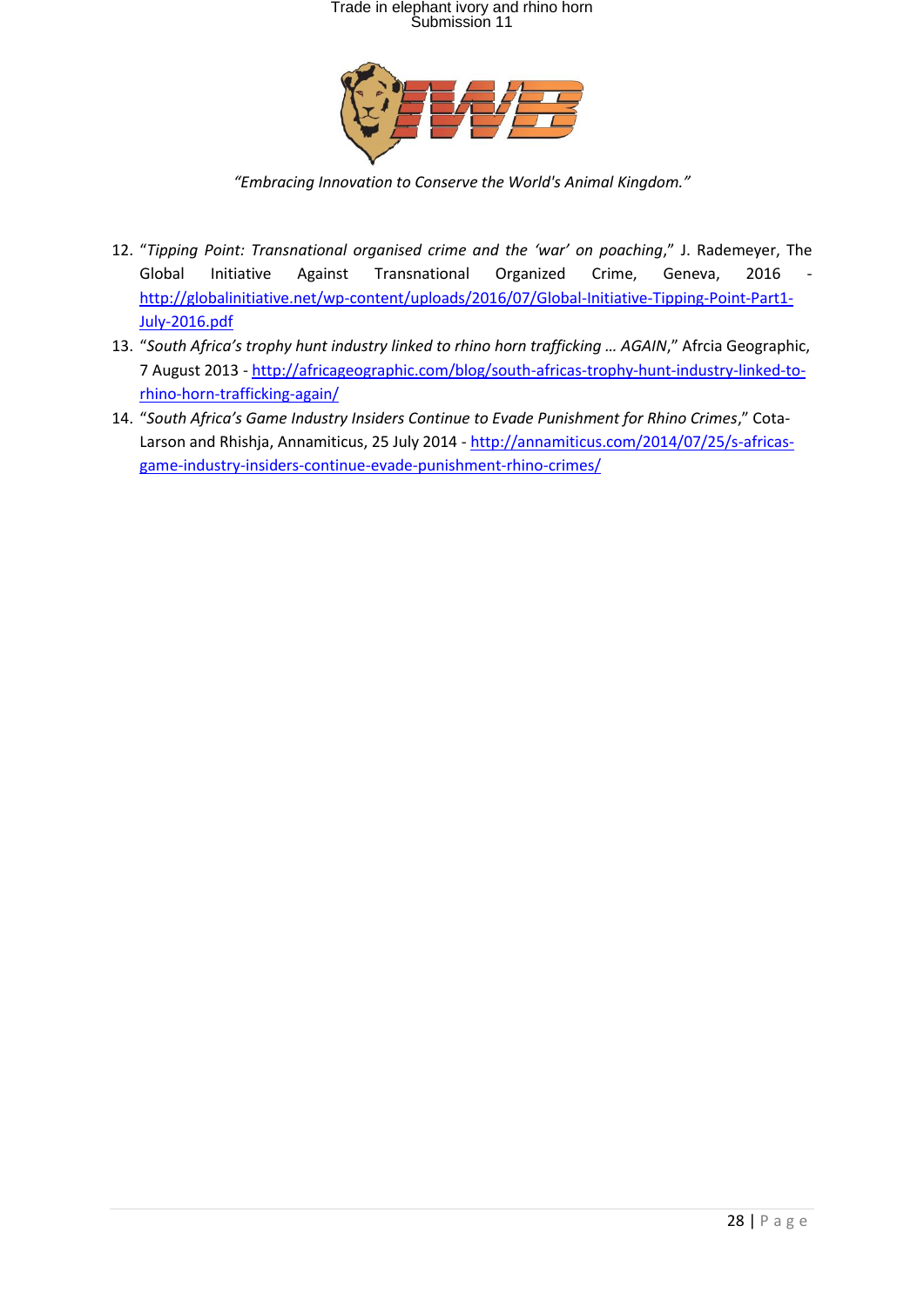

*"Embracing Innovation to Conserve the World's Animal Kingdom."*

- 12. "*Tipping Point: Transnational organised crime and the 'war' on poaching*," J. Rademeyer, The Global Initiative Against Transnational Organized Crime, Geneva, 2016 [http://globalinitiative.net/wp-content/uploads/2016/07/Global-Initiative-Tipping-Point-Part1-](http://globalinitiative.net/wp-content/uploads/2016/07/Global-Initiative-Tipping-Point-Part1-July-2016.pdf) [July-2016.pdf](http://globalinitiative.net/wp-content/uploads/2016/07/Global-Initiative-Tipping-Point-Part1-July-2016.pdf)
- 13. "*South Africa's trophy hunt industry linked to rhino horn trafficking … AGAIN*," Afrcia Geographic, 7 August 2013 - [http://africageographic.com/blog/south-africas-trophy-hunt-industry-linked-to](http://africageographic.com/blog/south-africas-trophy-hunt-industry-linked-to-rhino-horn-trafficking-again/)[rhino-horn-trafficking-again/](http://africageographic.com/blog/south-africas-trophy-hunt-industry-linked-to-rhino-horn-trafficking-again/)
- 14. "*South Africa's Game Industry Insiders Continue to Evade Punishment for Rhino Crimes*," Cota-Larson and Rhishja, Annamiticus, 25 July 2014 - [http://annamiticus.com/2014/07/25/s-africas](http://annamiticus.com/2014/07/25/s-africas-game-industry-insiders-continue-evade-punishment-rhino-crimes/)[game-industry-insiders-continue-evade-punishment-rhino-crimes/](http://annamiticus.com/2014/07/25/s-africas-game-industry-insiders-continue-evade-punishment-rhino-crimes/)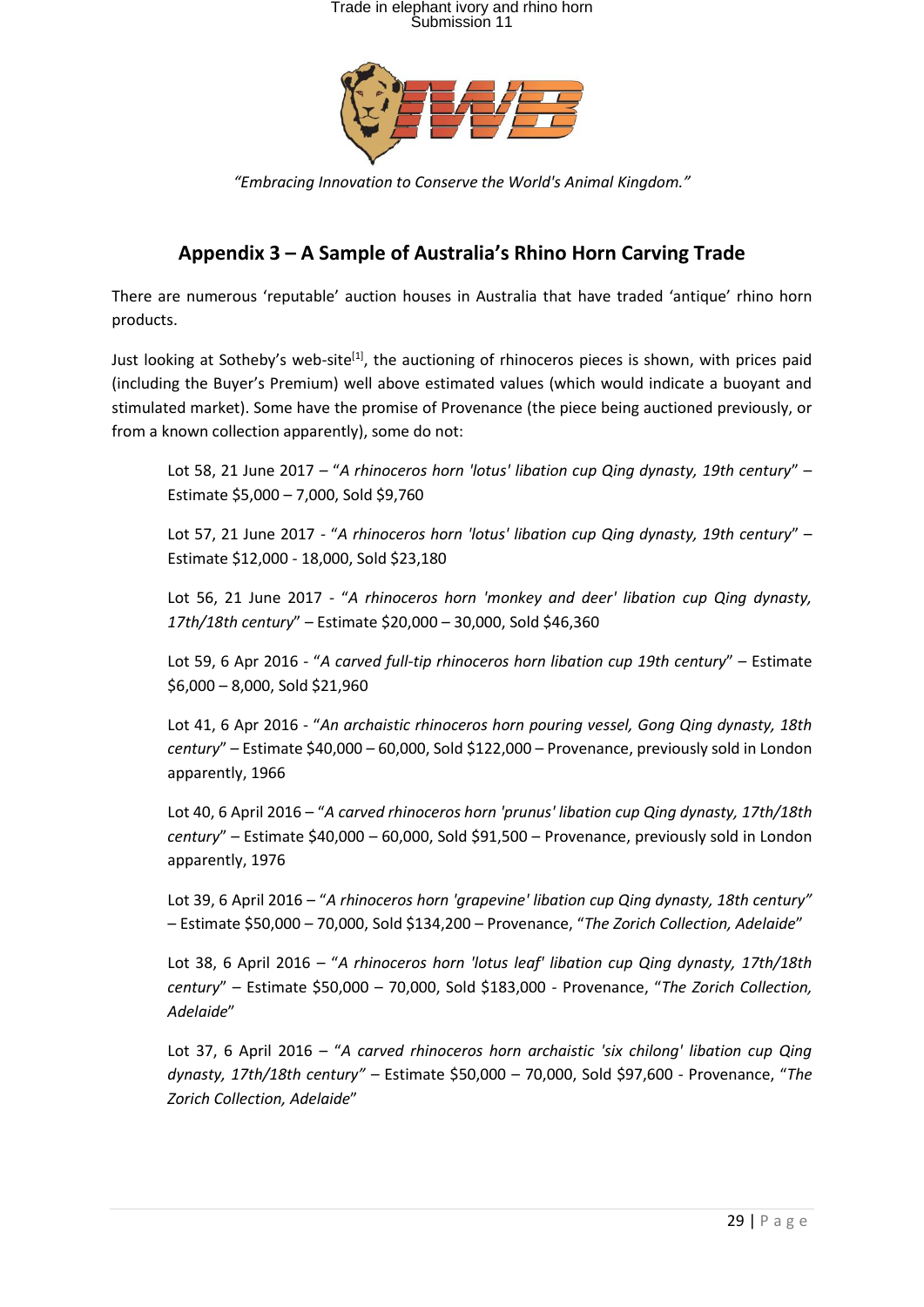

*"Embracing Innovation to Conserve the World's Animal Kingdom."*

### **Appendix 3 – A Sample of Australia's Rhino Horn Carving Trade**

There are numerous 'reputable' auction houses in Australia that have traded 'antique' rhino horn products.

Just looking at Sotheby's web-site<sup>[1]</sup>, the auctioning of rhinoceros pieces is shown, with prices paid (including the Buyer's Premium) well above estimated values (which would indicate a buoyant and stimulated market). Some have the promise of Provenance (the piece being auctioned previously, or from a known collection apparently), some do not:

Lot 58, 21 June 2017 – "*A rhinoceros horn 'lotus' libation cup Qing dynasty, 19th century*" – Estimate \$5,000 – 7,000, Sold \$9,760

Lot 57, 21 June 2017 - "*A rhinoceros horn 'lotus' libation cup Qing dynasty, 19th century*" – Estimate \$12,000 - 18,000, Sold \$23,180

Lot 56, 21 June 2017 - "*A rhinoceros horn 'monkey and deer' libation cup Qing dynasty, 17th/18th century*" – Estimate \$20,000 – 30,000, Sold \$46,360

Lot 59, 6 Apr 2016 - "*A carved full-tip rhinoceros horn libation cup 19th century*" – Estimate \$6,000 – 8,000, Sold \$21,960

Lot 41, 6 Apr 2016 - "*An archaistic rhinoceros horn pouring vessel, Gong Qing dynasty, 18th century*" – Estimate \$40,000 – 60,000, Sold \$122,000 – Provenance, previously sold in London apparently, 1966

Lot 40, 6 April 2016 – "*A carved rhinoceros horn 'prunus' libation cup Qing dynasty, 17th/18th century*" – Estimate \$40,000 – 60,000, Sold \$91,500 – Provenance, previously sold in London apparently, 1976

Lot 39, 6 April 2016 – "*A rhinoceros horn 'grapevine' libation cup Qing dynasty, 18th century" –* Estimate \$50,000 – 70,000, Sold \$134,200 – Provenance, "*The Zorich Collection, Adelaide*"

Lot 38, 6 April 2016 – "*A rhinoceros horn 'lotus leaf' libation cup Qing dynasty, 17th/18th century*" – Estimate \$50,000 – 70,000, Sold \$183,000 - Provenance, "*The Zorich Collection, Adelaide*"

Lot 37, 6 April 2016 – "*A carved rhinoceros horn archaistic 'six chilong' libation cup Qing dynasty, 17th/18th century" –* Estimate \$50,000 – 70,000, Sold \$97,600 - Provenance, "*The Zorich Collection, Adelaide*"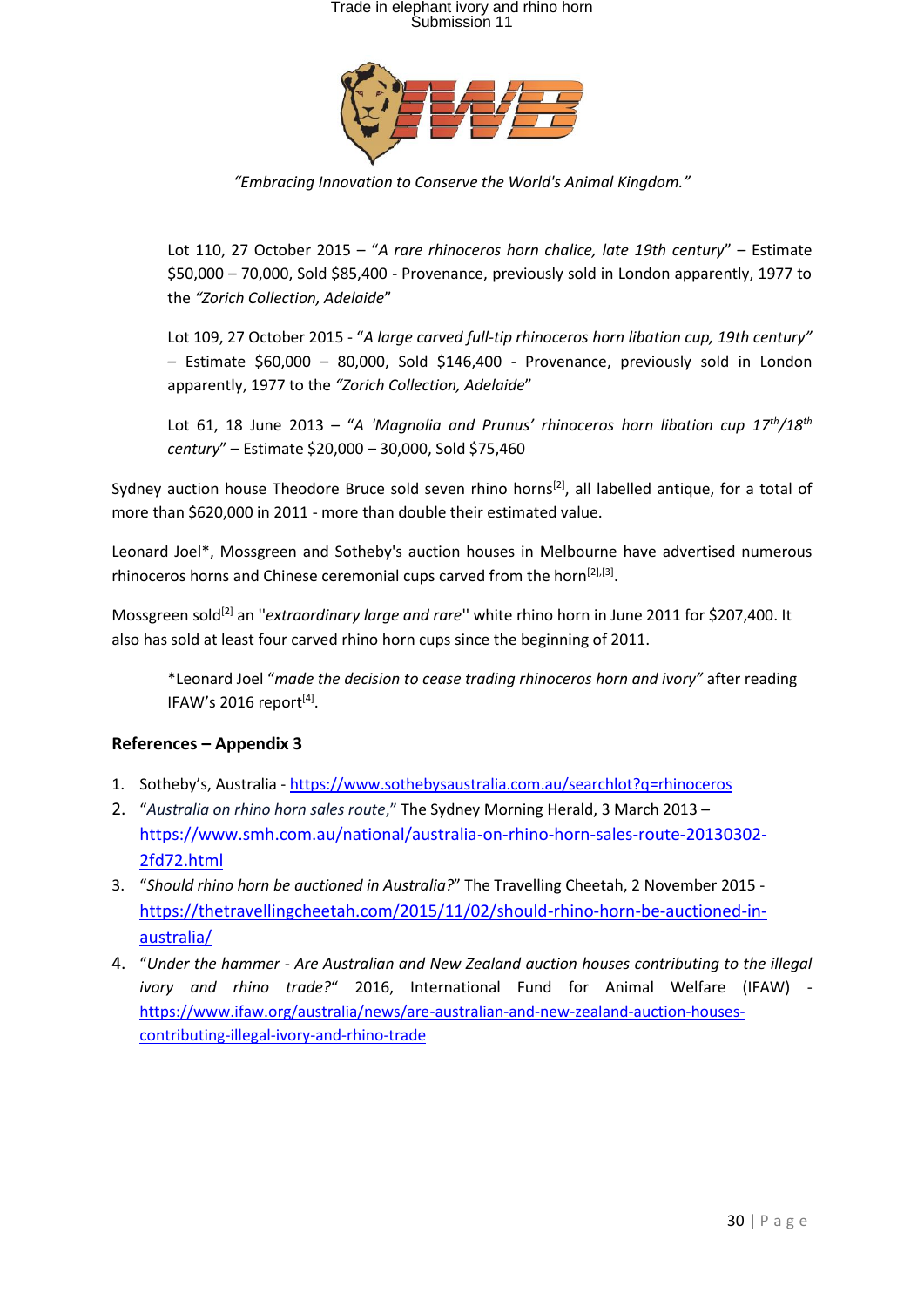

*"Embracing Innovation to Conserve the World's Animal Kingdom."*

Lot 110, 27 October 2015 – "*A rare rhinoceros horn chalice, late 19th century*" – Estimate \$50,000 – 70,000, Sold \$85,400 - Provenance, previously sold in London apparently, 1977 to the *"Zorich Collection, Adelaide*"

Lot 109, 27 October 2015 - "*A large carved full-tip rhinoceros horn libation cup, 19th century" –* Estimate \$60,000 – 80,000, Sold \$146,400 - Provenance, previously sold in London apparently, 1977 to the *"Zorich Collection, Adelaide*"

Lot 61, 18 June 2013 – "*A 'Magnolia and Prunus' rhinoceros horn libation cup 17th/18th century*" – Estimate \$20,000 – 30,000, Sold \$75,460

Sydney auction house Theodore Bruce sold seven rhino horns<sup>[2]</sup>, all labelled antique, for a total of more than \$620,000 in 2011 - more than double their estimated value.

Leonard Joel\*, Mossgreen and Sotheby's auction houses in Melbourne have advertised numerous rhinoceros horns and Chinese ceremonial cups carved from the horn<sup>[2],[3]</sup>.

Mossgreen sold<sup>[2]</sup> an "*extraordinary large and rare*" white rhino horn in June 2011 for \$207,400. It also has sold at least four carved rhino horn cups since the beginning of 2011.

\*Leonard Joel "*made the decision to cease trading rhinoceros horn and ivory"* after reading IFAW's 2016 report<sup>[4]</sup>.

#### **References – Appendix 3**

- 1. Sotheby's, Australia <https://www.sothebysaustralia.com.au/searchlot?q=rhinoceros>
- 2. "*Australia on rhino horn sales route*," The Sydney Morning Herald, 3 March 2013 [https://www.smh.com.au/national/australia-on-rhino-horn-sales-route-20130302-](https://www.smh.com.au/national/australia-on-rhino-horn-sales-route-20130302-2fd72.html) [2fd72.html](https://www.smh.com.au/national/australia-on-rhino-horn-sales-route-20130302-2fd72.html)
- 3. "*Should rhino horn be auctioned in Australia?*" The Travelling Cheetah, 2 November 2015 [https://thetravellingcheetah.com/2015/11/02/should-rhino-horn-be-auctioned-in](https://thetravellingcheetah.com/2015/11/02/should-rhino-horn-be-auctioned-in-australia/)[australia/](https://thetravellingcheetah.com/2015/11/02/should-rhino-horn-be-auctioned-in-australia/)
- 4. "*Under the hammer - Are Australian and New Zealand auction houses contributing to the illegal ivory and rhino trade?*" 2016, International Fund for Animal Welfare (IFAW) [https://www.ifaw.org/australia/news/are-australian-and-new-zealand-auction-houses](https://www.ifaw.org/australia/news/are-australian-and-new-zealand-auction-houses-contributing-illegal-ivory-and-rhino-trade)[contributing-illegal-ivory-and-rhino-trade](https://www.ifaw.org/australia/news/are-australian-and-new-zealand-auction-houses-contributing-illegal-ivory-and-rhino-trade)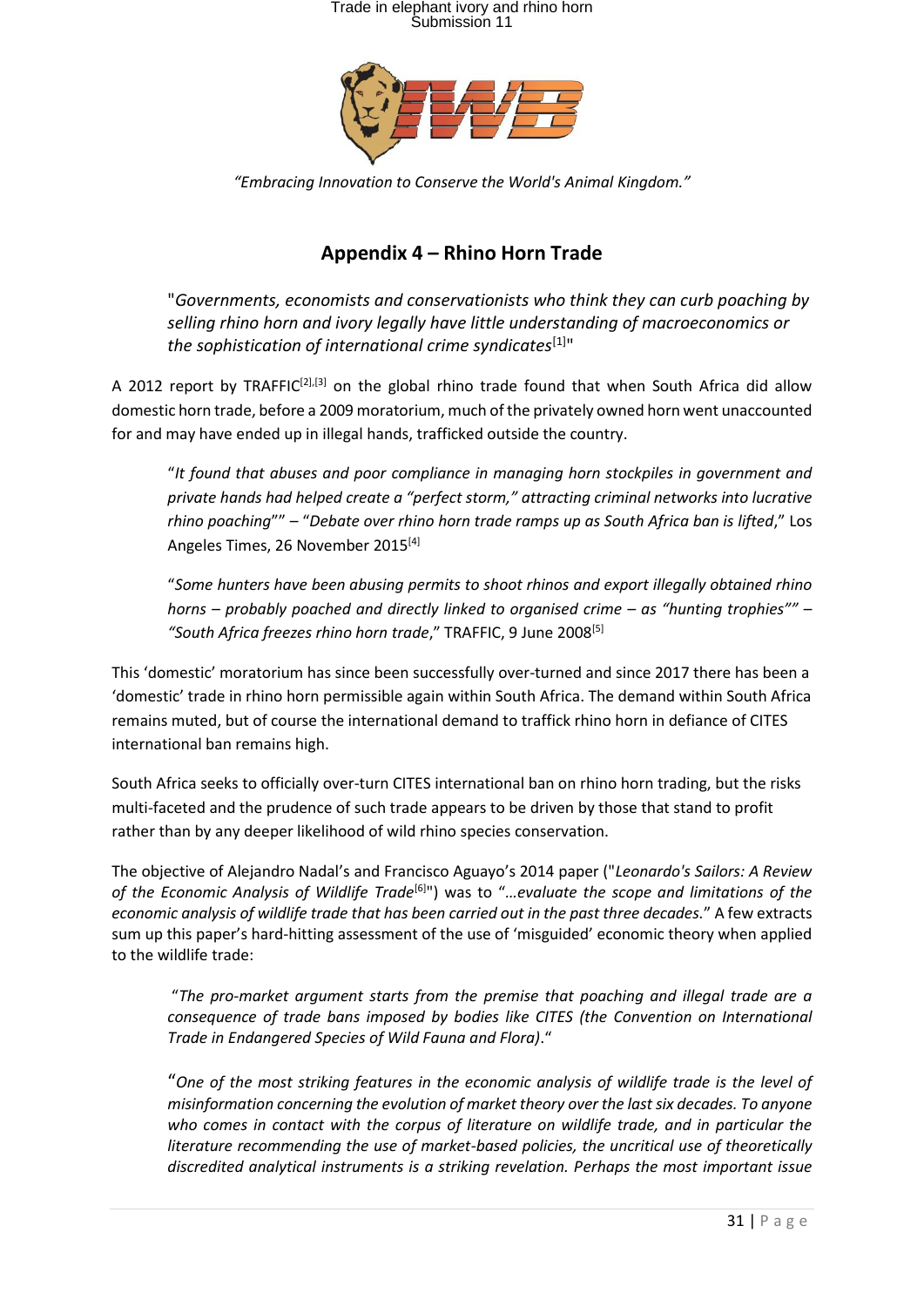

*"Embracing Innovation to Conserve the World's Animal Kingdom."*

### **Appendix 4 – Rhino Horn Trade**

"*Governments, economists and conservationists who think they can curb poaching by selling rhino horn and ivory legally have little understanding of macroeconomics or the sophistication of international crime syndicates*[1]"

A 2012 report by TRAFFIC<sup>[2],[3]</sup> on the global rhino trade found that when South Africa did allow domestic horn trade, before a 2009 moratorium, much of the privately owned horn went unaccounted for and may have ended up in illegal hands, trafficked outside the country.

"*It found that abuses and poor compliance in managing horn stockpiles in government and private hands had helped create a "perfect storm," attracting criminal networks into lucrative rhino poaching*"" – "*Debate over rhino horn trade ramps up as South Africa ban is lifted*," Los Angeles Times, 26 November 2015<sup>[4]</sup>

"*Some hunters have been abusing permits to shoot rhinos and export illegally obtained rhino horns – probably poached and directly linked to organised crime – as "hunting trophies"" – "South Africa freezes rhino horn trade*," TRAFFIC, 9 June 2008[5]

This 'domestic' moratorium has since been successfully over-turned and since 2017 there has been a 'domestic' trade in rhino horn permissible again within South Africa. The demand within South Africa remains muted, but of course the international demand to traffick rhino horn in defiance of CITES international ban remains high.

South Africa seeks to officially over-turn CITES international ban on rhino horn trading, but the risks multi-faceted and the prudence of such trade appears to be driven by those that stand to profit rather than by any deeper likelihood of wild rhino species conservation.

The objective of Alejandro Nadal's and Francisco Aguayo's 2014 paper ("*Leonardo's Sailors: A Review of the Economic Analysis of Wildlife Trade*[6] ") was to "*…evaluate the scope and limitations of the economic analysis of wildlife trade that has been carried out in the past three decades.*" A few extracts sum up this paper's hard-hitting assessment of the use of 'misguided' economic theory when applied to the wildlife trade:

"*The pro-market argument starts from the premise that poaching and illegal trade are a consequence of trade bans imposed by bodies like CITES (the Convention on International Trade in Endangered Species of Wild Fauna and Flora)*."

"*One of the most striking features in the economic analysis of wildlife trade is the level of misinformation concerning the evolution of market theory over the last six decades. To anyone who comes in contact with the corpus of literature on wildlife trade, and in particular the literature recommending the use of market-based policies, the uncritical use of theoretically discredited analytical instruments is a striking revelation. Perhaps the most important issue*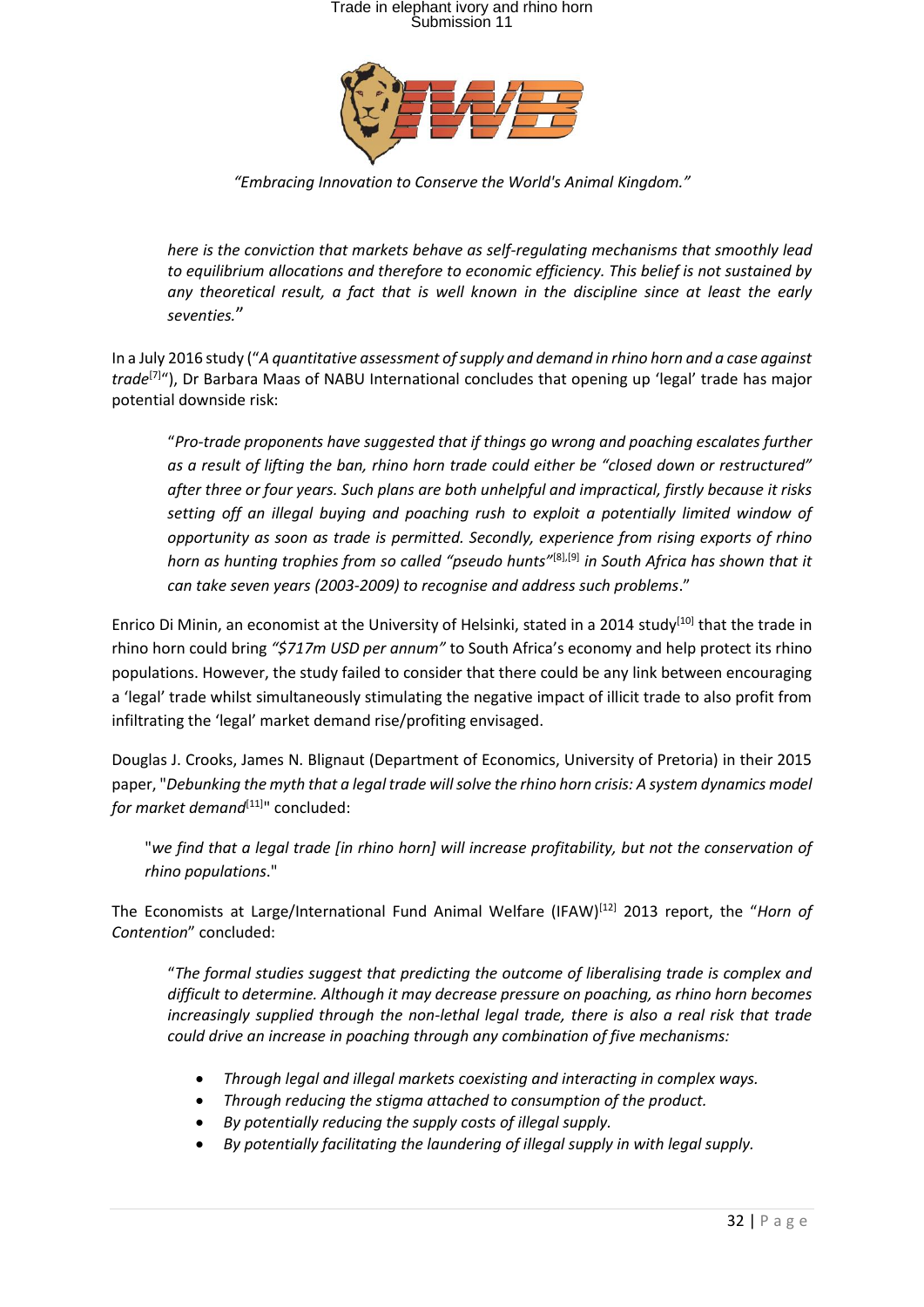

*"Embracing Innovation to Conserve the World's Animal Kingdom."*

*here is the conviction that markets behave as self-regulating mechanisms that smoothly lead to equilibrium allocations and therefore to economic efficiency. This belief is not sustained by any theoretical result, a fact that is well known in the discipline since at least the early seventies.*"

In a July 2016 study ("*A quantitative assessment of supply and demand in rhino horn and a case against trade*[7]"), Dr Barbara Maas of NABU International concludes that opening up 'legal' trade has major potential downside risk:

"*Pro-trade proponents have suggested that if things go wrong and poaching escalates further as a result of lifting the ban, rhino horn trade could either be "closed down or restructured" after three or four years. Such plans are both unhelpful and impractical, firstly because it risks setting off an illegal buying and poaching rush to exploit a potentially limited window of opportunity as soon as trade is permitted. Secondly, experience from rising exports of rhino horn as hunting trophies from so called "pseudo hunts"*[8],[9] *in South Africa has shown that it can take seven years (2003-2009) to recognise and address such problems*."

Enrico Di Minin, an economist at the University of Helsinki, stated in a 2014 study<sup>[10]</sup> that the trade in rhino horn could bring *"\$717m USD per annum"* to South Africa's economy and help protect its rhino populations. However, the study failed to consider that there could be any link between encouraging a 'legal' trade whilst simultaneously stimulating the negative impact of illicit trade to also profit from infiltrating the 'legal' market demand rise/profiting envisaged.

Douglas J. Crooks, James N. Blignaut (Department of Economics, University of Pretoria) in their 2015 paper, "*Debunking the myth that a legal trade will solve the rhino horn crisis: A system dynamics model for market demand*<sup>[11]</sup>" concluded:

"*we find that a legal trade [in rhino horn] will increase profitability, but not the conservation of rhino populations*."

The Economists at Large/International Fund Animal Welfare (IFAW)[12] 2013 report, the "*Horn of Contention*" concluded:

"*The formal studies suggest that predicting the outcome of liberalising trade is complex and difficult to determine. Although it may decrease pressure on poaching, as rhino horn becomes increasingly supplied through the non-lethal legal trade, there is also a real risk that trade could drive an increase in poaching through any combination of five mechanisms:*

- *Through legal and illegal markets coexisting and interacting in complex ways.*
- *Through reducing the stigma attached to consumption of the product.*
- *By potentially reducing the supply costs of illegal supply.*
- *By potentially facilitating the laundering of illegal supply in with legal supply.*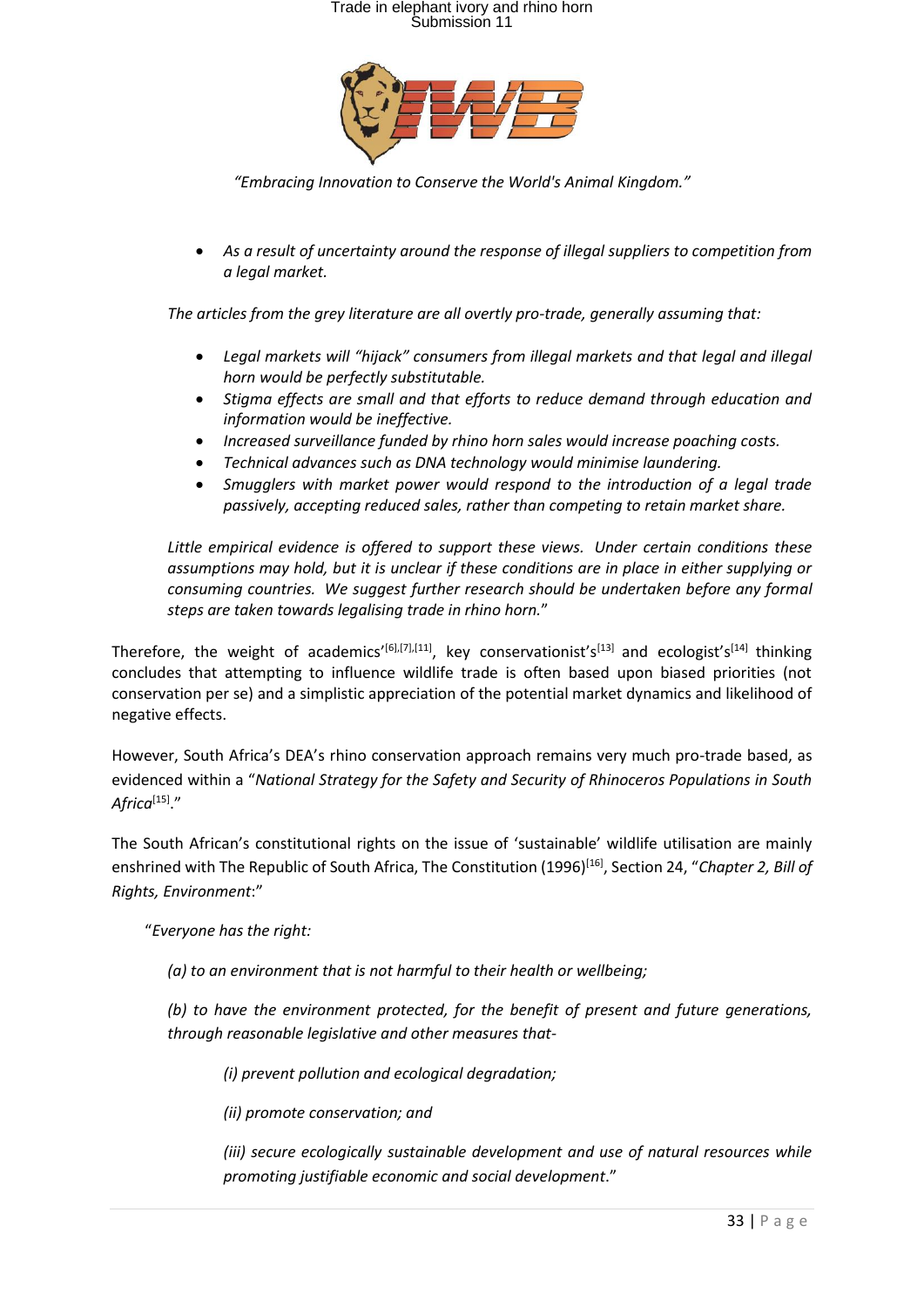

*"Embracing Innovation to Conserve the World's Animal Kingdom."*

• *As a result of uncertainty around the response of illegal suppliers to competition from a legal market.*

*The articles from the grey literature are all overtly pro-trade, generally assuming that:*

- *Legal markets will "hijack" consumers from illegal markets and that legal and illegal horn would be perfectly substitutable.*
- *Stigma effects are small and that efforts to reduce demand through education and information would be ineffective.*
- *Increased surveillance funded by rhino horn sales would increase poaching costs.*
- *Technical advances such as DNA technology would minimise laundering.*
- *Smugglers with market power would respond to the introduction of a legal trade passively, accepting reduced sales, rather than competing to retain market share.*

*Little empirical evidence is offered to support these views. Under certain conditions these assumptions may hold, but it is unclear if these conditions are in place in either supplying or consuming countries. We suggest further research should be undertaken before any formal steps are taken towards legalising trade in rhino horn.*"

Therefore, the weight of academics'<sup>[6],[7],[11]</sup>, key conservationist's<sup>[13]</sup> and ecologist's<sup>[14]</sup> thinking concludes that attempting to influence wildlife trade is often based upon biased priorities (not conservation per se) and a simplistic appreciation of the potential market dynamics and likelihood of negative effects.

However, South Africa's DEA's rhino conservation approach remains very much pro-trade based, as evidenced within a "*National Strategy for the Safety and Security of Rhinoceros Populations in South Africa*[15] ."

The South African's constitutional rights on the issue of 'sustainable' wildlife utilisation are mainly enshrined with The Republic of South Africa, The Constitution (1996)<sup>[16]</sup>, Section 24, "*Chapter 2, Bill of Rights, Environment*:"

"*Everyone has the right:*

*(a) to an environment that is not harmful to their health or wellbeing;* 

*(b) to have the environment protected, for the benefit of present and future generations, through reasonable legislative and other measures that-*

*(i) prevent pollution and ecological degradation;* 

*(ii) promote conservation; and* 

*(iii) secure ecologically sustainable development and use of natural resources while promoting justifiable economic and social development*."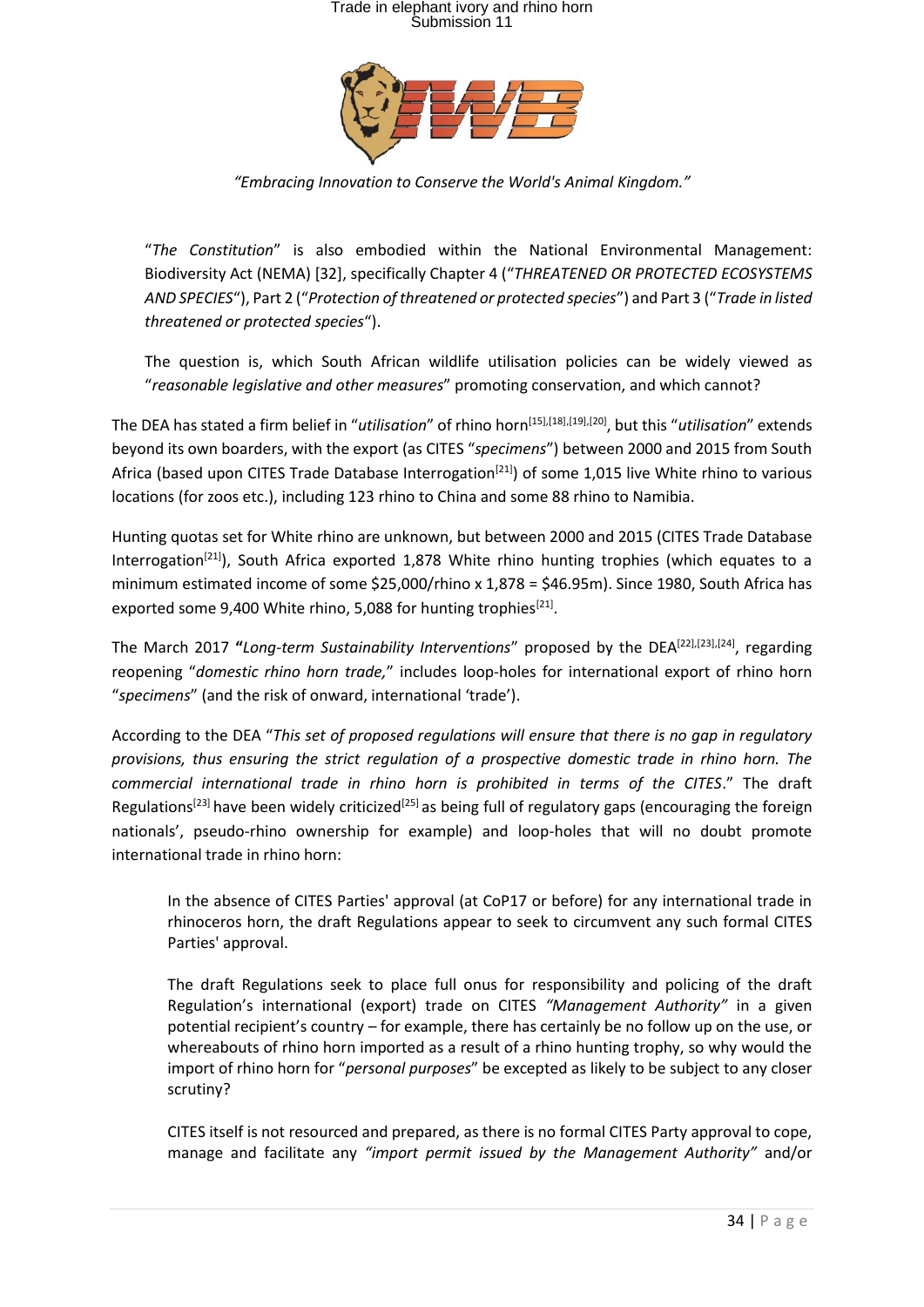

*"Embracing Innovation to Conserve the World's Animal Kingdom."*

"*The Constitution*" is also embodied within the National Environmental Management: Biodiversity Act (NEMA) [32], specifically Chapter 4 ("*THREATENED OR PROTECTED ECOSYSTEMS AND SPECIES*"), Part 2 ("*Protection of threatened or protected species*") and Part 3 ("*Trade in listed threatened or protected species*").

The question is, which South African wildlife utilisation policies can be widely viewed as "*reasonable legislative and other measures*" promoting conservation, and which cannot?

The DEA has stated a firm belief in "*utilisation*" of rhino horn [15],[18],[19],[20], but this "*utilisation*" extends beyond its own boarders, with the export (as CITES "*specimens*") between 2000 and 2015 from South Africa (based upon CITES Trade Database Interrogation<sup>[21]</sup>) of some 1,015 live White rhino to various locations (for zoos etc.), including 123 rhino to China and some 88 rhino to Namibia.

Hunting quotas set for White rhino are unknown, but between 2000 and 2015 (CITES Trade Database Interrogation<sup>[21]</sup>), South Africa exported 1,878 White rhino hunting trophies (which equates to a minimum estimated income of some \$25,000/rhino x 1,878 = \$46.95m). Since 1980, South Africa has exported some 9,400 White rhino, 5,088 for hunting trophies $^{[21]}$ .

The March 2017 **"***Long-term Sustainability Interventions*" proposed by the DEA[22],[23],[24], regarding reopening "*domestic rhino horn trade,*" includes loop-holes for international export of rhino horn "*specimens*" (and the risk of onward, international 'trade').

According to the DEA "*This set of proposed regulations will ensure that there is no gap in regulatory provisions, thus ensuring the strict regulation of a prospective domestic trade in rhino horn. The commercial international trade in rhino horn is prohibited in terms of the CITES*." The draft Regulations<sup>[23]</sup> have been widely criticized<sup>[25]</sup> as being full of regulatory gaps (encouraging the foreign nationals', pseudo-rhino ownership for example) and loop-holes that will no doubt promote international trade in rhino horn:

In the absence of CITES Parties' approval (at CoP17 or before) for any international trade in rhinoceros horn, the draft Regulations appear to seek to circumvent any such formal CITES Parties' approval.

The draft Regulations seek to place full onus for responsibility and policing of the draft Regulation's international (export) trade on CITES *"Management Authority"* in a given potential recipient's country – for example, there has certainly be no follow up on the use, or whereabouts of rhino horn imported as a result of a rhino hunting trophy, so why would the import of rhino horn for "*personal purposes*" be excepted as likely to be subject to any closer scrutiny?

CITES itself is not resourced and prepared, as there is no formal CITES Party approval to cope, manage and facilitate any *"import permit issued by the Management Authority"* and/or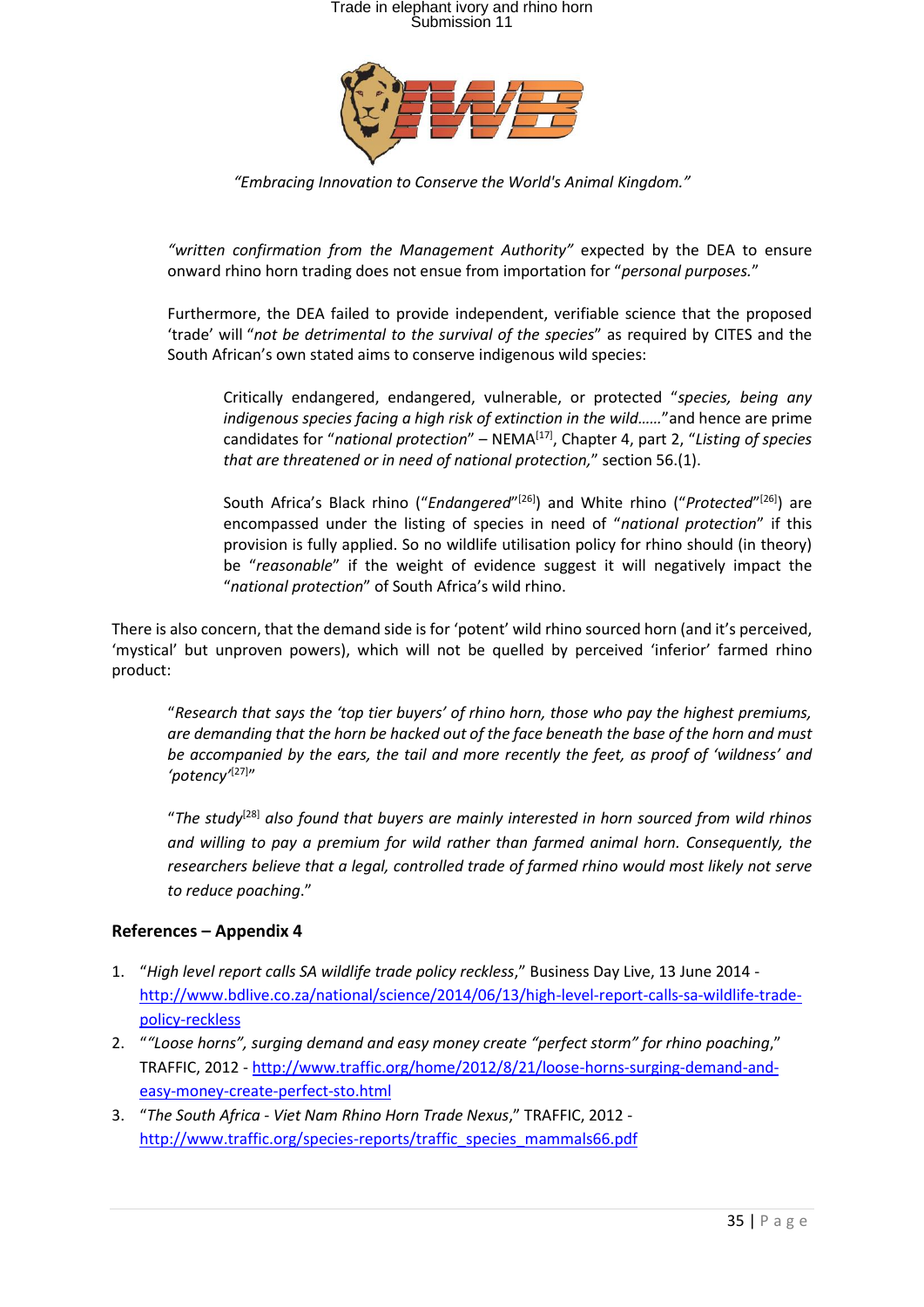

*"Embracing Innovation to Conserve the World's Animal Kingdom."*

*"written confirmation from the Management Authority"* expected by the DEA to ensure onward rhino horn trading does not ensue from importation for "*personal purposes.*"

Furthermore, the DEA failed to provide independent, verifiable science that the proposed 'trade' will "*not be detrimental to the survival of the species*" as required by CITES and the South African's own stated aims to conserve indigenous wild species:

Critically endangered, endangered, vulnerable, or protected "*species, being any indigenous species facing a high risk of extinction in the wild......*"and hence are prime candidates for "*national protection*" – NEMA[17], Chapter 4, part 2, "*Listing of species that are threatened or in need of national protection,*" section 56.(1).

South Africa's Black rhino ("*Endangered*"<sup>[26]</sup>) and White rhino ("*Protected*"<sup>[26]</sup>) are encompassed under the listing of species in need of "*national protection*" if this provision is fully applied. So no wildlife utilisation policy for rhino should (in theory) be "*reasonable*" if the weight of evidence suggest it will negatively impact the "*national protection*" of South Africa's wild rhino.

There is also concern, that the demand side is for 'potent' wild rhino sourced horn (and it's perceived, 'mystical' but unproven powers), which will not be quelled by perceived 'inferior' farmed rhino product:

"*Research that says the 'top tier buyers' of rhino horn, those who pay the highest premiums, are demanding that the horn be hacked out of the face beneath the base of the horn and must be accompanied by the ears, the tail and more recently the feet, as proof of 'wildness' and*  'potency<sup>'[27]</sup>"

"*The study*[28] *also found that buyers are mainly interested in horn sourced from wild rhinos and willing to pay a premium for wild rather than farmed animal horn. Consequently, the researchers believe that a legal, controlled trade of farmed rhino would most likely not serve to reduce poaching*."

#### **References – Appendix 4**

- 1. "*High level report calls SA wildlife trade policy reckless*," Business Day Live, 13 June 2014 [http://www.bdlive.co.za/national/science/2014/06/13/high-level-report-calls-sa-wildlife-trade](http://www.bdlive.co.za/national/science/2014/06/13/high-level-report-calls-sa-wildlife-trade-policy-reckless)[policy-reckless](http://www.bdlive.co.za/national/science/2014/06/13/high-level-report-calls-sa-wildlife-trade-policy-reckless)
- 2. "*"Loose horns", surging demand and easy money create "perfect storm" for rhino poaching*," TRAFFIC, 2012 - [http://www.traffic.org/home/2012/8/21/loose-horns-surging-demand-and](http://www.traffic.org/home/2012/8/21/loose-horns-surging-demand-and-easy-money-create-perfect-sto.html)[easy-money-create-perfect-sto.html](http://www.traffic.org/home/2012/8/21/loose-horns-surging-demand-and-easy-money-create-perfect-sto.html)
- 3. "*The South Africa - Viet Nam Rhino Horn Trade Nexus*," TRAFFIC, 2012 [http://www.traffic.org/species-reports/traffic\\_species\\_mammals66.pdf](http://www.traffic.org/species-reports/traffic_species_mammals66.pdf)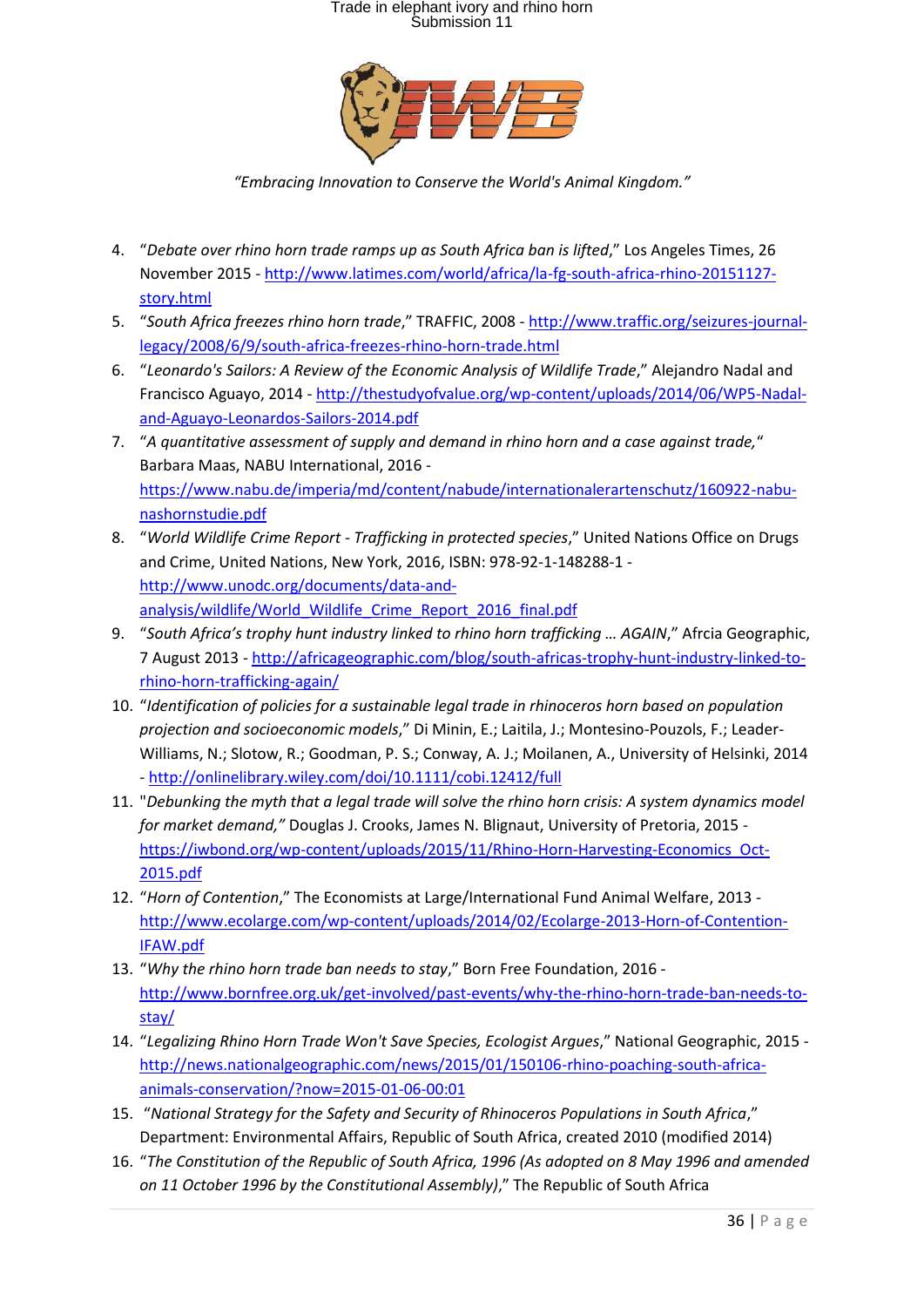

*"Embracing Innovation to Conserve the World's Animal Kingdom."*

- 4. "*Debate over rhino horn trade ramps up as South Africa ban is lifted*," Los Angeles Times, 26 November 2015 - [http://www.latimes.com/world/africa/la-fg-south-africa-rhino-20151127](http://www.latimes.com/world/africa/la-fg-south-africa-rhino-20151127-story.html) [story.html](http://www.latimes.com/world/africa/la-fg-south-africa-rhino-20151127-story.html)
- 5. "*South Africa freezes rhino horn trade*," TRAFFIC, 2008 [http://www.traffic.org/seizures-journal](http://www.traffic.org/seizures-journal-legacy/2008/6/9/south-africa-freezes-rhino-horn-trade.html)[legacy/2008/6/9/south-africa-freezes-rhino-horn-trade.html](http://www.traffic.org/seizures-journal-legacy/2008/6/9/south-africa-freezes-rhino-horn-trade.html)
- 6. "*Leonardo's Sailors: A Review of the Economic Analysis of Wildlife Trade*," Alejandro Nadal and Francisco Aguayo, 2014 - [http://thestudyofvalue.org/wp-content/uploads/2014/06/WP5-Nadal](http://thestudyofvalue.org/wp-content/uploads/2014/06/WP5-Nadal-and-Aguayo-Leonardos-Sailors-2014.pdf)[and-Aguayo-Leonardos-Sailors-2014.pdf](http://thestudyofvalue.org/wp-content/uploads/2014/06/WP5-Nadal-and-Aguayo-Leonardos-Sailors-2014.pdf)
- 7. "*A quantitative assessment of supply and demand in rhino horn and a case against trade,*" Barbara Maas, NABU International, 2016 [https://www.nabu.de/imperia/md/content/nabude/internationalerartenschutz/160922-nabu](https://www.nabu.de/imperia/md/content/nabude/internationalerartenschutz/160922-nabu-nashornstudie.pdf)[nashornstudie.pdf](https://www.nabu.de/imperia/md/content/nabude/internationalerartenschutz/160922-nabu-nashornstudie.pdf)
- 8. "*World Wildlife Crime Report - Trafficking in protected species*," United Nations Office on Drugs and Crime, United Nations, New York, 2016, ISBN: 978-92-1-148288-1 [http://www.unodc.org/documents/data-and](http://www.unodc.org/documents/data-and-analysis/wildlife/World_Wildlife_Crime_Report_2016_final.pdf)[analysis/wildlife/World\\_Wildlife\\_Crime\\_Report\\_2016\\_final.pdf](http://www.unodc.org/documents/data-and-analysis/wildlife/World_Wildlife_Crime_Report_2016_final.pdf)
- 9. "*South Africa's trophy hunt industry linked to rhino horn trafficking … AGAIN*," Afrcia Geographic, 7 August 2013 - [http://africageographic.com/blog/south-africas-trophy-hunt-industry-linked-to](http://africageographic.com/blog/south-africas-trophy-hunt-industry-linked-to-rhino-horn-trafficking-again/)[rhino-horn-trafficking-again/](http://africageographic.com/blog/south-africas-trophy-hunt-industry-linked-to-rhino-horn-trafficking-again/)
- 10. "*Identification of policies for a sustainable legal trade in rhinoceros horn based on population projection and socioeconomic models*," Di Minin, E.; Laitila, J.; Montesino-Pouzols, F.; Leader-Williams, N.; Slotow, R.; Goodman, P. S.; Conway, A. J.; Moilanen, A., University of Helsinki, 2014 - <http://onlinelibrary.wiley.com/doi/10.1111/cobi.12412/full>
- 11. "*Debunking the myth that a legal trade will solve the rhino horn crisis: A system dynamics model for market demand,"* Douglas J. Crooks, James N. Blignaut, University of Pretoria, 2015 [https://iwbond.org/wp-content/uploads/2015/11/Rhino-Horn-Harvesting-Economics\\_Oct-](https://iwbond.org/wp-content/uploads/2015/11/Rhino-Horn-Harvesting-Economics_Oct-2015.pdf)[2015.pdf](https://iwbond.org/wp-content/uploads/2015/11/Rhino-Horn-Harvesting-Economics_Oct-2015.pdf)
- 12. "*Horn of Contention*," The Economists at Large/International Fund Animal Welfare, 2013 [http://www.ecolarge.com/wp-content/uploads/2014/02/Ecolarge-2013-Horn-of-Contention-](http://www.ecolarge.com/wp-content/uploads/2014/02/Ecolarge-2013-Horn-of-Contention-IFAW.pdf)[IFAW.pdf](http://www.ecolarge.com/wp-content/uploads/2014/02/Ecolarge-2013-Horn-of-Contention-IFAW.pdf)
- 13. "*Why the rhino horn trade ban needs to stay*," Born Free Foundation, 2016 [http://www.bornfree.org.uk/get-involved/past-events/why-the-rhino-horn-trade-ban-needs-to](http://www.bornfree.org.uk/get-involved/past-events/why-the-rhino-horn-trade-ban-needs-to-stay/)[stay/](http://www.bornfree.org.uk/get-involved/past-events/why-the-rhino-horn-trade-ban-needs-to-stay/)
- 14. "*Legalizing Rhino Horn Trade Won't Save Species, Ecologist Argues*," National Geographic, 2015 [http://news.nationalgeographic.com/news/2015/01/150106-rhino-poaching-south-africa](http://news.nationalgeographic.com/news/2015/01/150106-rhino-poaching-south-africa-animals-conservation/?now=2015-01-06-00:01)[animals-conservation/?now=2015-01-06-00:01](http://news.nationalgeographic.com/news/2015/01/150106-rhino-poaching-south-africa-animals-conservation/?now=2015-01-06-00:01)
- 15. "*National Strategy for the Safety and Security of Rhinoceros Populations in South Africa*," Department: Environmental Affairs, Republic of South Africa, created 2010 (modified 2014)
- 16. "*The Constitution of the Republic of South Africa, 1996 (As adopted on 8 May 1996 and amended on 11 October 1996 by the Constitutional Assembly)*," The Republic of South Africa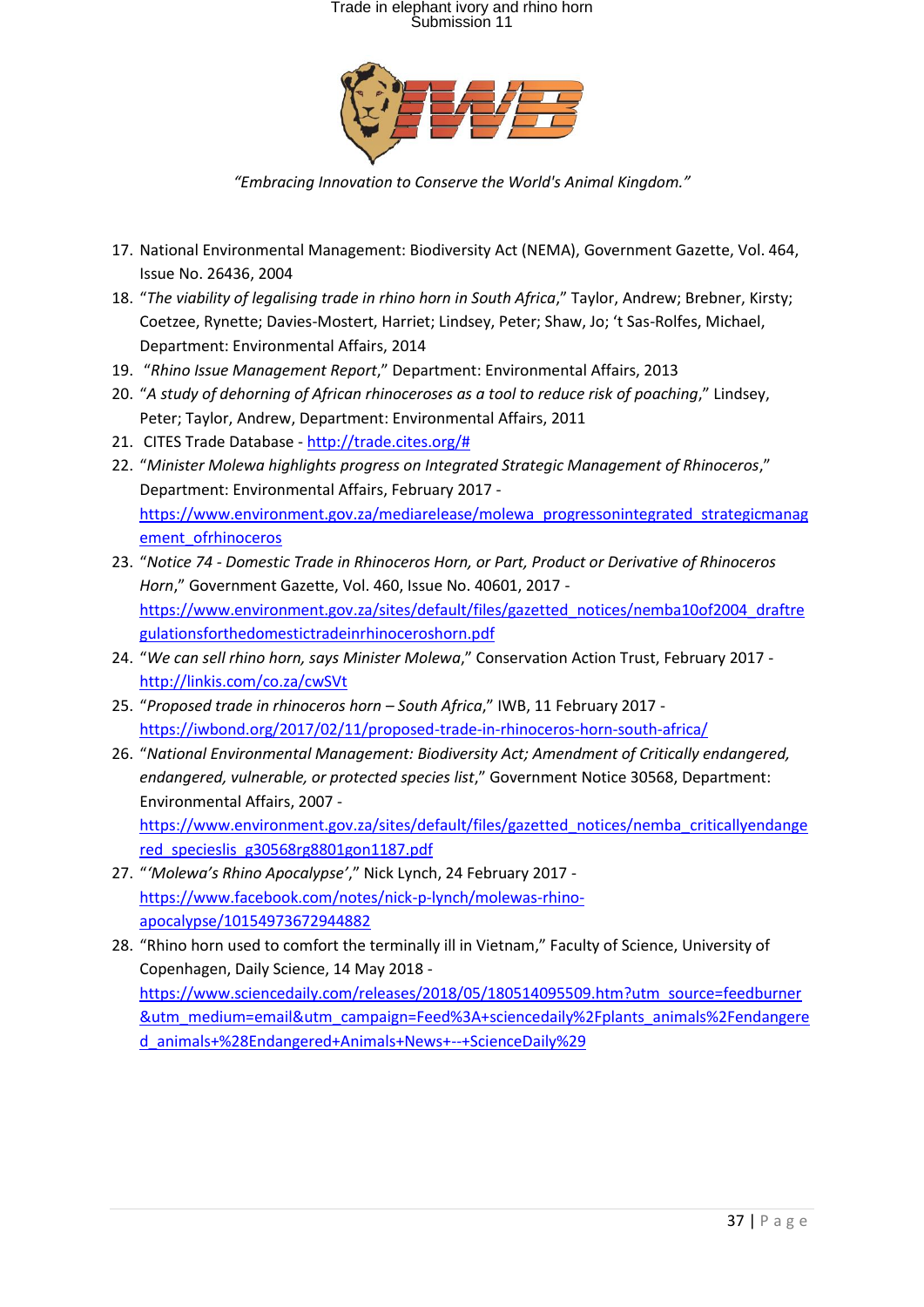

*"Embracing Innovation to Conserve the World's Animal Kingdom."*

- 17. National Environmental Management: Biodiversity Act (NEMA), Government Gazette, Vol. 464, Issue No. 26436, 2004
- 18. "*The viability of legalising trade in rhino horn in South Africa*," Taylor, Andrew; Brebner, Kirsty; Coetzee, Rynette; Davies-Mostert, Harriet; Lindsey, Peter; Shaw, Jo; 't Sas-Rolfes, Michael, Department: Environmental Affairs, 2014
- 19. "*Rhino Issue Management Report*," Department: Environmental Affairs, 2013
- 20. "*A study of dehorning of African rhinoceroses as a tool to reduce risk of poaching*," Lindsey, Peter; Taylor, Andrew, Department: Environmental Affairs, 2011
- 21. CITES Trade Database [http://trade.cites.org/#](http://trade.cites.org/)
- 22. "*Minister Molewa highlights progress on Integrated Strategic Management of Rhinoceros*," Department: Environmental Affairs, February 2017 [https://www.environment.gov.za/mediarelease/molewa\\_progressonintegrated\\_strategicmanag](https://www.environment.gov.za/mediarelease/molewa_progressonintegrated_strategicmanagement_ofrhinoceros) [ement\\_ofrhinoceros](https://www.environment.gov.za/mediarelease/molewa_progressonintegrated_strategicmanagement_ofrhinoceros)
- 23. "*Notice 74 - Domestic Trade in Rhinoceros Horn, or Part, Product or Derivative of Rhinoceros Horn*," Government Gazette, Vol. 460, Issue No. 40601, 2017 [https://www.environment.gov.za/sites/default/files/gazetted\\_notices/nemba10of2004\\_draftre](https://www.environment.gov.za/sites/default/files/gazetted_notices/nemba10of2004_draftregulationsforthedomestictradeinrhinoceroshorn.pdf) [gulationsforthedomestictradeinrhinoceroshorn.pdf](https://www.environment.gov.za/sites/default/files/gazetted_notices/nemba10of2004_draftregulationsforthedomestictradeinrhinoceroshorn.pdf)
- 24. "*We can sell rhino horn, says Minister Molewa*," Conservation Action Trust, February 2017 <http://linkis.com/co.za/cwSVt>
- 25. "*Proposed trade in rhinoceros horn – South Africa*," IWB, 11 February 2017 <https://iwbond.org/2017/02/11/proposed-trade-in-rhinoceros-horn-south-africa/>
- 26. "*National Environmental Management: Biodiversity Act; Amendment of Critically endangered, endangered, vulnerable, or protected species list*," Government Notice 30568, Department: Environmental Affairs, 2007 -

[https://www.environment.gov.za/sites/default/files/gazetted\\_notices/nemba\\_criticallyendange](https://www.environment.gov.za/sites/default/files/gazetted_notices/nemba_criticallyendangered_specieslis_g30568rg8801gon1187.pdf) [red\\_specieslis\\_g30568rg8801gon1187.pdf](https://www.environment.gov.za/sites/default/files/gazetted_notices/nemba_criticallyendangered_specieslis_g30568rg8801gon1187.pdf)

- 27. "*'Molewa's Rhino Apocalypse'*," Nick Lynch, 24 February 2017 [https://www.facebook.com/notes/nick-p-lynch/molewas-rhino](https://www.facebook.com/notes/nick-p-lynch/molewas-rhino-apocalypse/10154973672944882)[apocalypse/10154973672944882](https://www.facebook.com/notes/nick-p-lynch/molewas-rhino-apocalypse/10154973672944882)
- 28. "Rhino horn used to comfort the terminally ill in Vietnam," Faculty of Science, University of Copenhagen, Daily Science, 14 May 2018 [https://www.sciencedaily.com/releases/2018/05/180514095509.htm?utm\\_source=feedburner](https://www.sciencedaily.com/releases/2018/05/180514095509.htm?utm_source=feedburner&utm_medium=email&utm_campaign=Feed%3A+sciencedaily%2Fplants_animals%2Fendangered_animals+%28Endangered+Animals+News+--+ScienceDaily%29) [&utm\\_medium=email&utm\\_campaign=Feed%3A+sciencedaily%2Fplants\\_animals%2Fendangere](https://www.sciencedaily.com/releases/2018/05/180514095509.htm?utm_source=feedburner&utm_medium=email&utm_campaign=Feed%3A+sciencedaily%2Fplants_animals%2Fendangered_animals+%28Endangered+Animals+News+--+ScienceDaily%29) [d\\_animals+%28Endangered+Animals+News+--+ScienceDaily%29](https://www.sciencedaily.com/releases/2018/05/180514095509.htm?utm_source=feedburner&utm_medium=email&utm_campaign=Feed%3A+sciencedaily%2Fplants_animals%2Fendangered_animals+%28Endangered+Animals+News+--+ScienceDaily%29)